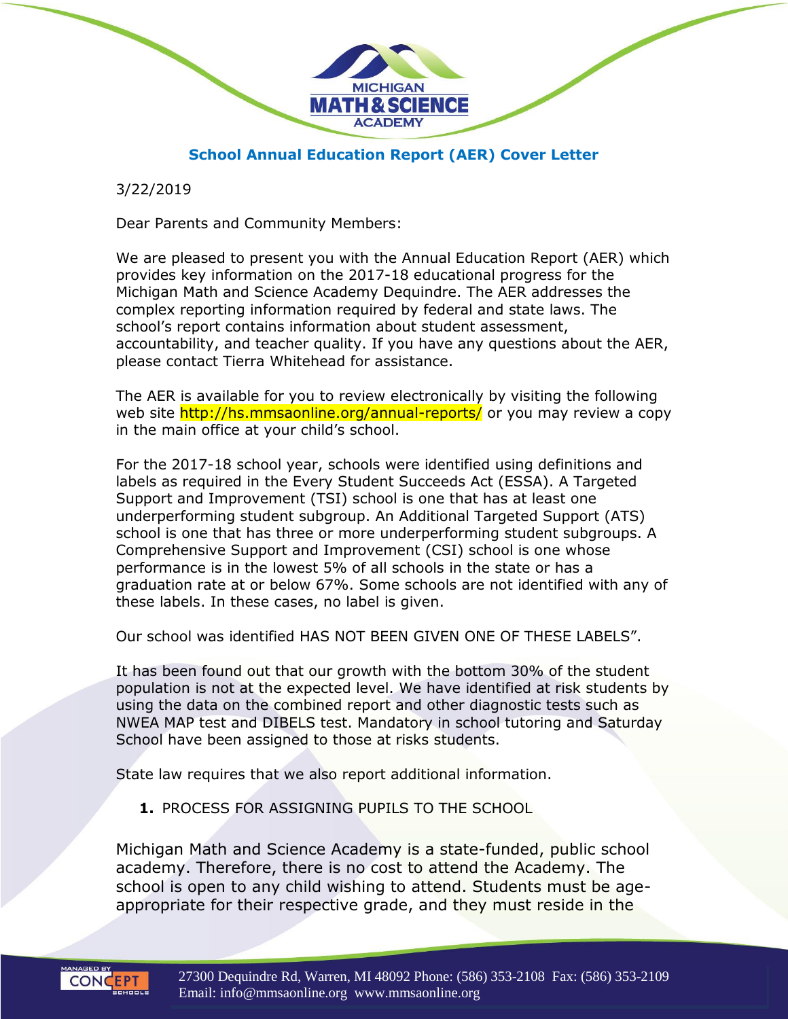

### **School Annual Education Report (AER) Cover Letter**

3/22/2019

Dear Parents and Community Members:

We are pleased to present you with the Annual Education Report (AER) which provides key information on the 2017-18 educational progress for the Michigan Math and Science Academy Dequindre. The AER addresses the complex reporting information required by federal and state laws. The school's report contains information about student assessment, accountability, and teacher quality. If you have any questions about the AER, please contact Tierra Whitehead for assistance.

The AER is available for you to review electronically by visiting the following web site http://hs.mmsaonline.org/annual-reports/ or you may review a copy in the main office at your child's school.

For the 2017-18 school year, schools were identified using definitions and labels as required in the Every Student Succeeds Act (ESSA). A Targeted Support and Improvement (TSI) school is one that has at least one underperforming student subgroup. An Additional Targeted Support (ATS) school is one that has three or more underperforming student subgroups. A Comprehensive Support and Improvement (CSI) school is one whose performance is in the lowest 5% of all schools in the state or has a graduation rate at or below 67%. Some schools are not identified with any of these labels. In these cases, no label is given.

Our school was identified HAS NOT BEEN GIVEN ONE OF THESE LABELS".

It has been found out that our growth with the bottom 30% of the student population is not at the expected level. We have identified at risk students by using the data on the combined report and other diagnostic tests such as NWEA MAP test and DIBELS test. Mandatory in school tutoring and Saturday School have been assigned to those at risks students.

State law requires that we also report additional information.

**1.** PROCESS FOR ASSIGNING PUPILS TO THE SCHOOL

Michigan Math and Science Academy is a state-funded, public school academy. Therefore, there is no cost to attend the Academy. The school is open to any child wishing to attend. Students must be ageappropriate for their respective grade, and they must reside in the

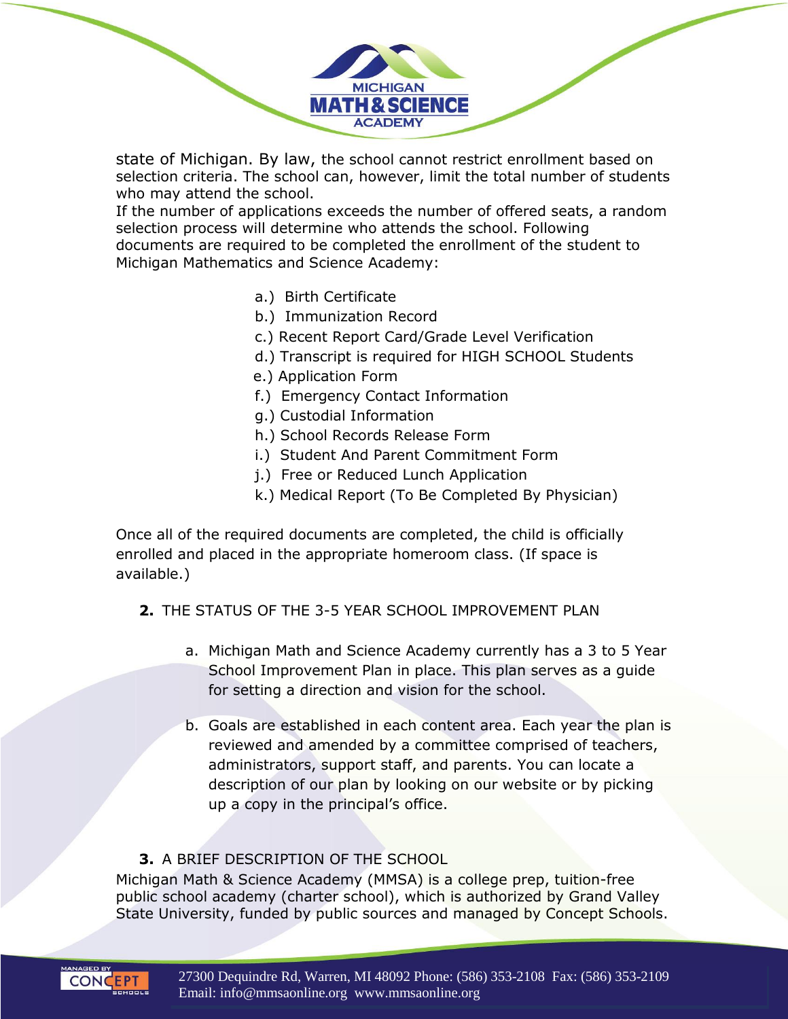state of Michigan. By law, the school cannot restrict enrollment based on selection criteria. The school can, however, limit the total number of students who may attend the school.

**MICHIGAN MATH & SCIENCE ACADEMY** 

If the number of applications exceeds the number of offered seats, a random selection process will determine who attends the school. Following documents are required to be completed the enrollment of the student to Michigan Mathematics and Science Academy:

- a.) Birth Certificate
- b.) Immunization Record
- c.) Recent Report Card/Grade Level Verification
- d.) Transcript is required for HIGH SCHOOL Students
- e.) Application Form
- f.) Emergency Contact Information
- g.) Custodial Information
- h.) School Records Release Form
- i.) Student And Parent Commitment Form
- j.) Free or Reduced Lunch Application
- k.) Medical Report (To Be Completed By Physician)

Once all of the required documents are completed, the child is officially enrolled and placed in the appropriate homeroom class. (If space is available.)

- **2.** THE STATUS OF THE 3-5 YEAR SCHOOL IMPROVEMENT PLAN
	- a. Michigan Math and Science Academy currently has a 3 to 5 Year School Improvement Plan in place. This plan serves as a guide for setting a direction and vision for the school.
	- b. Goals are established in each content area. Each year the plan is reviewed and amended by a committee comprised of teachers, administrators, support staff, and parents. You can locate a description of our plan by looking on our website or by picking up a copy in the principal's office.

### **3.** A BRIEF DESCRIPTION OF THE SCHOOL

Michigan Math & Science Academy (MMSA) is a college prep, tuition-free public school academy (charter school), which is authorized by Grand Valley State University, funded by public sources and managed by Concept Schools.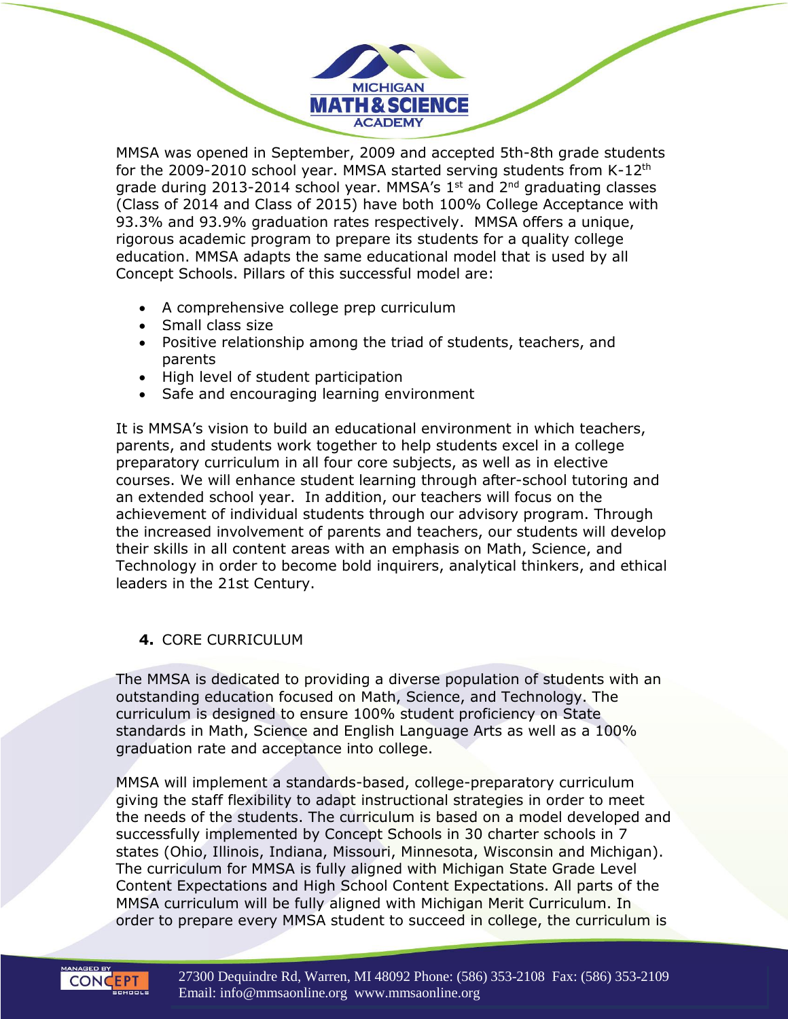MMSA was opened in September, 2009 and accepted 5th-8th grade students for the 2009-2010 school year. MMSA started serving students from K-12<sup>th</sup> grade during 2013-2014 school year. MMSA's  $1<sup>st</sup>$  and  $2<sup>nd</sup>$  graduating classes (Class of 2014 and Class of 2015) have both 100% College Acceptance with 93.3% and 93.9% graduation rates respectively. MMSA offers a unique, rigorous academic program to prepare its students for a quality college education. MMSA adapts the same educational model that is used by all Concept Schools. Pillars of this successful model are:

**MICHIGAN MATH & SCIENCE ACADEMY** 

- A comprehensive college prep curriculum
- Small class size
- Positive relationship among the triad of students, teachers, and parents
- High level of student participation
- Safe and encouraging learning environment

It is MMSA's vision to build an educational environment in which teachers, parents, and students work together to help students excel in a college preparatory curriculum in all four core subjects, as well as in elective courses. We will enhance student learning through after-school tutoring and an extended school year. In addition, our teachers will focus on the achievement of individual students through our advisory program. Through the increased involvement of parents and teachers, our students will develop their skills in all content areas with an emphasis on Math, Science, and Technology in order to become bold inquirers, analytical thinkers, and ethical leaders in the 21st Century.

### **4.** CORE CURRICULUM

The MMSA is dedicated to providing a diverse population of students with an outstanding education focused on Math, Science, and Technology. The curriculum is designed to ensure 100% student proficiency on State standards in Math, Science and English Language Arts as well as a 100% graduation rate and acceptance into college.

MMSA will implement a standards-based, college-preparatory curriculum giving the staff flexibility to adapt instructional strategies in order to meet the needs of the students. The curriculum is based on a model developed and successfully implemented by Concept Schools in 30 charter schools in 7 states (Ohio, Illinois, Indiana, Missouri, Minnesota, Wisconsin and Michigan). The curriculum for MMSA is fully aligned with Michigan State Grade Level Content Expectations and High School Content Expectations. All parts of the MMSA curriculum will be fully aligned with Michigan Merit Curriculum. In order to prepare every MMSA student to succeed in college, the curriculum is

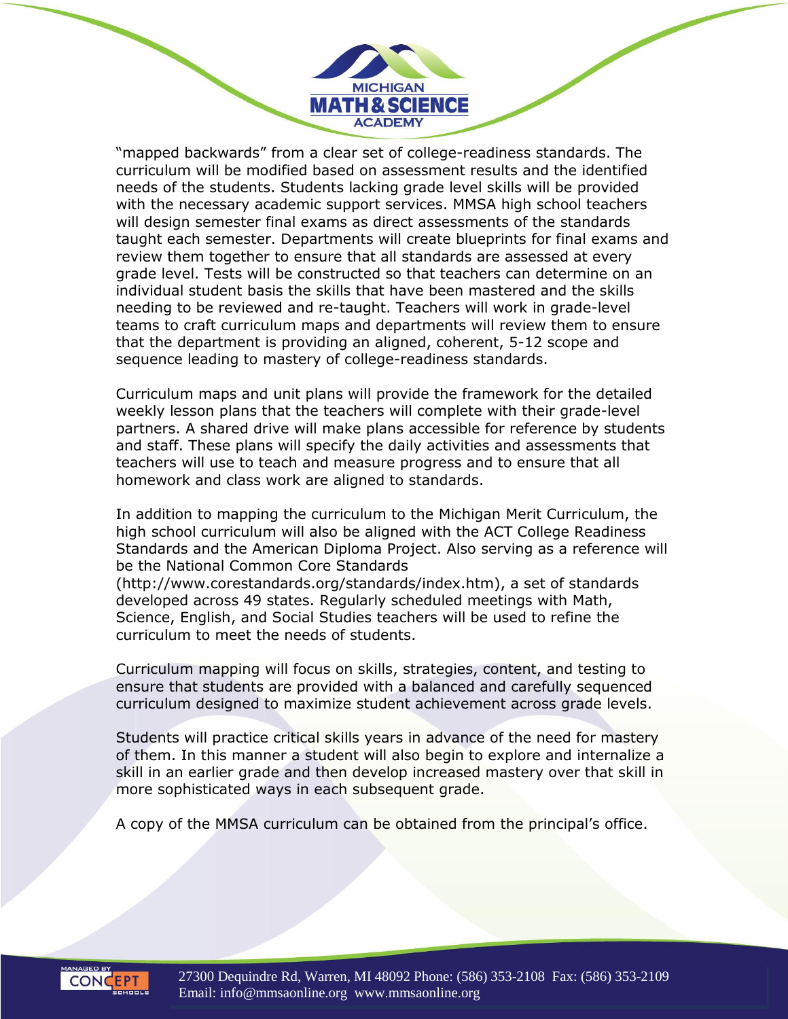"mapped backwards" from a clear set of college-readiness standards. The curriculum will be modified based on assessment results and the identified needs of the students. Students lacking grade level skills will be provided with the necessary academic support services. MMSA high school teachers will design semester final exams as direct assessments of the standards taught each semester. Departments will create blueprints for final exams and review them together to ensure that all standards are assessed at every grade level. Tests will be constructed so that teachers can determine on an individual student basis the skills that have been mastered and the skills needing to be reviewed and re-taught. Teachers will work in grade-level teams to craft curriculum maps and departments will review them to ensure that the department is providing an aligned, coherent, 5-12 scope and sequence leading to mastery of college-readiness standards.

**MICHIGAN MATH & SCIENCE ACADEMY** 

Curriculum maps and unit plans will provide the framework for the detailed weekly lesson plans that the teachers will complete with their grade-level partners. A shared drive will make plans accessible for reference by students and staff. These plans will specify the daily activities and assessments that teachers will use to teach and measure progress and to ensure that all homework and class work are aligned to standards.

In addition to mapping the curriculum to the Michigan Merit Curriculum, the high school curriculum will also be aligned with the ACT College Readiness Standards and the American Diploma Project. Also serving as a reference will be the National Common Core Standards

(http://www.corestandards.org/standards/index.htm), a set of standards developed across 49 states. Regularly scheduled meetings with Math, Science, English, and Social Studies teachers will be used to refine the curriculum to meet the needs of students.

Curriculum mapping will focus on skills, strategies, content, and testing to ensure that students are provided with a balanced and carefully sequenced curriculum designed to maximize student achievement across grade levels.

Students will practice critical skills years in advance of the need for mastery of them. In this manner a student will also begin to explore and internalize a skill in an earlier grade and then develop increased mastery over that skill in more sophisticated ways in each subsequent grade.

A copy of the MMSA curriculum can be obtained from the principal's office.

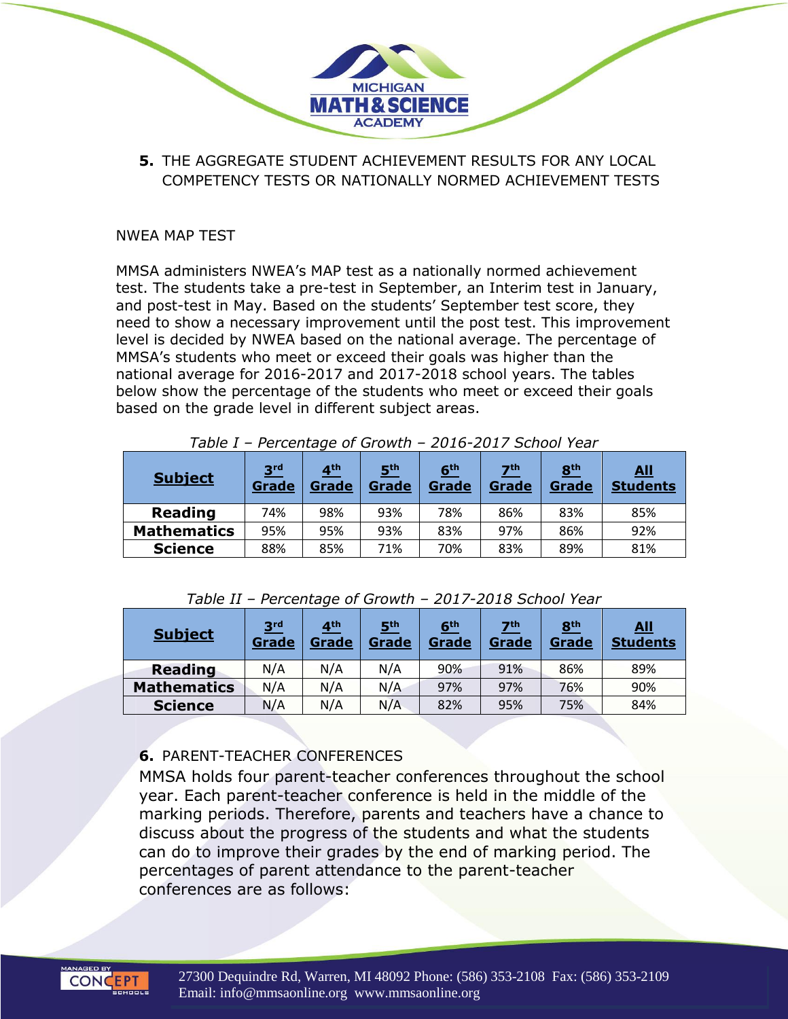- **MICHIGAN MATH & SCIENCE ACADEMY** 
	- **5.** THE AGGREGATE STUDENT ACHIEVEMENT RESULTS FOR ANY LOCAL COMPETENCY TESTS OR NATIONALLY NORMED ACHIEVEMENT TESTS

### NWEA MAP TEST

MMSA administers NWEA's MAP test as a nationally normed achievement test. The students take a pre-test in September, an Interim test in January, and post-test in May. Based on the students' September test score, they need to show a necessary improvement until the post test. This improvement level is decided by NWEA based on the national average. The percentage of MMSA's students who meet or exceed their goals was higher than the national average for 2016-2017 and 2017-2018 school years. The tables below show the percentage of the students who meet or exceed their goals based on the grade level in different subject areas.

| <b>Subject</b>     | 3 <sup>rd</sup><br>Grade | 4 <sup>th</sup><br><b>Grade</b> | 5 <sup>th</sup><br>Grade | 6 <sup>th</sup><br><b>Grade</b> | $\mathbf{Z}^{\text{th}}$<br>Grade | 8 <sup>th</sup><br>Grade | <u>All</u><br><b>Students</b> |
|--------------------|--------------------------|---------------------------------|--------------------------|---------------------------------|-----------------------------------|--------------------------|-------------------------------|
| <b>Reading</b>     | 74%                      | 98%                             | 93%                      | 78%                             | 86%                               | 83%                      | 85%                           |
| <b>Mathematics</b> | 95%                      | 95%                             | 93%                      | 83%                             | 97%                               | 86%                      | 92%                           |
| <b>Science</b>     | 88%                      | 85%                             | 71%                      | 70%                             | 83%                               | 89%                      | 81%                           |

*Table I – Percentage of Growth – 2016-2017 School Year*

| <b>Subject</b>     | 3 <sup>rd</sup><br>Grade | 4 <sup>th</sup><br>Grade | 5 <sup>th</sup><br>Grade | 6 <sup>th</sup><br>Grade | 7 <sup>th</sup><br>Grade | 8 <sup>th</sup><br>Grade | <u>All</u><br><b>Students</b> |
|--------------------|--------------------------|--------------------------|--------------------------|--------------------------|--------------------------|--------------------------|-------------------------------|
| <b>Reading</b>     | N/A                      | N/A                      | N/A                      | 90%                      | 91%                      | 86%                      | 89%                           |
| <b>Mathematics</b> | N/A                      | N/A                      | N/A                      | 97%                      | 97%                      | 76%                      | 90%                           |
| <b>Science</b>     | N/A                      | N/A                      | N/A                      | 82%                      | 95%                      | 75%                      | 84%                           |

### **6.** PARENT-TEACHER CONFERENCES

MMSA holds four parent-teacher conferences throughout the school year. Each parent-teacher conference is held in the middle of the marking periods. Therefore, parents and teachers have a chance to discuss about the progress of the students and what the students can do to improve their grades by the end of marking period. The percentages of parent attendance to the parent-teacher conferences are as follows:

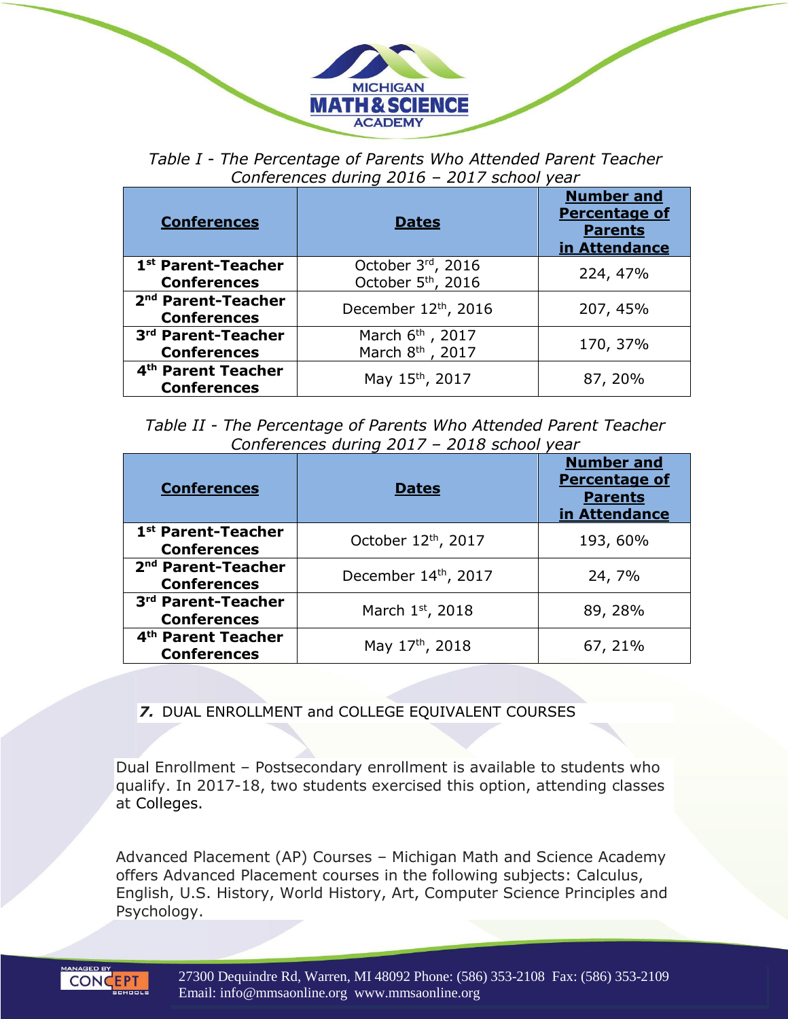

*Table I - The Percentage of Parents Who Attended Parent Teacher Conferences during 2016 – 2017 school year*

| <b>Conferences</b>                                   | <b>Dates</b>                                                 | <b>Number and</b><br><b>Percentage of</b><br><b>Parents</b><br>in Attendance |
|------------------------------------------------------|--------------------------------------------------------------|------------------------------------------------------------------------------|
| 1 <sup>st</sup> Parent-Teacher<br><b>Conferences</b> | October 3rd, 2016<br>October 5 <sup>th</sup> , 2016          | 224, 47%                                                                     |
| 2 <sup>nd</sup> Parent-Teacher<br><b>Conferences</b> | December 12th, 2016                                          | 207, 45%                                                                     |
| 3rd Parent-Teacher<br><b>Conferences</b>             | March 6 <sup>th</sup> , 2017<br>March 8 <sup>th</sup> , 2017 | 170, 37%                                                                     |
| 4 <sup>th</sup> Parent Teacher<br><b>Conferences</b> | May 15 <sup>th</sup> , 2017                                  | 87, 20%                                                                      |

*Table II - The Percentage of Parents Who Attended Parent Teacher Conferences during 2017 – 2018 school year*

| <b>Conferences</b>                                   | <b>Dates</b>        | <b>Number and</b><br><b>Percentage of</b><br><b>Parents</b><br>in Attendance |
|------------------------------------------------------|---------------------|------------------------------------------------------------------------------|
| 1 <sup>st</sup> Parent-Teacher<br><b>Conferences</b> | October 12th, 2017  | 193, 60%                                                                     |
| 2 <sup>nd</sup> Parent-Teacher<br><b>Conferences</b> | December 14th, 2017 | 24, 7%                                                                       |
| 3rd Parent-Teacher<br><b>Conferences</b>             | March 1st, 2018     | 89, 28%                                                                      |
| 4 <sup>th</sup> Parent Teacher<br><b>Conferences</b> | May 17th, 2018      | 67, 21%                                                                      |

### *7.* DUAL ENROLLMENT and COLLEGE EQUIVALENT COURSES

Dual Enrollment – Postsecondary enrollment is available to students who qualify. In 2017-18, two students exercised this option, attending classes at Colleges.

Advanced Placement (AP) Courses – Michigan Math and Science Academy offers Advanced Placement courses in the following subjects: Calculus, English, U.S. History, World History, Art, Computer Science Principles and Psychology.

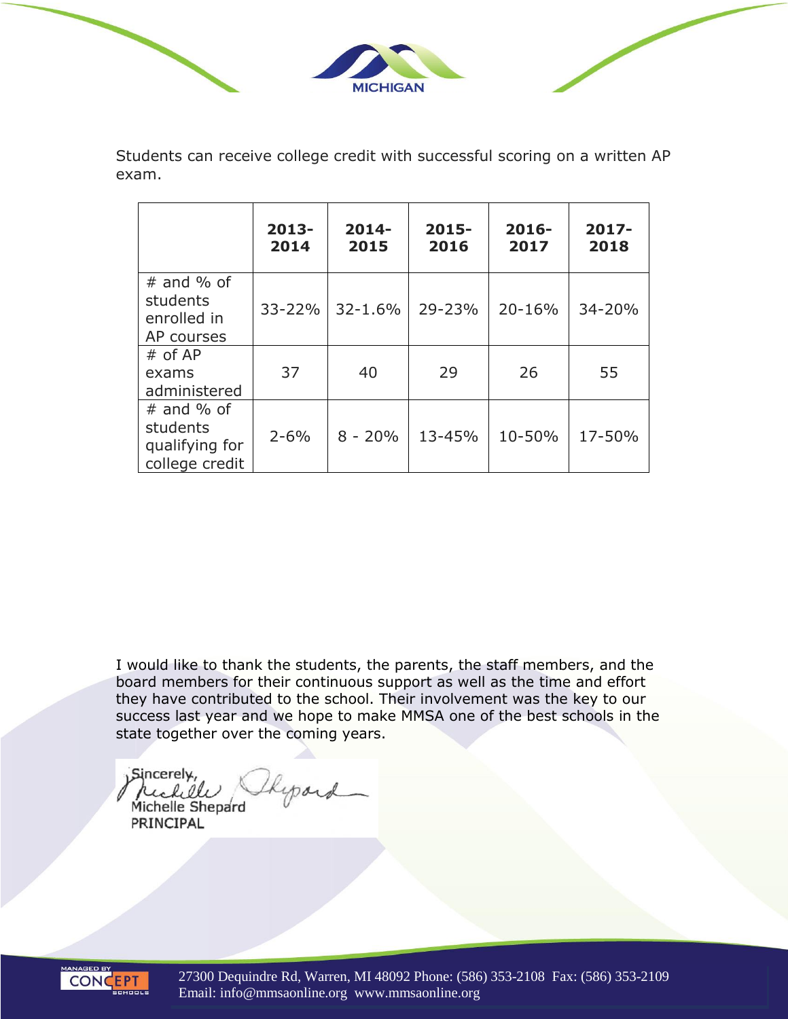

Students can receive college credit with successful scoring on a written AP exam.

|                                                              | $2013-$<br>2014 | $2014 -$<br>2015 | $2015 -$<br>2016 | $2016 -$<br>2017 | $2017 -$<br>2018 |
|--------------------------------------------------------------|-----------------|------------------|------------------|------------------|------------------|
| $#$ and % of<br>students<br>enrolled in<br>AP courses        | $33 - 22%$      | $32 - 1.6%$      | 29-23%           | 20-16%           | 34-20%           |
| $#$ of AP<br>exams<br>administered                           | 37              | 40               | 29               | 26               | 55               |
| $#$ and % of<br>students<br>qualifying for<br>college credit | $2 - 6%$        | $8 - 20%$        | 13-45%           | 10-50%           | 17-50%           |

I would like to thank the students, the parents, the staff members, and the board members for their continuous support as well as the time and effort they have contributed to the school. Their involvement was the key to our success last year and we hope to make MMSA one of the best schools in the state together over the coming years.

Sincerely, Kypard rich de

Michelle Shepard PRINCIPAL



27300 Dequindre Rd, Warren, MI 48092 Phone: (586) 353-2108 Fax: (586) 353-2109 Email: info@mmsaonline.org www.mmsaonline.org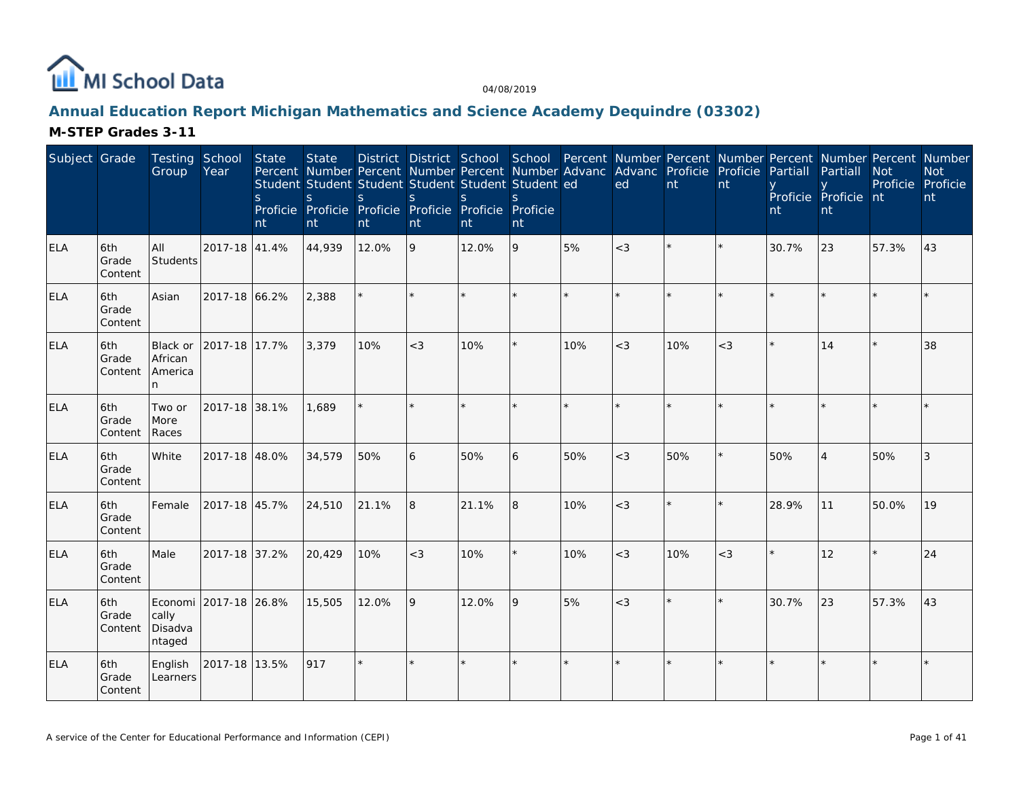

# **Annual Education Report Michigan Mathematics and Science Academy Dequindre (03302)**

| Subject Grade |                         | Testing School<br>Group             | Year                  | State<br>$\mathsf{S}$<br>nt | <b>State</b><br>Student Student Student Student Student Student ed<br>S<br>Proficie Proficie Proficie Proficie Proficie Proficie<br>nt | S.<br>nt | <sub>S</sub><br>nt | $\mathsf{S}$<br>nt | S.<br>nt |         | District District School School Percent Number Percent Number Percent Number Percent Number<br>Percent Number Percent Number Percent Number Advanc Advanc Proficie<br>ed | nt      | Proficie<br>nt | Partiall<br>nt | Partiall<br>Proficie Proficie nt<br>nt | <b>Not</b> | <b>Not</b><br>Proficie Proficie<br>nt |
|---------------|-------------------------|-------------------------------------|-----------------------|-----------------------------|----------------------------------------------------------------------------------------------------------------------------------------|----------|--------------------|--------------------|----------|---------|--------------------------------------------------------------------------------------------------------------------------------------------------------------------------|---------|----------------|----------------|----------------------------------------|------------|---------------------------------------|
| ELA           | 6th<br>Grade<br>Content | All<br>Students                     | 2017-18 41.4%         |                             | 44,939                                                                                                                                 | 12.0%    | 9                  | 12.0%              | 9        | 5%      | $<$ 3                                                                                                                                                                    |         | $\star$        | 30.7%          | 23                                     | 57.3%      | 43                                    |
| <b>ELA</b>    | 6th<br>Grade<br>Content | Asian                               | 2017-18 66.2%         |                             | 2,388                                                                                                                                  |          |                    |                    |          | $\star$ |                                                                                                                                                                          | $\star$ | $\star$        |                |                                        |            |                                       |
| <b>ELA</b>    | 6th<br>Grade<br>Content | Black or<br>African<br>America<br>n | 2017-18 17.7%         |                             | 3,379                                                                                                                                  | 10%      | $<$ 3              | 10%                |          | 10%     | $<$ 3                                                                                                                                                                    | 10%     | $<$ 3          | $\star$        | 14                                     | k.         | 38                                    |
| <b>ELA</b>    | 6th<br>Grade<br>Content | Two or<br>More<br>Races             | 2017-18 38.1%         |                             | 1,689                                                                                                                                  |          | $\star$            |                    |          |         |                                                                                                                                                                          |         |                |                |                                        |            |                                       |
| <b>ELA</b>    | 6th<br>Grade<br>Content | White                               | 2017-18 48.0%         |                             | 34,579                                                                                                                                 | 50%      | 6                  | 50%                | 6        | 50%     | $<$ 3                                                                                                                                                                    | 50%     | $\star$        | 50%            | $\overline{4}$                         | 50%        | 3                                     |
| <b>ELA</b>    | 6th<br>Grade<br>Content | Female                              | 2017-18 45.7%         |                             | 24,510                                                                                                                                 | 21.1%    | 8                  | 21.1%              | 8        | 10%     | $<$ 3                                                                                                                                                                    | $\star$ | $\star$        | 28.9%          | 11                                     | 50.0%      | 19                                    |
| <b>ELA</b>    | 6th<br>Grade<br>Content | Male                                | 2017-18 37.2%         |                             | 20,429                                                                                                                                 | 10%      | $<$ 3              | 10%                |          | 10%     | $<$ 3                                                                                                                                                                    | 10%     | $<$ 3          |                | 12                                     | $\star$    | 24                                    |
| <b>ELA</b>    | 6th<br>Grade<br>Content | cally<br>Disadva<br>ntaged          | Economi 2017-18 26.8% |                             | 15,505                                                                                                                                 | 12.0%    | 9                  | 12.0%              | 9        | 5%      | $<$ 3                                                                                                                                                                    | $\star$ | $\star$        | 30.7%          | 23                                     | 57.3%      | 43                                    |
| <b>ELA</b>    | 6th<br>Grade<br>Content | English<br>Learners                 | 2017-18 13.5%         |                             | 917                                                                                                                                    | $\star$  |                    |                    |          |         | $\star$                                                                                                                                                                  | $\star$ | $\star$        |                |                                        |            | $\star$                               |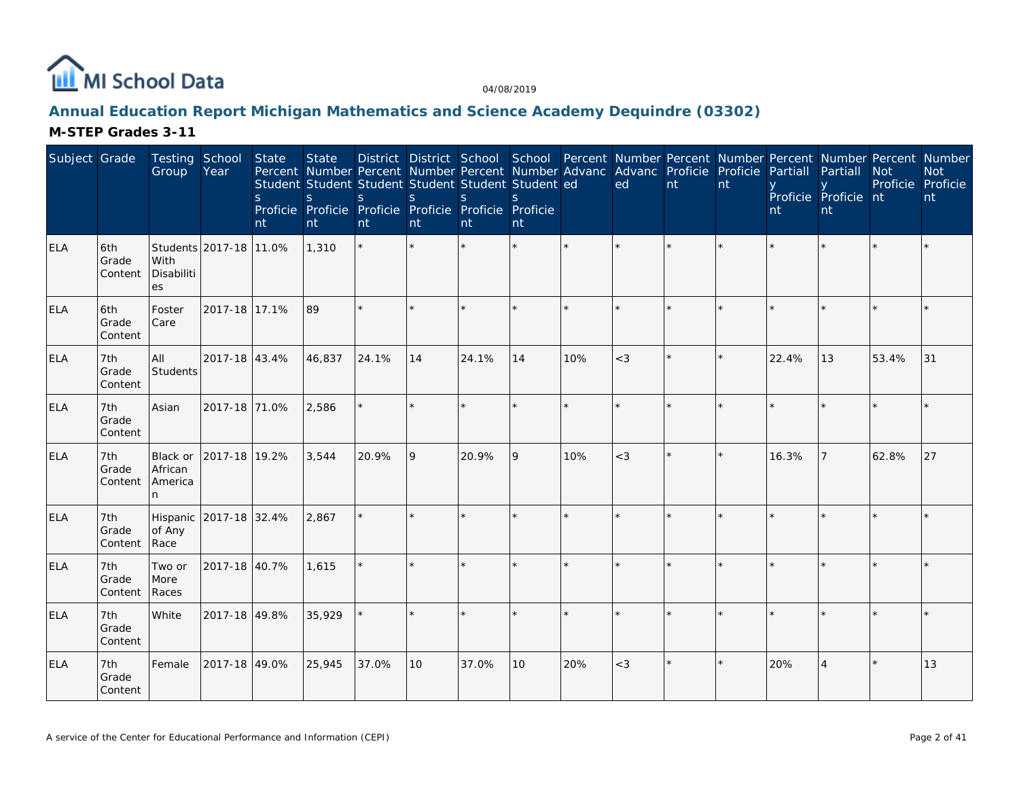

# **Annual Education Report Michigan Mathematics and Science Academy Dequindre (03302)**

| Subject Grade |                         | Testing School<br>Group              | Year                   | <b>State</b><br><sub>S</sub><br>nt | <b>State</b><br>S<br>nt | Student Student Student Student Student Student ed<br><sub>S</sub><br>Proficie Proficie Proficie Proficie Proficie Proficie<br>nt | <sub>S</sub><br>nt | <sub>S</sub><br>nt | S.<br>nt |     | District District School School Percent Number Percent Number Percent Number Percent Number<br>Percent Number Percent Number Percent Number Advanc Advanc Proficie Proficie Partiall<br>ed | nt      | nt | nt    | Partiall<br>Proficie Proficie nt<br>nt | <b>Not</b><br>Proficie Proficie | <b>Not</b><br>nt |
|---------------|-------------------------|--------------------------------------|------------------------|------------------------------------|-------------------------|-----------------------------------------------------------------------------------------------------------------------------------|--------------------|--------------------|----------|-----|--------------------------------------------------------------------------------------------------------------------------------------------------------------------------------------------|---------|----|-------|----------------------------------------|---------------------------------|------------------|
| <b>ELA</b>    | 6th<br>Grade<br>Content | With<br>Disabiliti<br>es             | Students 2017-18 11.0% |                                    | 1,310                   | $\star$                                                                                                                           | ÷                  |                    |          |     |                                                                                                                                                                                            |         |    |       |                                        |                                 |                  |
| ELA           | 6th<br>Grade<br>Content | Foster<br>Care                       | 2017-18 17.1%          |                                    | 89                      | $\star$                                                                                                                           | $\star$            |                    |          |     |                                                                                                                                                                                            | $\star$ |    |       |                                        |                                 |                  |
| <b>ELA</b>    | 7th<br>Grade<br>Content | All<br>Students                      | 2017-18 43.4%          |                                    | 46,837                  | 24.1%                                                                                                                             | 14                 | 24.1%              | 14       | 10% | $<$ 3                                                                                                                                                                                      | $\star$ |    | 22.4% | 13                                     | 53.4%                           | 31               |
| ELA           | 7th<br>Grade<br>Content | Asian                                | 2017-18 71.0%          |                                    | 2,586                   |                                                                                                                                   |                    |                    |          |     |                                                                                                                                                                                            |         |    |       |                                        |                                 |                  |
| <b>ELA</b>    | 7th<br>Grade<br>Content | Black or<br>African<br>America<br>n. | 2017-18 19.2%          |                                    | 3,544                   | 20.9%                                                                                                                             | 9                  | 20.9%              | 9        | 10% | $<$ 3                                                                                                                                                                                      |         |    | 16.3% | 7                                      | 62.8%                           | 27               |
| <b>ELA</b>    | 7th<br>Grade<br>Content | of Any<br>Race                       | Hispanic 2017-18 32.4% |                                    | 2,867                   |                                                                                                                                   |                    |                    |          |     |                                                                                                                                                                                            | $\star$ |    |       |                                        |                                 |                  |
| ELA           | 7th<br>Grade<br>Content | Two or<br>More<br>Races              | 2017-18 40.7%          |                                    | 1,615                   |                                                                                                                                   |                    |                    |          |     |                                                                                                                                                                                            | ÷.      |    |       |                                        |                                 |                  |
| <b>ELA</b>    | 7th<br>Grade<br>Content | White                                | 2017-18 49.8%          |                                    | 35,929                  |                                                                                                                                   |                    |                    |          |     |                                                                                                                                                                                            |         |    |       |                                        |                                 |                  |
| <b>ELA</b>    | 7th<br>Grade<br>Content | Female                               | 2017-18 49.0%          |                                    | 25,945                  | 37.0%                                                                                                                             | 10                 | 37.0%              | 10       | 20% | $<$ 3                                                                                                                                                                                      | ¥       |    | 20%   |                                        |                                 | 13               |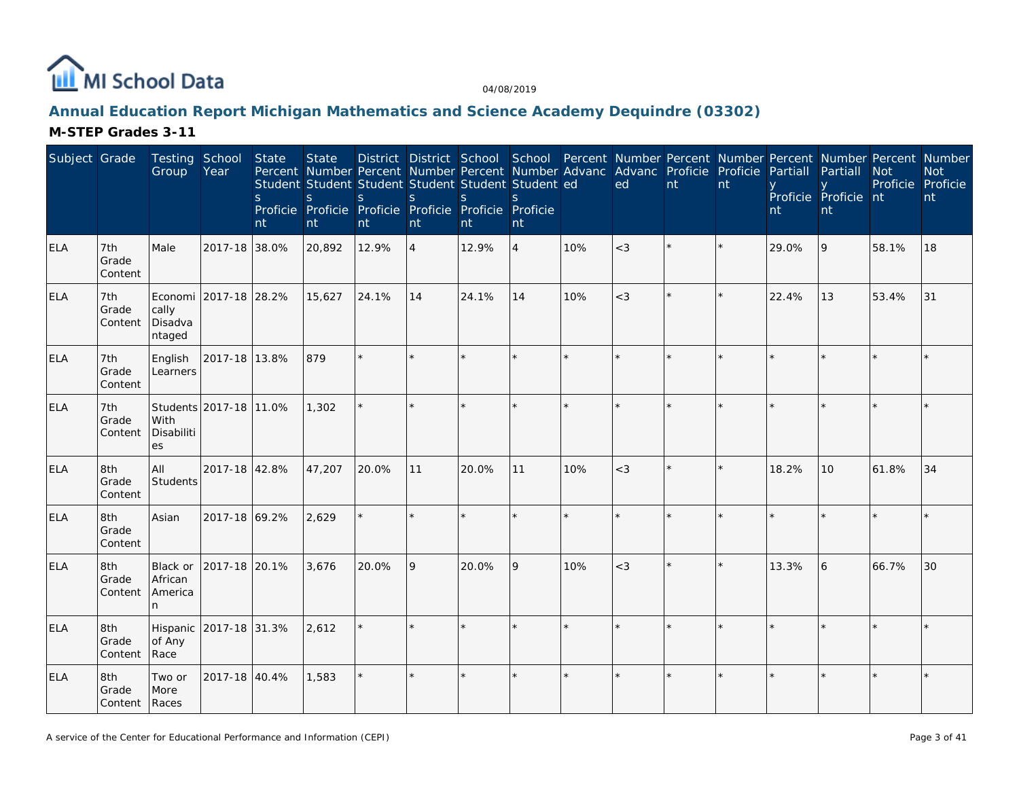

# **Annual Education Report Michigan Mathematics and Science Academy Dequindre (03302)**

| Subject Grade |                               | Testing School<br>Group              | Year                   | State<br><sub>S</sub><br>nt | <b>State</b><br>Percent Number Percent Number Percent Number Advanc Advanc Proficie Proficie Partiall<br>Student Student Student Student Student Student ed<br>S<br>Proficie Proficie Proficie Proficie Proficie Proficie<br>nt | S.<br>nt | S.<br>nt       | District District School School Percent Number Percent Number Percent Number Percent Number<br><sub>S</sub><br>nt | S.<br>nt       |     | ed      | nt | nt      | nt    | Partiall<br>Proficie Proficie nt<br>nt | <b>Not</b><br>Proficie Proficie | <b>Not</b><br>nt |
|---------------|-------------------------------|--------------------------------------|------------------------|-----------------------------|---------------------------------------------------------------------------------------------------------------------------------------------------------------------------------------------------------------------------------|----------|----------------|-------------------------------------------------------------------------------------------------------------------|----------------|-----|---------|----|---------|-------|----------------------------------------|---------------------------------|------------------|
| <b>ELA</b>    | 7th<br>Grade<br>Content       | Male                                 | 2017-18 38.0%          |                             | 20,892                                                                                                                                                                                                                          | 12.9%    | $\overline{4}$ | 12.9%                                                                                                             | $\overline{4}$ | 10% | $<$ 3   |    |         | 29.0% | 9                                      | 58.1%                           | 18               |
| <b>ELA</b>    | 7th<br>Grade<br>Content       | cally<br>Disadva<br>ntaged           | Economi 2017-18 28.2%  |                             | 15,627                                                                                                                                                                                                                          | 24.1%    | 14             | 24.1%                                                                                                             | 14             | 10% | $<$ 3   |    |         | 22.4% | 13                                     | 53.4%                           | 31               |
| <b>ELA</b>    | 7th<br>Grade<br>Content       | English<br>Learners                  | 2017-18 13.8%          |                             | 879                                                                                                                                                                                                                             |          |                |                                                                                                                   |                |     |         |    |         |       |                                        |                                 |                  |
| <b>ELA</b>    | 7th<br>Grade<br>Content       | With<br>Disabiliti<br>es             | Students 2017-18 11.0% |                             | 1,302                                                                                                                                                                                                                           |          | $\star$        |                                                                                                                   |                |     |         |    |         |       |                                        |                                 |                  |
| ELA           | 8th<br>Grade<br>Content       | All<br>Students                      | 2017-18 42.8%          |                             | 47,207                                                                                                                                                                                                                          | 20.0%    | 11             | 20.0%                                                                                                             | 11             | 10% | $<$ 3   |    | $\star$ | 18.2% | 10                                     | 61.8%                           | 34               |
| ELA           | 8th<br>Grade<br>Content       | Asian                                | 2017-18 69.2%          |                             | 2,629                                                                                                                                                                                                                           |          |                |                                                                                                                   |                |     |         |    |         |       |                                        |                                 |                  |
| <b>ELA</b>    | 8th<br>Grade<br>Content       | Black or<br>African<br>America<br>n. | 2017-18 20.1%          |                             | 3,676                                                                                                                                                                                                                           | 20.0%    | 9              | 20.0%                                                                                                             | 9              | 10% | $<$ 3   |    |         | 13.3% | 6                                      | 66.7%                           | 30               |
| <b>ELA</b>    | 8th<br>Grade<br>Content       | Hispanic<br>of Any<br>Race           | 2017-18 31.3%          |                             | 2,612                                                                                                                                                                                                                           |          |                |                                                                                                                   | ÷.             |     | $\star$ |    |         |       |                                        |                                 |                  |
| <b>ELA</b>    | 8th<br>Grade<br>Content Races | Two or<br>More                       | 2017-18 40.4%          |                             | 1,583                                                                                                                                                                                                                           | $\star$  | $\star$        |                                                                                                                   |                |     | ÷       |    | ÷       |       |                                        |                                 |                  |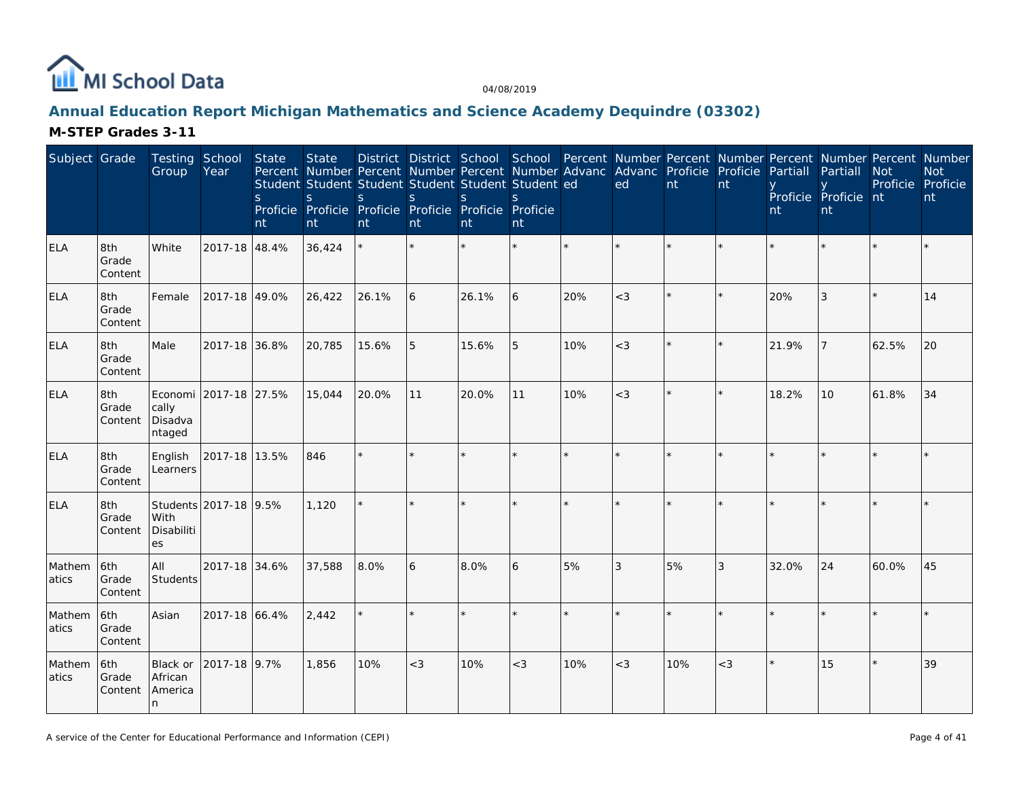

# **Annual Education Report Michigan Mathematics and Science Academy Dequindre (03302)**

| Subject Grade   |                         | Testing School<br>Group               | Year                  | State<br><sub>S</sub><br>nt | <b>State</b><br>Percent Number Percent Number Percent Number Advanc<br>Student Student Student Student Student Student ed<br>S.<br>Proficie Proficie Proficie Proficie Proficie Proficie<br>nt | <sub>S</sub><br>nt | S<br>nt | District District School School<br><sub>S</sub><br>nt | <sub>S</sub><br>nt |     | Percent Number Percent Number Percent Number Percent Number<br>Advanc Proficie<br>ed | nt      | Proficie<br>nt | Partiall<br>nt | Partiall<br>Proficie Proficie nt<br>nt | Not<br>Proficie Proficie | <b>Not</b><br>nt |
|-----------------|-------------------------|---------------------------------------|-----------------------|-----------------------------|------------------------------------------------------------------------------------------------------------------------------------------------------------------------------------------------|--------------------|---------|-------------------------------------------------------|--------------------|-----|--------------------------------------------------------------------------------------|---------|----------------|----------------|----------------------------------------|--------------------------|------------------|
| <b>ELA</b>      | 8th<br>Grade<br>Content | White                                 | 2017-18 48.4%         |                             | 36,424                                                                                                                                                                                         |                    |         |                                                       |                    |     |                                                                                      |         |                |                |                                        |                          |                  |
| <b>ELA</b>      | 8th<br>Grade<br>Content | Female                                | 2017-18 49.0%         |                             | 26,422                                                                                                                                                                                         | 26.1%              | 6       | 26.1%                                                 | 6                  | 20% | $<$ 3                                                                                | $\star$ | $\star$        | 20%            | 3                                      | ×.                       | 14               |
| <b>ELA</b>      | 8th<br>Grade<br>Content | Male                                  | 2017-18 36.8%         |                             | 20,785                                                                                                                                                                                         | 15.6%              | 5       | 15.6%                                                 | 5                  | 10% | $<$ 3                                                                                | $\star$ | $\star$        | 21.9%          |                                        | 62.5%                    | 20               |
| <b>ELA</b>      | 8th<br>Grade<br>Content | Economi<br>cally<br>Disadva<br>ntaged | 2017-18 27.5%         |                             | 15,044                                                                                                                                                                                         | 20.0%              | 11      | 20.0%                                                 | 11                 | 10% | $<$ 3                                                                                | $\star$ | $\star$        | 18.2%          | 10                                     | 61.8%                    | 34               |
| <b>ELA</b>      | 8th<br>Grade<br>Content | English<br>Learners                   | 2017-18 13.5%         |                             | 846                                                                                                                                                                                            | $\star$            | $\star$ |                                                       |                    |     | $\star$                                                                              | $\star$ | $\star$        |                |                                        | k.                       |                  |
| <b>ELA</b>      | 8th<br>Grade<br>Content | With<br>Disabiliti<br>es              | Students 2017-18 9.5% |                             | 1,120                                                                                                                                                                                          |                    |         |                                                       |                    |     |                                                                                      |         |                |                |                                        |                          |                  |
| Mathem<br>atics | 6th<br>Grade<br>Content | All<br>Students                       | 2017-18 34.6%         |                             | 37,588                                                                                                                                                                                         | 8.0%               | 6       | 8.0%                                                  | 6                  | 5%  | 3                                                                                    | 5%      | 3              | 32.0%          | 24                                     | 60.0%                    | 45               |
| Mathem<br>atics | 6th<br>Grade<br>Content | Asian                                 | 2017-18 66.4%         |                             | 2,442                                                                                                                                                                                          |                    |         |                                                       |                    |     |                                                                                      | $\star$ | $\star$        |                |                                        |                          |                  |
| Mathem<br>atics | 6th<br>Grade<br>Content | Black or<br>African<br>America<br>n   | 2017-18 9.7%          |                             | 1,856                                                                                                                                                                                          | 10%                | $<$ 3   | 10%                                                   | $<$ 3              | 10% | $<$ 3                                                                                | 10%     | $<$ 3          |                | 15                                     | $\star$                  | 39               |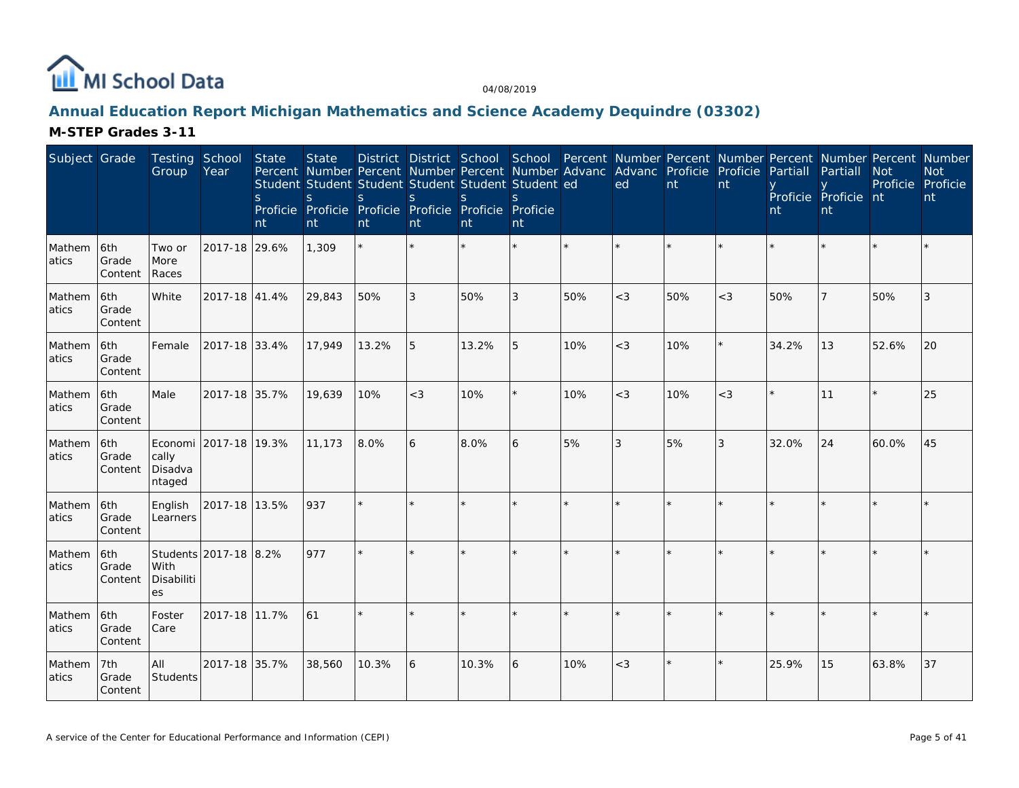

# **Annual Education Report Michigan Mathematics and Science Academy Dequindre (03302)**

| Subject Grade   |                         | <b>Testing School</b><br>Group | Year                  | <b>State</b><br>S<br>nt | <b>State</b><br>S.<br>nt | Student Student Student Student Student Student ed<br><sub>S</sub><br>Proficie Proficie Proficie Proficie Proficie Proficie<br>nt | <sub>S</sub><br>nt | S.<br>nt | S.<br>nt |         | Percent Number Percent Number Percent Number Advanc Advanc Proficie<br>ed | nt  | Proficie<br>nt | Partiall<br>nt | Partiall<br>Proficie Proficie nt<br>nt | <b>Not</b><br>Proficie | District District School School Percent Number Percent Number Percent Number Percent Number<br><b>Not</b><br>Proficie<br>nt |
|-----------------|-------------------------|--------------------------------|-----------------------|-------------------------|--------------------------|-----------------------------------------------------------------------------------------------------------------------------------|--------------------|----------|----------|---------|---------------------------------------------------------------------------|-----|----------------|----------------|----------------------------------------|------------------------|-----------------------------------------------------------------------------------------------------------------------------|
| Mathem<br>atics | 6th<br>Grade<br>Content | Two or<br>More<br>Races        | 2017-18 29.6%         |                         | 1,309                    |                                                                                                                                   |                    |          |          | $\star$ |                                                                           |     |                |                |                                        |                        |                                                                                                                             |
| Mathem<br>atics | 6th<br>Grade<br>Content | <b>White</b>                   | 2017-18 41.4%         |                         | 29,843                   | 50%                                                                                                                               | 3                  | 50%      | 3        | 50%     | $<$ 3                                                                     | 50% | $<$ 3          | 50%            |                                        | 50%                    | 3                                                                                                                           |
| Mathem<br>atics | 6th<br>Grade<br>Content | Female                         | 2017-18 33.4%         |                         | 17,949                   | 13.2%                                                                                                                             | 5                  | 13.2%    | 5        | 10%     | $<$ 3                                                                     | 10% |                | 34.2%          | 13                                     | 52.6%                  | 20                                                                                                                          |
| Mathem<br>atics | 6th<br>Grade<br>Content | Male                           | 2017-18 35.7%         |                         | 19,639                   | 10%                                                                                                                               | $<$ 3              | 10%      | $\star$  | 10%     | $<$ 3                                                                     | 10% | $<$ 3          |                | 11                                     |                        | 25                                                                                                                          |
| Mathem<br>atics | 6th<br>Grade<br>Content | cally<br>Disadva<br>ntaged     | Economi 2017-18 19.3% |                         | 11,173                   | 8.0%                                                                                                                              | 6                  | 8.0%     | 6        | 5%      | 3                                                                         | 5%  | 3              | 32.0%          | 24                                     | 60.0%                  | 45                                                                                                                          |
| Mathem<br>atics | 6th<br>Grade<br>Content | English<br>Learners            | 2017-18 13.5%         |                         | 937                      | $\star$                                                                                                                           |                    |          | $\star$  | $\star$ | $\star$                                                                   |     |                |                |                                        |                        |                                                                                                                             |
| Mathem<br>atics | 6th<br>Grade<br>Content | l With<br>Disabiliti<br>es     | Students 2017-18 8.2% |                         | 977                      |                                                                                                                                   |                    |          |          |         |                                                                           |     |                |                |                                        |                        |                                                                                                                             |
| Mathem<br>atics | 6th<br>Grade<br>Content | Foster<br>Care                 | 2017-18 11.7%         |                         | 61                       |                                                                                                                                   |                    |          |          |         |                                                                           |     |                |                |                                        |                        |                                                                                                                             |
| Mathem<br>atics | 7th<br>Grade<br>Content | All<br>Students                | 2017-18 35.7%         |                         | 38,560                   | 10.3%                                                                                                                             | 6                  | 10.3%    | 6        | 10%     | $<$ 3                                                                     |     |                | 25.9%          | 15                                     | 63.8%                  | 37                                                                                                                          |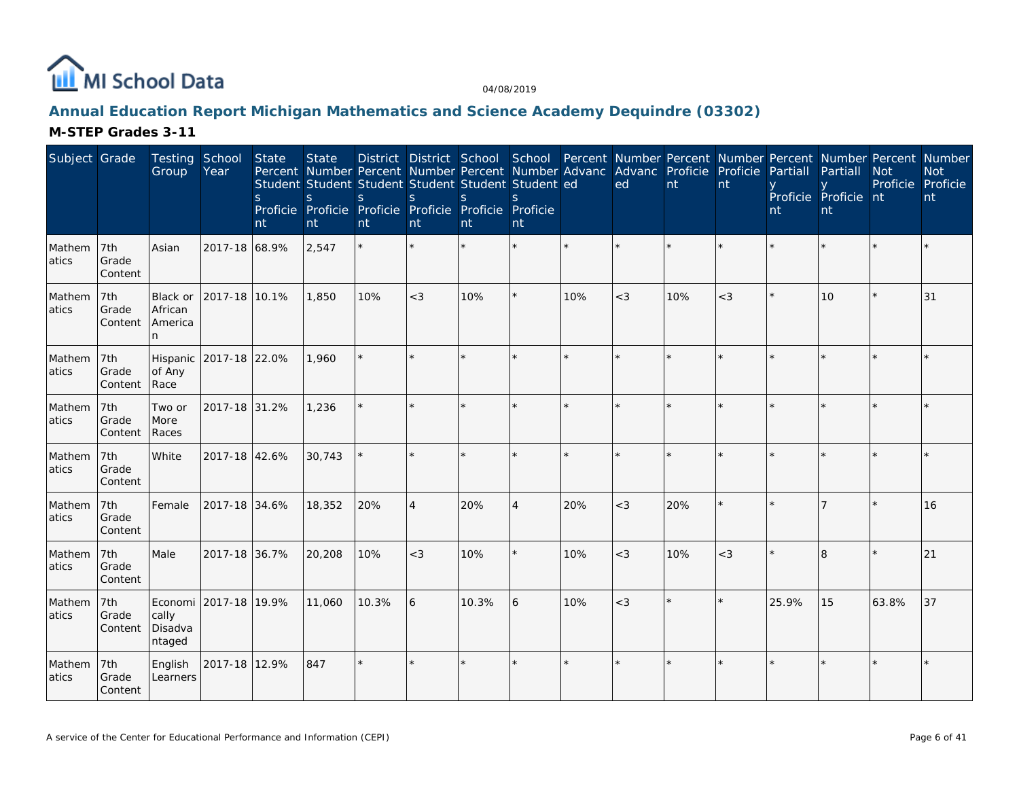

# **Annual Education Report Michigan Mathematics and Science Academy Dequindre (03302)**

| Subject Grade   |                         | <b>Testing School</b><br>Group       | Year                   | State<br><sub>S</sub><br>nt | <b>State</b><br>S.<br>nt | Student Student Student Student Student Student ed<br>S.<br>Proficie Proficie Proficie Proficie Proficie Proficie<br>nt | <sub>S</sub><br>nt | S.<br>nt | <sup>S</sup><br>nt |         | District District School School Percent Number Percent Number Percent Number Percent Number<br>Percent Number Percent Number Percent Number Advanc Advanc Proficie Proficie Partiall<br>ed | nt      | nt    | nt    | Partiall<br>Proficie Proficie nt<br>nt | <b>Not</b><br>Proficie Proficie | <b>Not</b><br>nt |
|-----------------|-------------------------|--------------------------------------|------------------------|-----------------------------|--------------------------|-------------------------------------------------------------------------------------------------------------------------|--------------------|----------|--------------------|---------|--------------------------------------------------------------------------------------------------------------------------------------------------------------------------------------------|---------|-------|-------|----------------------------------------|---------------------------------|------------------|
| Mathem<br>atics | 7th<br>Grade<br>Content | Asian                                | 2017-18 68.9%          |                             | 2,547                    |                                                                                                                         |                    | $\star$  | $\star$            | $\star$ |                                                                                                                                                                                            | ×.      |       |       |                                        |                                 |                  |
| Mathem<br>atics | 7th<br>Grade<br>Content | Black or<br>African<br>America<br>n. | 2017-18 10.1%          |                             | 1,850                    | 10%                                                                                                                     | $<$ 3              | 10%      | $\star$            | 10%     | $<$ 3                                                                                                                                                                                      | 10%     | $<$ 3 |       | 10                                     |                                 | 31               |
| Mathem<br>atics | 7th<br>Grade<br>Content | of Any<br>Race                       | Hispanic 2017-18 22.0% |                             | 1,960                    |                                                                                                                         |                    |          |                    |         |                                                                                                                                                                                            | $\star$ |       |       |                                        |                                 |                  |
| Mathem<br>atics | 7th<br>Grade<br>Content | Two or<br>More<br>Races              | 2017-18 31.2%          |                             | 1,236                    |                                                                                                                         |                    |          |                    |         |                                                                                                                                                                                            | k.      |       |       |                                        |                                 |                  |
| Mathem<br>atics | 7th<br>Grade<br>Content | White                                | 2017-18 42.6%          |                             | 30,743                   |                                                                                                                         | $\star$            | $\star$  | $\star$            | $\star$ |                                                                                                                                                                                            | ÷.      |       |       |                                        |                                 |                  |
| Mathem<br>atics | 7th<br>Grade<br>Content | Female                               | 2017-18 34.6%          |                             | 18,352                   | 20%                                                                                                                     | $\overline{A}$     | 20%      | $\overline{4}$     | 20%     | $<$ 3                                                                                                                                                                                      | 20%     |       |       |                                        |                                 | 16               |
| Mathem<br>atics | 7th<br>Grade<br>Content | Male                                 | 2017-18 36.7%          |                             | 20,208                   | 10%                                                                                                                     | $<$ 3              | 10%      |                    | 10%     | $<$ 3                                                                                                                                                                                      | 10%     | $<$ 3 |       | $\overline{\mathsf{B}}$                |                                 | 21               |
| Mathem<br>atics | 7th<br>Grade<br>Content | cally<br>Disadva<br>ntaged           | Economi 2017-18 19.9%  |                             | 11,060                   | 10.3%                                                                                                                   | 6                  | 10.3%    | 6                  | 10%     | $<$ 3                                                                                                                                                                                      | $\star$ |       | 25.9% | 15                                     | 63.8%                           | 37               |
| Mathem<br>atics | 7th<br>Grade<br>Content | English<br>Learners                  | 2017-18 12.9%          |                             | 847                      | $\star$                                                                                                                 |                    | $\star$  | $\star$            |         |                                                                                                                                                                                            | $\star$ |       |       |                                        |                                 |                  |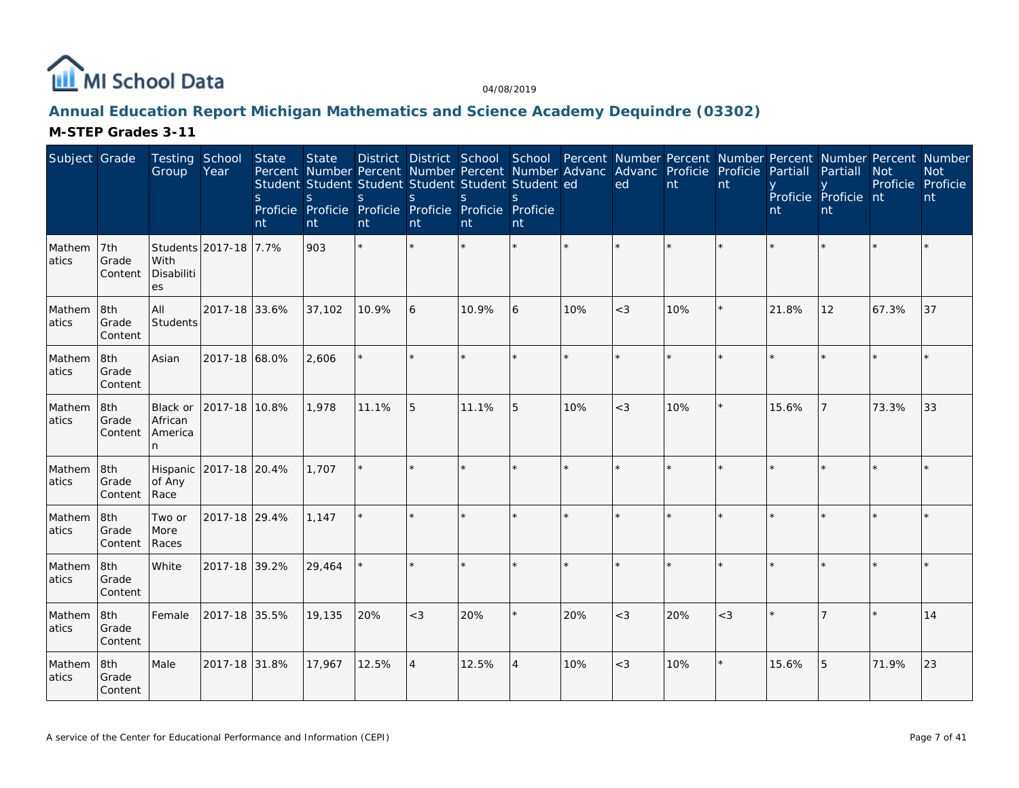

# **Annual Education Report Michigan Mathematics and Science Academy Dequindre (03302)**

| Subject Grade    |                         | Testing School<br>Group                  | Year                  | State<br><sub>S</sub><br>nt | <b>State</b><br>Student Student Student Student Student Student ed<br>S.<br>Proficie Proficie Proficie Proficie Proficie Proficie<br>nt | S.<br>nt | S.<br>nt       | <sub>S</sub><br>nt | nt             |     | District District School School Percent Number Percent Number Percent Number Percent Number<br>Percent Number Percent Number Percent Number Advanc Advanc Proficie Proficie<br>ed | nt  | nt    | Partiall<br>nt | Partiall<br>Proficie Proficie nt<br><b>nt</b> | <b>Not</b><br>Proficie Proficie | <b>Not</b><br>nt |
|------------------|-------------------------|------------------------------------------|-----------------------|-----------------------------|-----------------------------------------------------------------------------------------------------------------------------------------|----------|----------------|--------------------|----------------|-----|-----------------------------------------------------------------------------------------------------------------------------------------------------------------------------------|-----|-------|----------------|-----------------------------------------------|---------------------------------|------------------|
| Mathem<br>atics  | 7th<br>Grade<br>Content | With<br>Disabiliti<br>es                 | Students 2017-18 7.7% |                             | 903                                                                                                                                     |          | ÷              |                    |                |     |                                                                                                                                                                                   |     |       |                |                                               |                                 |                  |
| Mathem<br>atics  | 8th<br>Grade<br>Content | All<br>Students                          | 2017-18 33.6%         |                             | 37,102                                                                                                                                  | 10.9%    | 6              | 10.9%              | <sup>6</sup>   | 10% | $<$ 3                                                                                                                                                                             | 10% |       | 21.8%          | 12                                            | 67.3%                           | 37               |
| Mathem<br>atics  | 8th<br>Grade<br>Content | Asian                                    | 2017-18 68.0%         |                             | 2,606                                                                                                                                   |          |                |                    |                |     |                                                                                                                                                                                   |     |       |                |                                               |                                 |                  |
| Mathem<br>atics  | 8th<br>Grade<br>Content | Black or<br>African<br>America<br>n      | 2017-18 10.8%         |                             | 1,978                                                                                                                                   | 11.1%    | 5              | 11.1%              | 5              | 10% | $<$ 3                                                                                                                                                                             | 10% |       | 15.6%          |                                               | 73.3%                           | 33               |
| Mathem<br>latics | 8th<br>Grade<br>Content | Hispanic 2017-18 20.4%<br>of Any<br>Race |                       |                             | 1,707                                                                                                                                   |          |                |                    |                |     |                                                                                                                                                                                   |     |       |                |                                               |                                 |                  |
| Mathem<br>atics  | 8th<br>Grade<br>Content | Two or<br>More<br>Races                  | 2017-18 29.4%         |                             | 1,147                                                                                                                                   |          |                |                    |                |     |                                                                                                                                                                                   |     |       |                |                                               |                                 |                  |
| Mathem<br>latics | 8th<br>Grade<br>Content | White                                    | 2017-18 39.2%         |                             | 29,464                                                                                                                                  |          |                |                    |                |     |                                                                                                                                                                                   |     |       |                |                                               |                                 |                  |
| Mathem<br>atics  | 8th<br>Grade<br>Content | Female                                   | 2017-18 35.5%         |                             | 19,135                                                                                                                                  | 20%      | $<$ 3          | 20%                | $\star$        | 20% | $<$ 3                                                                                                                                                                             | 20% | $<$ 3 |                |                                               |                                 | 14               |
| Mathem<br>atics  | 8th<br>Grade<br>Content | Male                                     | 2017-18 31.8%         |                             | 17,967                                                                                                                                  | 12.5%    | $\overline{4}$ | 12.5%              | $\overline{4}$ | 10% | $<$ 3                                                                                                                                                                             | 10% |       | 15.6%          | 5                                             | 71.9%                           | 23               |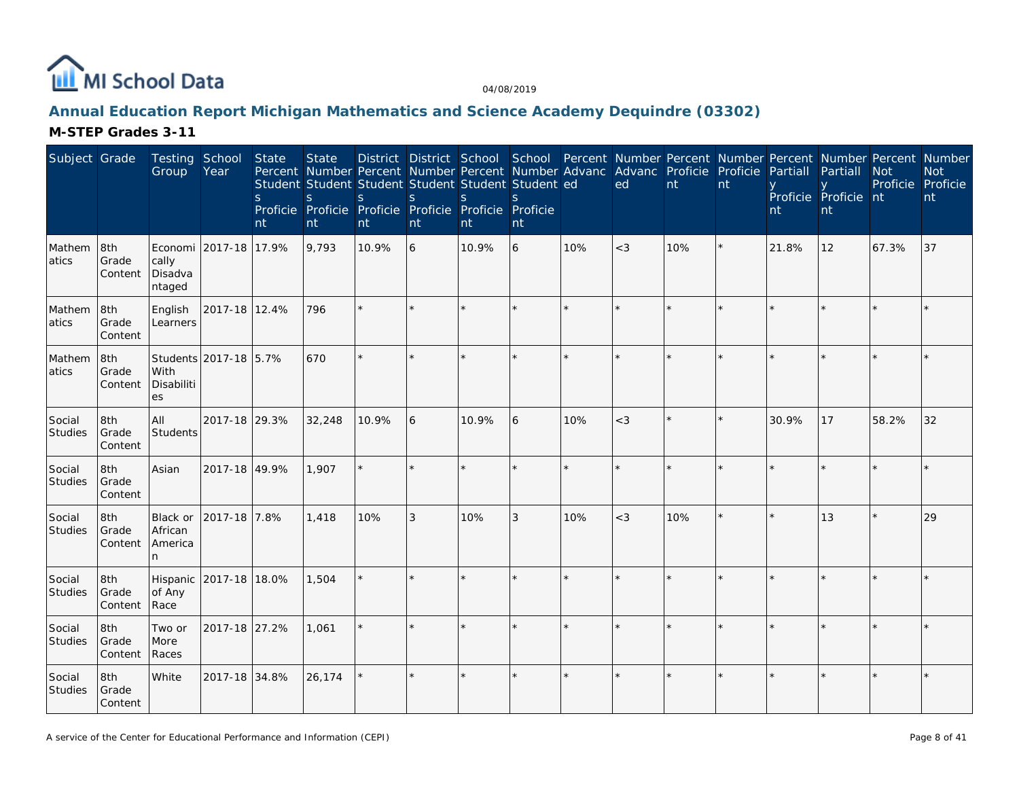

# **Annual Education Report Michigan Mathematics and Science Academy Dequindre (03302)**

| Subject Grade            |                         | Testing School<br>Group               | Year                  | State<br>S<br>nt | <b>State</b><br>Percent Number Percent Number Percent Number Advanc Advanc Proficie<br>Student Student Student Student Student Student ed<br>S<br>Proficie Proficie Proficie Proficie Proficie Proficie<br>nt | S.<br>nt | S<br>nt | S<br>nt | nt      |         | ed      | nt  | Proficie<br>nt | Partiall<br>nt | Partiall<br>Proficie Proficie nt<br>nt | District District School School Percent Number Percent Number Percent Number Percent Number<br><b>Not</b><br>Proficie Proficie | <b>Not</b><br>nt |
|--------------------------|-------------------------|---------------------------------------|-----------------------|------------------|---------------------------------------------------------------------------------------------------------------------------------------------------------------------------------------------------------------|----------|---------|---------|---------|---------|---------|-----|----------------|----------------|----------------------------------------|--------------------------------------------------------------------------------------------------------------------------------|------------------|
| Mathem<br>atics          | 8th<br>Grade<br>Content | Economi<br>cally<br>Disadva<br>ntaged | 2017-18 17.9%         |                  | 9,793                                                                                                                                                                                                         | 10.9%    | 6       | 10.9%   | 6       | 10%     | $<$ 3   | 10% |                | 21.8%          | 12                                     | 67.3%                                                                                                                          | 37               |
| Mathem<br>atics          | 8th<br>Grade<br>Content | English<br>Learners                   | 2017-18 12.4%         |                  | 796                                                                                                                                                                                                           |          |         |         |         |         |         |     |                |                |                                        |                                                                                                                                |                  |
| Mathem<br>atics          | 8th<br>Grade<br>Content | With<br>Disabiliti<br>es              | Students 2017-18 5.7% |                  | 670                                                                                                                                                                                                           |          |         |         | ÷       |         |         |     |                |                |                                        |                                                                                                                                |                  |
| Social<br>Studies        | 8th<br>Grade<br>Content | All<br>Students                       | 2017-18 29.3%         |                  | 32,248                                                                                                                                                                                                        | 10.9%    | 6       | 10.9%   | 6       | 10%     | $<$ 3   |     | $\star$        | 30.9%          | 17                                     | 58.2%                                                                                                                          | 32               |
| Social<br>Studies        | 8th<br>Grade<br>Content | Asian                                 | 2017-18 49.9%         |                  | 1,907                                                                                                                                                                                                         |          |         |         |         |         |         |     |                |                |                                        |                                                                                                                                |                  |
| Social<br><b>Studies</b> | 8th<br>Grade<br>Content | Black or<br>African<br>America<br>n.  | 2017-18 7.8%          |                  | 1,418                                                                                                                                                                                                         | 10%      | 3       | 10%     | 3       | 10%     | $<$ 3   | 10% |                |                | 13                                     |                                                                                                                                | 29               |
| Social<br>Studies        | 8th<br>Grade<br>Content | Hispanic<br>of Any<br>Race            | 2017-18 18.0%         |                  | 1,504                                                                                                                                                                                                         |          |         |         |         |         |         |     |                |                |                                        |                                                                                                                                |                  |
| Social<br>Studies        | 8th<br>Grade<br>Content | Two or<br>More<br>Races               | 2017-18 27.2%         |                  | 1,061                                                                                                                                                                                                         |          | $\star$ |         | ÷.      | $\star$ | $\star$ |     |                |                |                                        |                                                                                                                                |                  |
| Social<br><b>Studies</b> | 8th<br>Grade<br>Content | White                                 | 2017-18 34.8%         |                  | 26,174                                                                                                                                                                                                        |          | $\star$ |         | $\star$ |         |         |     |                |                |                                        |                                                                                                                                |                  |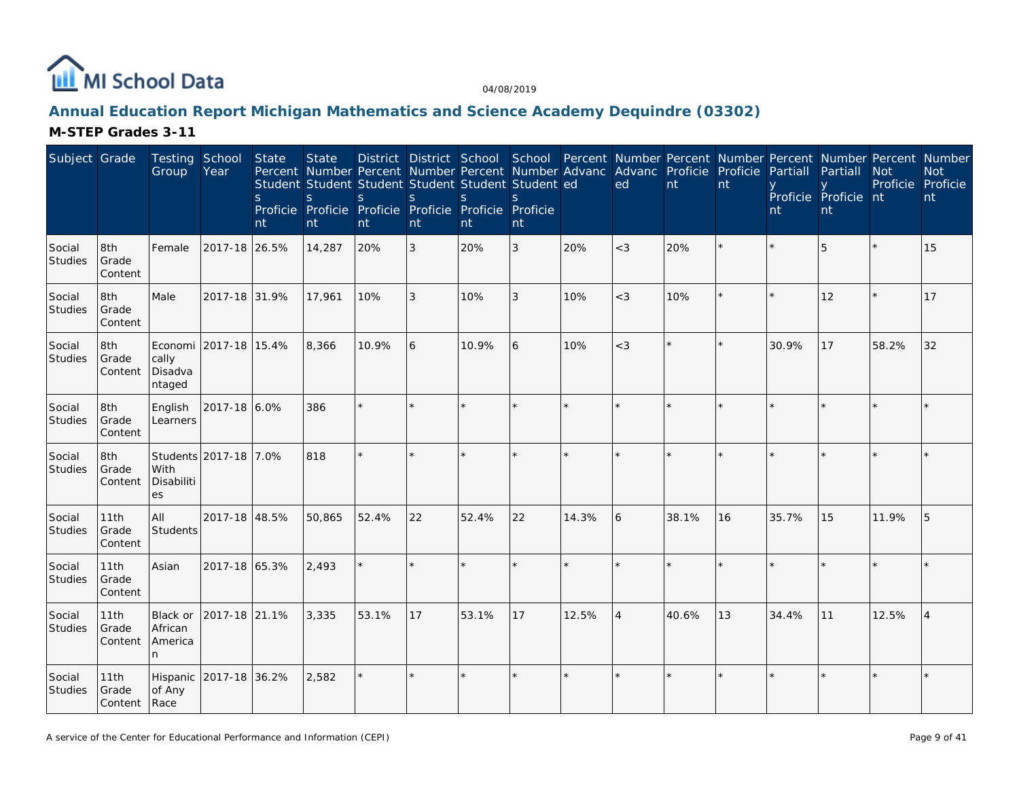

# **Annual Education Report Michigan Mathematics and Science Academy Dequindre (03302)**

| Subject Grade            |                                 | Testing School<br>Group              | Year                   | State<br>S<br>nt | <b>State</b><br>Student Student Student Student Student Student ed<br>S.<br>Proficie Proficie Proficie Proficie Proficie Proficie<br>nt | S.<br>nt | <sup>S</sup><br>nt | S.<br>nt | S.<br>nt       |         | District District School School Percent Number Percent Number Percent Number Percent Number<br>Percent Number Percent Number Percent Number Advanc Advanc Proficie Proficie Partiall<br>ed | nt      | nt           | nt      | Partiall<br>Proficie Proficie nt<br>nt | <b>Not</b><br>Proficie Proficie | <b>Not</b><br>nt |
|--------------------------|---------------------------------|--------------------------------------|------------------------|------------------|-----------------------------------------------------------------------------------------------------------------------------------------|----------|--------------------|----------|----------------|---------|--------------------------------------------------------------------------------------------------------------------------------------------------------------------------------------------|---------|--------------|---------|----------------------------------------|---------------------------------|------------------|
| Social<br>Studies        | 8th<br>Grade<br>Content         | Female                               | 2017-18 26.5%          |                  | 14,287                                                                                                                                  | 20%      | 3                  | 20%      | 3              | 20%     | $<$ 3                                                                                                                                                                                      | 20%     |              |         | 5                                      |                                 | 15               |
| Social<br>Studies        | 8th<br>Grade<br>Content         | Male                                 | 2017-18 31.9%          |                  | 17,961                                                                                                                                  | 10%      | 3                  | 10%      | $\mathfrak{Z}$ | 10%     | $<$ 3                                                                                                                                                                                      | 10%     |              | $\star$ | 12                                     |                                 | 17               |
| Social<br>Studies        | 8th<br>Grade<br>Content         | cally<br>Disadva<br>ntaged           | Economi 2017-18 15.4%  |                  | 8,366                                                                                                                                   | 10.9%    | 6                  | 10.9%    | 6              | 10%     | $<$ 3                                                                                                                                                                                      | $\star$ |              | 30.9%   | 17                                     | 58.2%                           | 32               |
| Social<br><b>Studies</b> | 8th<br>Grade<br>Content         | English<br>Learners                  | 2017-18 6.0%           |                  | 386                                                                                                                                     |          |                    |          | ÷.             | $\star$ |                                                                                                                                                                                            | $\star$ |              |         |                                        |                                 |                  |
| Social<br>Studies        | 8th<br>Grade<br>Content         | With<br>Disabiliti<br>es             | Students 2017-18 7.0%  |                  | 818                                                                                                                                     |          |                    | $\star$  | ÷.             |         |                                                                                                                                                                                            | ×.      |              |         |                                        |                                 |                  |
| Social<br>Studies        | 11th<br>Grade<br>Content        | lail<br>Students                     | 2017-18 48.5%          |                  | 50,865                                                                                                                                  | 52.4%    | 22                 | 52.4%    | 22             | 14.3%   | 6                                                                                                                                                                                          | 38.1%   | 16           | 35.7%   | 15                                     | 11.9%                           | 5                |
| Social<br>Studies        | 11th<br>Grade<br>Content        | Asian                                | 2017-18 65.3%          |                  | 2.493                                                                                                                                   |          |                    | $\star$  | $\star$        |         |                                                                                                                                                                                            | $\star$ |              |         |                                        |                                 |                  |
| Social<br>Studies        | 11th<br>Grade<br>Content        | Black or<br>African<br>America<br>n. | 2017-18 21.1%          |                  | 3,335                                                                                                                                   | 53.1%    | 17                 | 53.1%    | 17             | 12.5%   | $\overline{4}$                                                                                                                                                                             | 40.6%   | 13           | 34.4%   | 11                                     | 12.5%                           | $\overline{4}$   |
| Social<br><b>Studies</b> | 11th<br>Grade<br>Content   Race | of Any                               | Hispanic 2017-18 36.2% |                  | 2,582                                                                                                                                   |          | ÷                  | $\star$  | $\star$        | ÷       |                                                                                                                                                                                            | ÷.      | $\mathbf{d}$ |         |                                        |                                 |                  |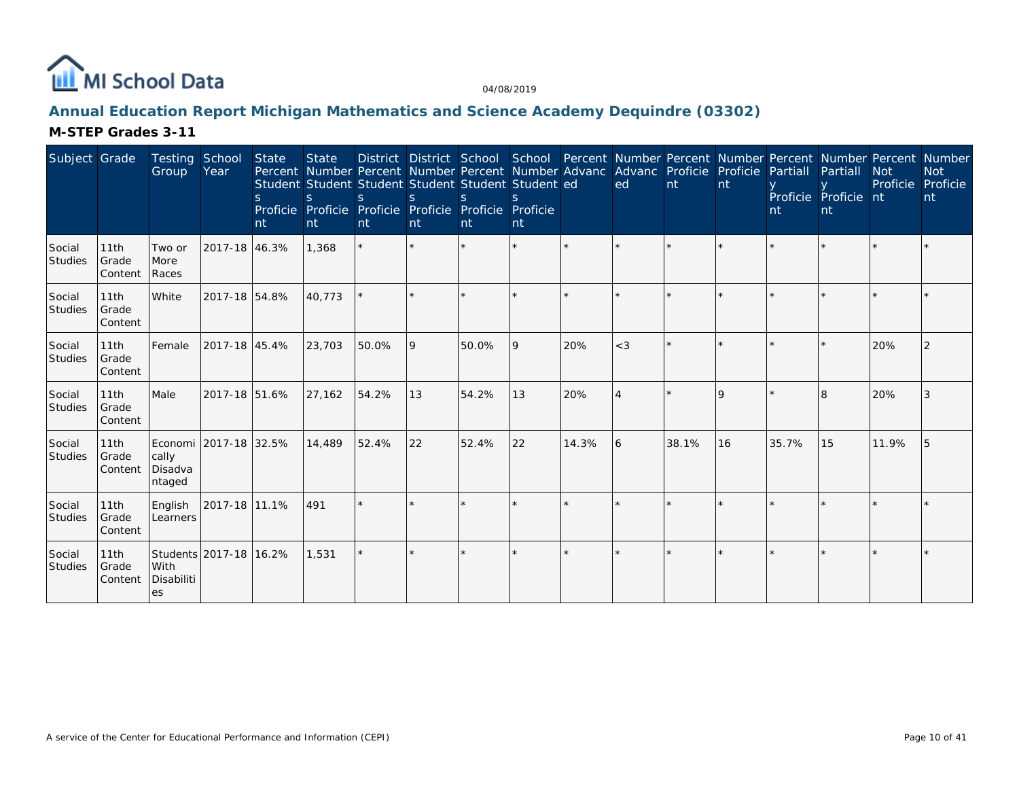

# **Annual Education Report Michigan Mathematics and Science Academy Dequindre (03302)**

| Subject Grade            |                          | Testing School<br>Group                             | Year                   | State<br>S.<br>nt | <b>State</b><br>Student Student Student Student Student Student ed<br>S.<br>Proficie Proficie Proficie Proficie Proficie Proficie<br>nt | S.<br>nt | nt | nt    | nt       |       | District District School School Percent Number Percent Number Percent Number Percent Number<br>Percent Number Percent Number Percent Number Advanc Advanc Proficie Proficie<br>ed | nt    | <b>nt</b> | Partiall<br>nt | Partiall<br>Proficie Proficie nt<br>nt | <b>Not</b><br>Proficie | <b>Not</b><br>Proficie<br>nt |
|--------------------------|--------------------------|-----------------------------------------------------|------------------------|-------------------|-----------------------------------------------------------------------------------------------------------------------------------------|----------|----|-------|----------|-------|-----------------------------------------------------------------------------------------------------------------------------------------------------------------------------------|-------|-----------|----------------|----------------------------------------|------------------------|------------------------------|
| Social<br>Studies        | 11th<br>Grade<br>Content | Two or<br>More<br>Races                             | 2017-18 46.3%          |                   | 1,368                                                                                                                                   |          |    |       | $\star$  |       |                                                                                                                                                                                   |       |           |                |                                        |                        |                              |
| Social<br><b>Studies</b> | 11th<br>Grade<br>Content | White                                               | 2017-18 54.8%          |                   | 40,773                                                                                                                                  |          |    |       |          |       |                                                                                                                                                                                   |       |           |                |                                        |                        |                              |
| Social<br><b>Studies</b> | 11th<br>Grade<br>Content | Female                                              | 2017-18 45.4%          |                   | 23,703                                                                                                                                  | 50.0%    | 9  | 50.0% | <b>9</b> | 20%   | $<$ 3                                                                                                                                                                             |       | ÷         |                |                                        | 20%                    |                              |
| Social<br>Studies        | 11th<br>Grade<br>Content | Male                                                | 2017-18 51.6%          |                   | 27,162                                                                                                                                  | 54.2%    | 13 | 54.2% | 13       | 20%   | $\overline{A}$                                                                                                                                                                    |       | 9         |                | $\overline{\mathsf{B}}$                | 20%                    | 3                            |
| Social<br>Studies        | 11th<br>Grade<br>Content | Economi 2017-18 32.5%<br>cally<br>Disadva<br>ntaged |                        |                   | 14,489                                                                                                                                  | 52.4%    | 22 | 52.4% | 22       | 14.3% | 6                                                                                                                                                                                 | 38.1% | 16        | 35.7%          | 15                                     | 11.9%                  | 15                           |
| Social<br><b>Studies</b> | 11th<br>Grade<br>Content | English<br>Learners                                 | 2017-18 11.1%          |                   | 491                                                                                                                                     |          |    |       |          |       |                                                                                                                                                                                   |       |           |                |                                        |                        |                              |
| Social<br>Studies        | 11th<br>Grade<br>Content | With<br>Disabiliti<br>es                            | Students 2017-18 16.2% |                   | 1,531                                                                                                                                   |          |    |       | $\star$  |       |                                                                                                                                                                                   |       |           |                |                                        |                        |                              |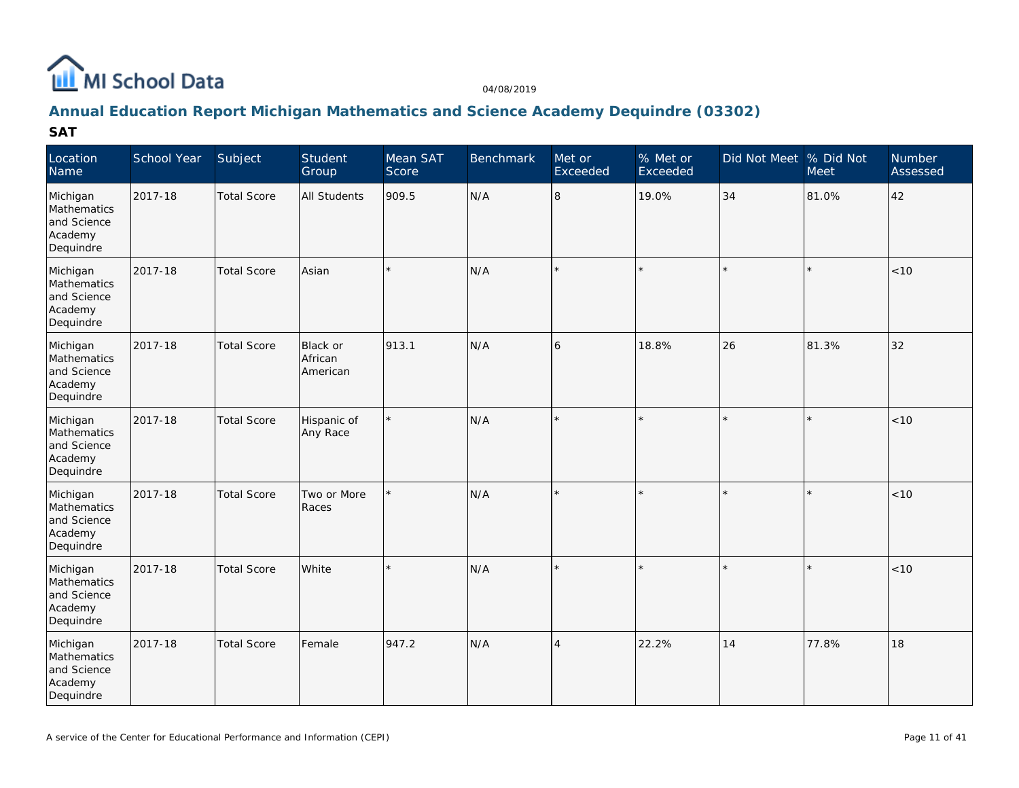

### **Annual Education Report Michigan Mathematics and Science Academy Dequindre (03302)**

| Location<br>Name                                               | School Year | Subject            | Student<br>Group                | Mean SAT<br>Score | <b>Benchmark</b> | Met or<br>Exceeded | % Met or<br>Exceeded | Did Not Meet % Did Not | Meet    | Number<br>Assessed |
|----------------------------------------------------------------|-------------|--------------------|---------------------------------|-------------------|------------------|--------------------|----------------------|------------------------|---------|--------------------|
| Michigan<br>Mathematics<br>and Science<br>Academy<br>Dequindre | 2017-18     | <b>Total Score</b> | <b>All Students</b>             | 909.5             | N/A              | 8                  | 19.0%                | 34                     | 81.0%   | 42                 |
| Michigan<br>Mathematics<br>and Science<br>Academy<br>Dequindre | 2017-18     | <b>Total Score</b> | Asian                           | $\star$           | N/A              |                    |                      | $\star$                | $\star$ | < 10               |
| Michigan<br>Mathematics<br>and Science<br>Academy<br>Dequindre | 2017-18     | <b>Total Score</b> | Black or<br>African<br>American | 913.1             | N/A              | 6                  | 18.8%                | 26                     | 81.3%   | 32                 |
| Michigan<br>Mathematics<br>and Science<br>Academy<br>Dequindre | 2017-18     | <b>Total Score</b> | Hispanic of<br>Any Race         |                   | N/A              |                    |                      | $\star$                | $\star$ | < 10               |
| Michigan<br>Mathematics<br>and Science<br>Academy<br>Dequindre | 2017-18     | <b>Total Score</b> | Two or More<br>Races            |                   | N/A              |                    |                      | $\star$                | $\star$ | < 10               |
| Michigan<br>Mathematics<br>and Science<br>Academy<br>Dequindre | 2017-18     | <b>Total Score</b> | White                           |                   | N/A              |                    |                      | $\star$                | $\star$ | <10                |
| Michigan<br>Mathematics<br>and Science<br>Academy<br>Dequindre | 2017-18     | <b>Total Score</b> | Female                          | 947.2             | N/A              | $\overline{4}$     | 22.2%                | 14                     | 77.8%   | 18                 |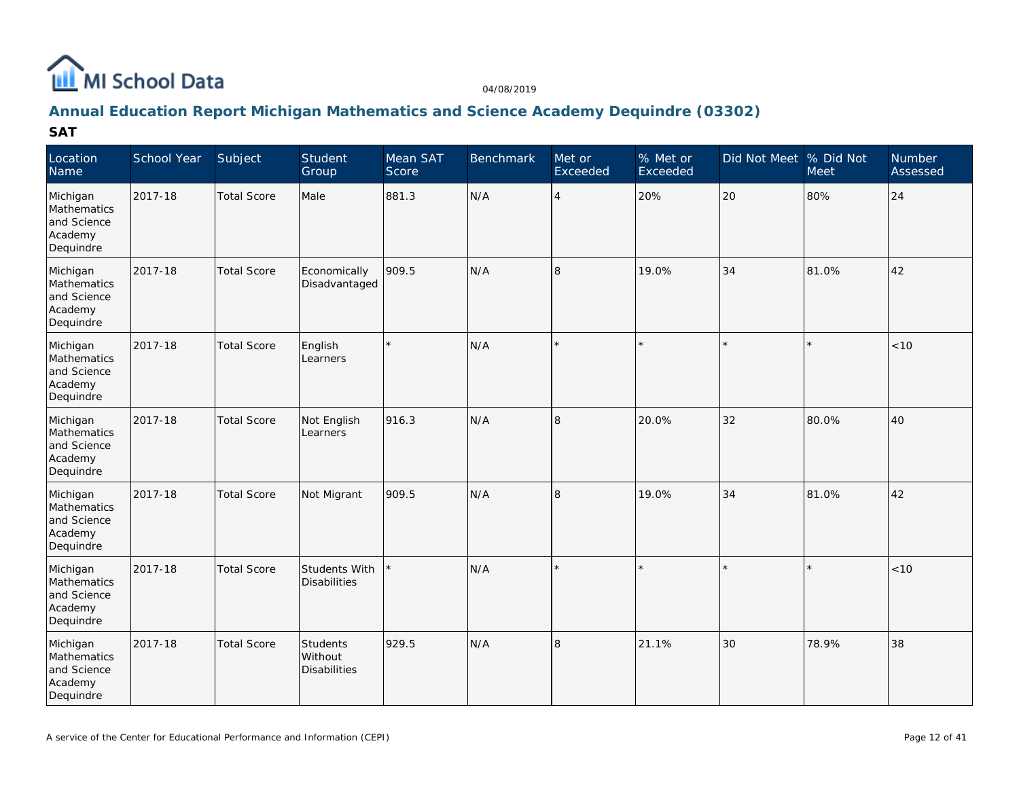

### **Annual Education Report Michigan Mathematics and Science Academy Dequindre (03302)**

| Location<br>Name                                               | School Year | Subject            | Student<br>Group                           | Mean SAT<br>Score | <b>Benchmark</b> | Met or<br>Exceeded | % Met or<br>Exceeded | Did Not Meet % Did Not | Meet    | Number<br>Assessed |
|----------------------------------------------------------------|-------------|--------------------|--------------------------------------------|-------------------|------------------|--------------------|----------------------|------------------------|---------|--------------------|
| Michigan<br>Mathematics<br>and Science<br>Academy<br>Dequindre | 2017-18     | <b>Total Score</b> | Male                                       | 881.3             | N/A              | $\overline{4}$     | 20%                  | 20                     | 80%     | $ 24\rangle$       |
| Michigan<br>Mathematics<br>and Science<br>Academy<br>Dequindre | 2017-18     | <b>Total Score</b> | Economically<br>Disadvantaged              | 909.5             | N/A              | 8                  | 19.0%                | 34                     | 81.0%   | 42                 |
| Michigan<br>Mathematics<br>and Science<br>Academy<br>Dequindre | 2017-18     | <b>Total Score</b> | English<br>Learners                        |                   | N/A              |                    |                      | $\star$                | ×.      | < 10               |
| Michigan<br>Mathematics<br>and Science<br>Academy<br>Dequindre | 2017-18     | <b>Total Score</b> | Not English<br>Learners                    | 916.3             | N/A              | 8                  | 20.0%                | 32                     | 80.0%   | 40                 |
| Michigan<br>Mathematics<br>and Science<br>Academy<br>Dequindre | 2017-18     | <b>Total Score</b> | Not Migrant                                | 909.5             | N/A              | 8                  | 19.0%                | 34                     | 81.0%   | 42                 |
| Michigan<br>Mathematics<br>and Science<br>Academy<br>Dequindre | 2017-18     | <b>Total Score</b> | Students With<br>Disabilities              |                   | N/A              |                    |                      | $\star$                | $\star$ | < 10               |
| Michigan<br>Mathematics<br>and Science<br>Academy<br>Dequindre | 2017-18     | <b>Total Score</b> | Students<br>Without<br><b>Disabilities</b> | 929.5             | N/A              | 8                  | 21.1%                | 30                     | 78.9%   | 38                 |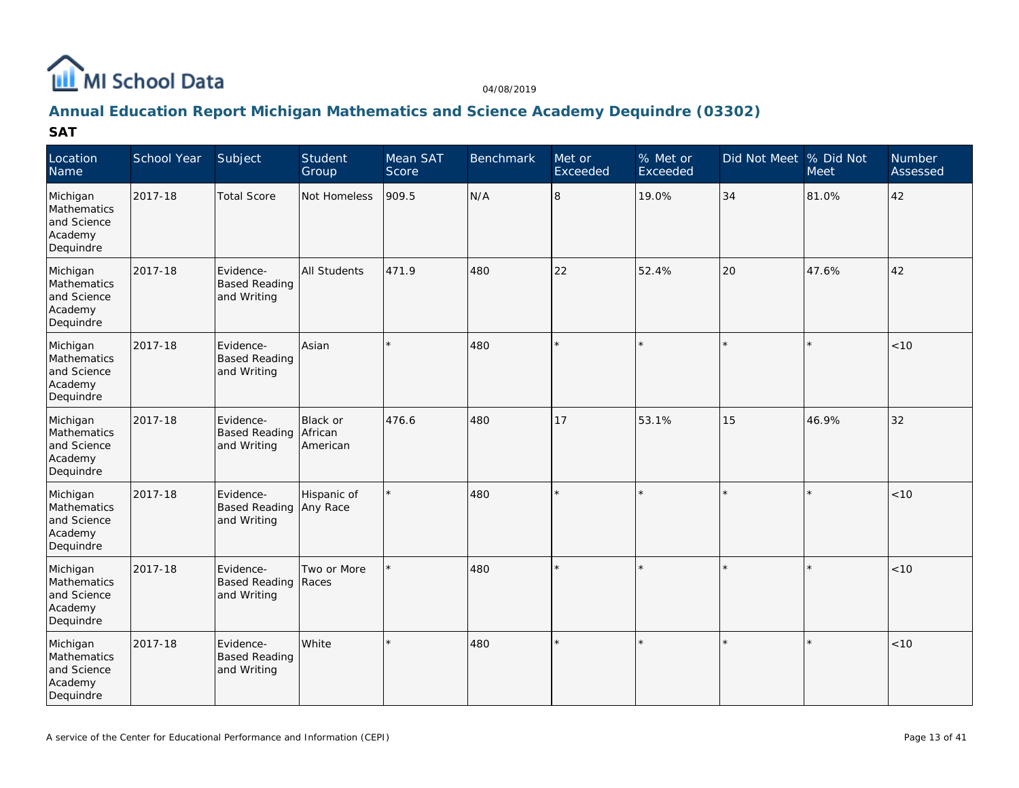

### **Annual Education Report Michigan Mathematics and Science Academy Dequindre (03302)**

| Location<br>Name                                               | School Year | Subject                                            | Student<br>Group                | Mean SAT<br>Score | <b>Benchmark</b> | Met or<br>Exceeded | % Met or<br>Exceeded | Did Not Meet % Did Not | Meet    | Number<br>Assessed |
|----------------------------------------------------------------|-------------|----------------------------------------------------|---------------------------------|-------------------|------------------|--------------------|----------------------|------------------------|---------|--------------------|
| Michigan<br>Mathematics<br>and Science<br>Academy<br>Dequindre | 2017-18     | <b>Total Score</b>                                 | Not Homeless                    | 909.5             | N/A              | 8                  | 19.0%                | 34                     | 81.0%   | 42                 |
| Michigan<br>Mathematics<br>and Science<br>Academy<br>Dequindre | 2017-18     | Evidence-<br><b>Based Reading</b><br>and Writing   | <b>All Students</b>             | 471.9             | 480              | 22                 | 52.4%                | 20                     | 47.6%   | 42                 |
| Michigan<br>Mathematics<br>and Science<br>Academy<br>Dequindre | 2017-18     | Evidence-<br><b>Based Reading</b><br>and Writing   | Asian                           |                   | 480              |                    |                      | $\star$                |         | < 10               |
| Michigan<br>Mathematics<br>and Science<br>Academy<br>Dequindre | 2017-18     | Evidence-<br><b>Based Reading</b><br>and Writing   | Black or<br>African<br>American | 476.6             | 480              | 17                 | 53.1%                | 15                     | 46.9%   | 32                 |
| Michigan<br>Mathematics<br>and Science<br>Academy<br>Dequindre | 2017-18     | Evidence-<br>Based Reading Any Race<br>and Writing | Hispanic of                     |                   | 480              |                    |                      | $\star$                | k       | < 10               |
| Michigan<br>Mathematics<br>and Science<br>Academy<br>Dequindre | 2017-18     | Evidence-<br>Based Reading   Races<br>and Writing  | Two or More                     |                   | 480              |                    |                      | ×.                     | k       | $<10$              |
| Michigan<br>Mathematics<br>and Science<br>Academy<br>Dequindre | 2017-18     | Evidence-<br><b>Based Reading</b><br>and Writing   | White                           | $\star$           | 480              |                    |                      | $\star$                | $\star$ | < 10               |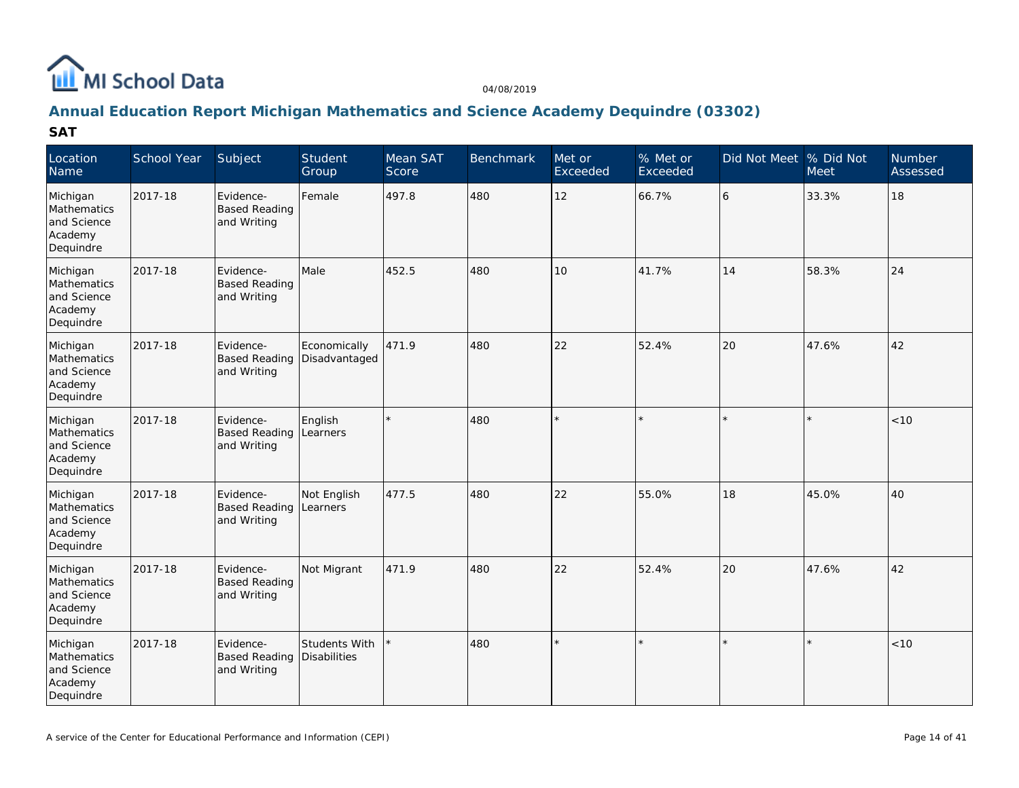

# **Annual Education Report Michigan Mathematics and Science Academy Dequindre (03302)**

| Location<br>Name                                               | School Year | Subject                                          | Student<br>Group              | Mean SAT<br>Score | <b>Benchmark</b> | Met or<br>Exceeded | % Met or<br>Exceeded | Did Not Meet  % Did Not | Meet    | Number<br>Assessed |
|----------------------------------------------------------------|-------------|--------------------------------------------------|-------------------------------|-------------------|------------------|--------------------|----------------------|-------------------------|---------|--------------------|
| Michigan<br>Mathematics<br>and Science<br>Academy<br>Dequindre | 2017-18     | Evidence-<br><b>Based Reading</b><br>and Writing | Female                        | 497.8             | 480              | 12                 | 66.7%                | 6                       | 33.3%   | 18                 |
| Michigan<br>Mathematics<br>and Science<br>Academy<br>Dequindre | 2017-18     | Evidence-<br><b>Based Reading</b><br>and Writing | Male                          | 452.5             | 480              | 10                 | 41.7%                | 14                      | 58.3%   | 24                 |
| Michigan<br>Mathematics<br>and Science<br>Academy<br>Dequindre | 2017-18     | Evidence-<br><b>Based Reading</b><br>and Writing | Economically<br>Disadvantaged | 471.9             | 480              | 22                 | 52.4%                | 20                      | 47.6%   | 42                 |
| Michigan<br>Mathematics<br>and Science<br>Academy<br>Dequindre | 2017-18     | Evidence-<br><b>Based Reading</b><br>and Writing | English<br>Learners           |                   | 480              |                    |                      | $\star$                 | ×.      | < 10               |
| Michigan<br>Mathematics<br>and Science<br>Academy<br>Dequindre | 2017-18     | Evidence-<br><b>Based Reading</b><br>and Writing | Not English<br>Learners       | 477.5             | 480              | 22                 | 55.0%                | 18                      | 45.0%   | 40                 |
| Michigan<br>Mathematics<br>and Science<br>Academy<br>Dequindre | 2017-18     | Evidence-<br><b>Based Reading</b><br>and Writing | Not Migrant                   | 471.9             | 480              | 22                 | 52.4%                | 20                      | 47.6%   | 42                 |
| Michigan<br>Mathematics<br>and Science<br>Academy<br>Dequindre | 2017-18     | Evidence-<br><b>Based Reading</b><br>and Writing | Students With<br>Disabilities |                   | 480              |                    |                      | $\star$                 | $\star$ | < 10               |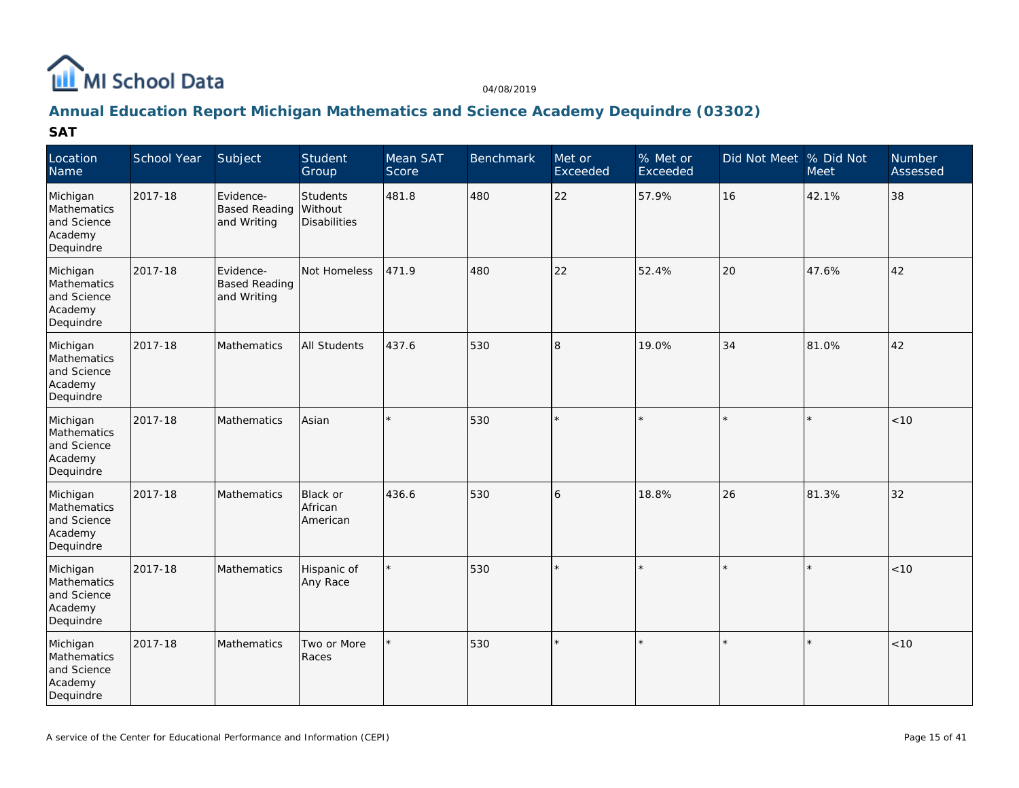

### **Annual Education Report Michigan Mathematics and Science Academy Dequindre (03302)**

| Location<br>Name                                               | School Year | Subject                                          | Student<br>Group                    | Mean SAT<br>Score | <b>Benchmark</b> | Met or<br>Exceeded | $%$ Met or<br>Exceeded | Did Not Meet % Did Not | Meet    | Number<br>Assessed |
|----------------------------------------------------------------|-------------|--------------------------------------------------|-------------------------------------|-------------------|------------------|--------------------|------------------------|------------------------|---------|--------------------|
| Michigan<br>Mathematics<br>and Science<br>Academy<br>Dequindre | 2017-18     | Evidence-<br><b>Based Reading</b><br>and Writing | Students<br>Without<br>Disabilities | 481.8             | 480              | 22                 | 57.9%                  | 16                     | 42.1%   | 38                 |
| Michigan<br>Mathematics<br>and Science<br>Academy<br>Dequindre | 2017-18     | Evidence-<br><b>Based Reading</b><br>and Writing | Not Homeless                        | 471.9             | 480              | 22                 | 52.4%                  | 20                     | 47.6%   | 42                 |
| Michigan<br>Mathematics<br>and Science<br>Academy<br>Dequindre | 2017-18     | Mathematics                                      | <b>All Students</b>                 | 437.6             | 530              | l8                 | 19.0%                  | 34                     | 81.0%   | 42                 |
| Michigan<br>Mathematics<br>and Science<br>Academy<br>Dequindre | 2017-18     | <b>Mathematics</b>                               | Asian                               |                   | 530              |                    |                        |                        |         | < 10               |
| Michigan<br>Mathematics<br>and Science<br>Academy<br>Dequindre | 2017-18     | Mathematics                                      | Black or<br>African<br>American     | 436.6             | 530              | 6                  | 18.8%                  | 26                     | 81.3%   | 32                 |
| Michigan<br>Mathematics<br>and Science<br>Academy<br>Dequindre | 2017-18     | Mathematics                                      | Hispanic of<br>Any Race             |                   | 530              |                    |                        |                        | k       | <10                |
| Michigan<br>Mathematics<br>and Science<br>Academy<br>Dequindre | 2017-18     | Mathematics                                      | Two or More<br>Races                |                   | 530              |                    |                        | $\star$                | $\star$ | < 10               |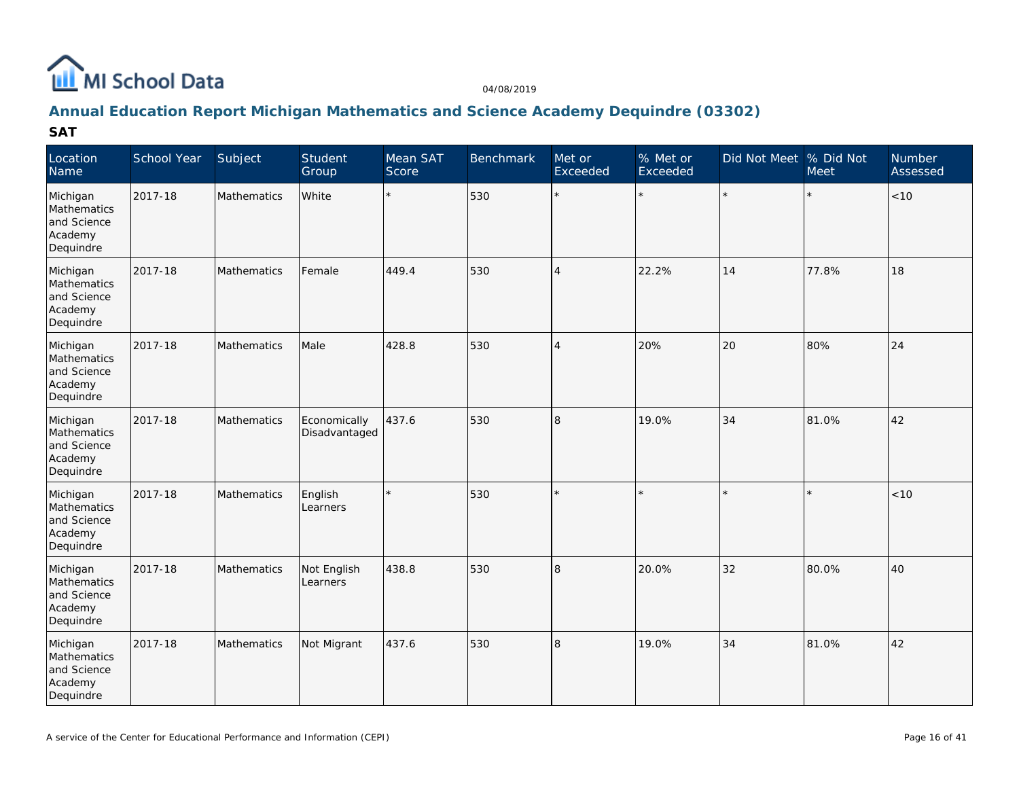

### **Annual Education Report Michigan Mathematics and Science Academy Dequindre (03302)**

| Location<br>Name                                               | School Year | Subject     | Student<br>Group              | Mean SAT<br>Score | Benchmark | Met or<br>Exceeded | % Met or<br>Exceeded | Did Not Meet % Did Not | <b>Meet</b> | <b>Number</b><br>Assessed |
|----------------------------------------------------------------|-------------|-------------|-------------------------------|-------------------|-----------|--------------------|----------------------|------------------------|-------------|---------------------------|
| Michigan<br>Mathematics<br>and Science<br>Academy<br>Dequindre | 2017-18     | Mathematics | White                         | $\star$           | 530       | $\star$            | $\star$              |                        |             | $ $ < 10                  |
| Michigan<br>Mathematics<br>and Science<br>Academy<br>Dequindre | 2017-18     | Mathematics | Female                        | 449.4             | 530       | $\overline{4}$     | 22.2%                | 14                     | 77.8%       | 18                        |
| Michigan<br>Mathematics<br>and Science<br>Academy<br>Dequindre | 2017-18     | Mathematics | Male                          | 428.8             | 530       | $\overline{4}$     | 20%                  | 20                     | 80%         | 24                        |
| Michigan<br>Mathematics<br>and Science<br>Academy<br>Dequindre | 2017-18     | Mathematics | Economically<br>Disadvantaged | 437.6             | 530       | 8                  | 19.0%                | 34                     | 81.0%       | 42                        |
| Michigan<br>Mathematics<br>and Science<br>Academy<br>Dequindre | 2017-18     | Mathematics | English<br>Learners           | $\star$           | 530       |                    |                      |                        |             | < 10                      |
| Michigan<br>Mathematics<br>and Science<br>Academy<br>Dequindre | 2017-18     | Mathematics | Not English<br>Learners       | 438.8             | 530       | 8                  | 20.0%                | 32                     | 80.0%       | 40                        |
| Michigan<br>Mathematics<br>and Science<br>Academy<br>Dequindre | 2017-18     | Mathematics | Not Migrant                   | 437.6             | 530       | 8                  | 19.0%                | 34                     | 81.0%       | 42                        |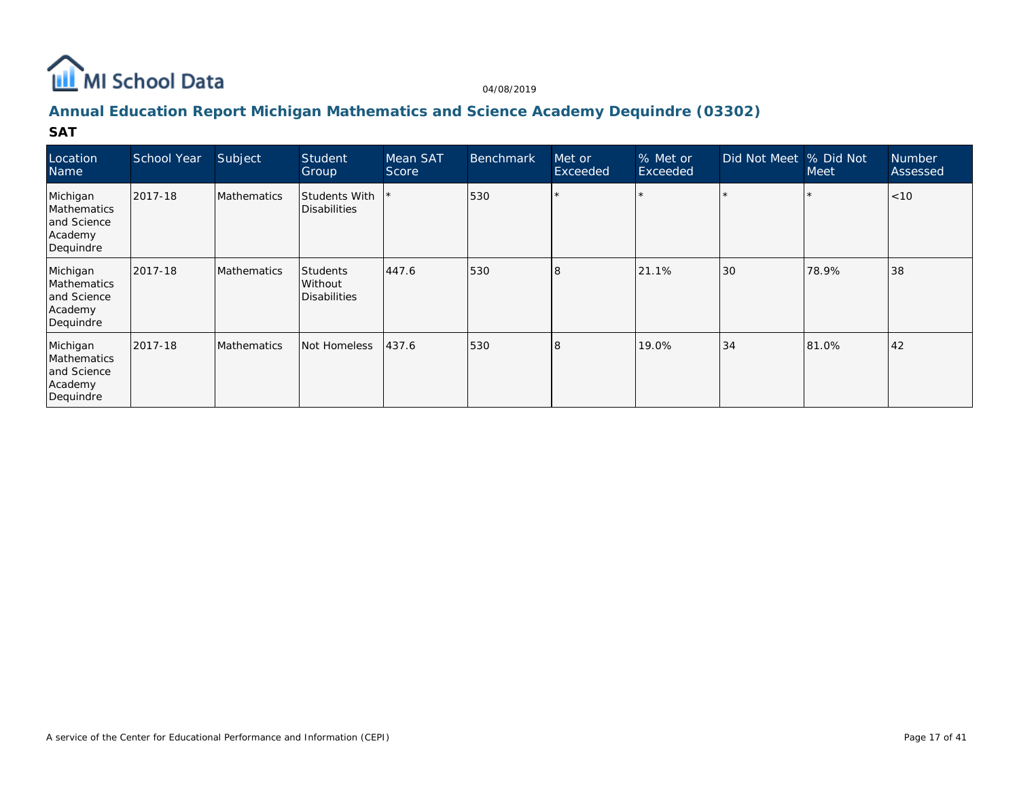

### **Annual Education Report Michigan Mathematics and Science Academy Dequindre (03302)**

| Location<br>Name                                               | School Year | Subject     | Student<br>Group                     | Mean SAT<br>Score | <b>Benchmark</b> | Met or<br>Exceeded | % Met or<br>Exceeded | Did Not Meet | % Did Not<br>Meet | <b>Number</b><br>Assessed |
|----------------------------------------------------------------|-------------|-------------|--------------------------------------|-------------------|------------------|--------------------|----------------------|--------------|-------------------|---------------------------|
| Michigan<br>Mathematics<br>and Science<br>Academy<br>Dequindre | 2017-18     | Mathematics | <b>Students With</b><br>Disabilities |                   | 530              |                    |                      |              |                   | < 10                      |
| Michigan<br>Mathematics<br>and Science<br>Academy<br>Dequindre | 2017-18     | Mathematics | Students<br>Without<br>Disabilities  | 447.6             | 530              | l8                 | 21.1%                | 30           | 78.9%             | 38                        |
| Michigan<br>Mathematics<br>and Science<br>Academy<br>Dequindre | 2017-18     | Mathematics | Not Homeless                         | 437.6             | 530              | $\mathcal{B}$      | 19.0%                | 34           | 81.0%             | 42                        |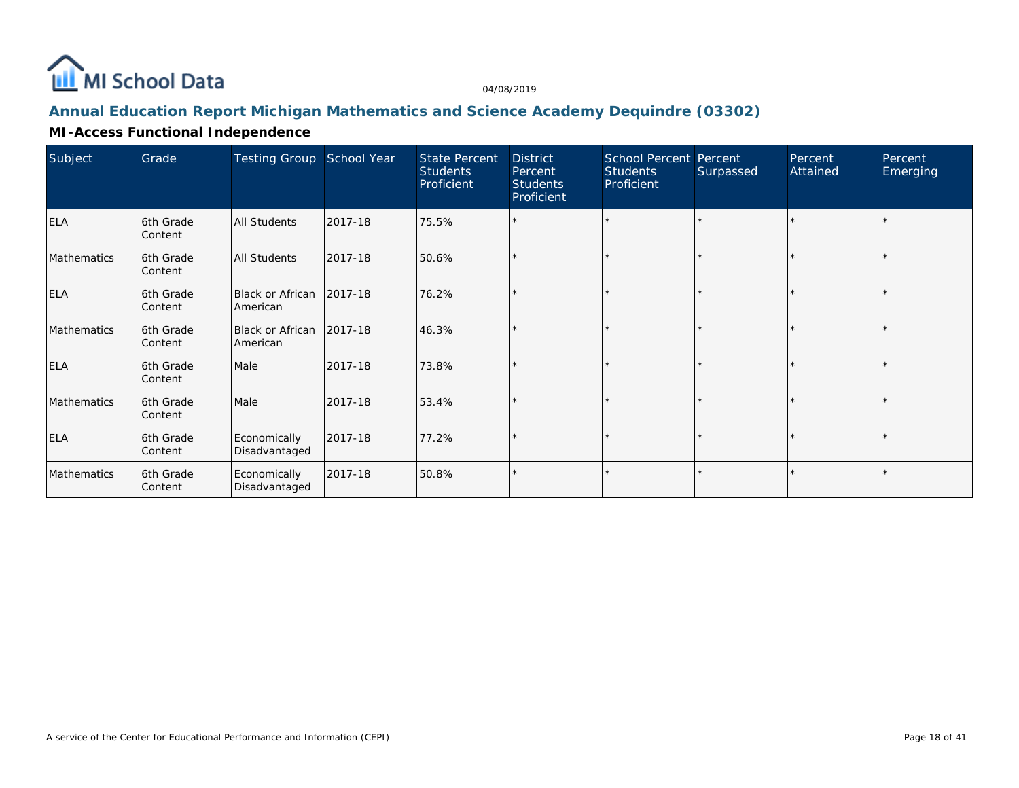

## **Annual Education Report Michigan Mathematics and Science Academy Dequindre (03302)**

### **MI-Access Functional Independence**

| Subject     | Grade                       | <b>Testing Group</b>                   | School Year | <b>State Percent</b><br><b>Students</b><br>Proficient | <b>District</b><br>Percent<br><b>Students</b><br>Proficient | <b>School Percent Percent</b><br><b>Students</b><br>Proficient | Surpassed | Percent<br>Attained | Percent<br>Emerging |
|-------------|-----------------------------|----------------------------------------|-------------|-------------------------------------------------------|-------------------------------------------------------------|----------------------------------------------------------------|-----------|---------------------|---------------------|
| <b>ELA</b>  | 6th Grade<br>Content        | <b>All Students</b>                    | 2017-18     | 75.5%                                                 | $\star$                                                     | $\star$                                                        |           |                     |                     |
| Mathematics | 6th Grade<br>Content        | <b>All Students</b>                    | 2017-18     | 50.6%                                                 | ×                                                           | $\star$                                                        |           |                     |                     |
| <b>ELA</b>  | 6th Grade<br>Content        | Black or African<br>American           | 2017-18     | 76.2%                                                 | $\star$                                                     | $\star$                                                        |           |                     |                     |
| Mathematics | 6th Grade<br>Content        | Black or African   2017-18<br>American |             | 46.3%                                                 | $\star$                                                     | $\star$                                                        |           |                     |                     |
| <b>ELA</b>  | 6th Grade<br>Content        | Male                                   | 2017-18     | 73.8%                                                 | $\star$                                                     | $\star$                                                        |           | $\star$             |                     |
| Mathematics | 6th Grade<br>Content        | Male                                   | 2017-18     | 53.4%                                                 | $\star$                                                     | $\star$                                                        |           |                     |                     |
| <b>ELA</b>  | 6th Grade<br>Content        | Economically<br>Disadvantaged          | 2017-18     | 77.2%                                                 | ×.                                                          | $\star$                                                        |           |                     |                     |
| Mathematics | 6th Grade<br><b>Content</b> | Economically<br>Disadvantaged          | 2017-18     | 50.8%                                                 | $\star$                                                     | $\star$                                                        |           | $\star$             |                     |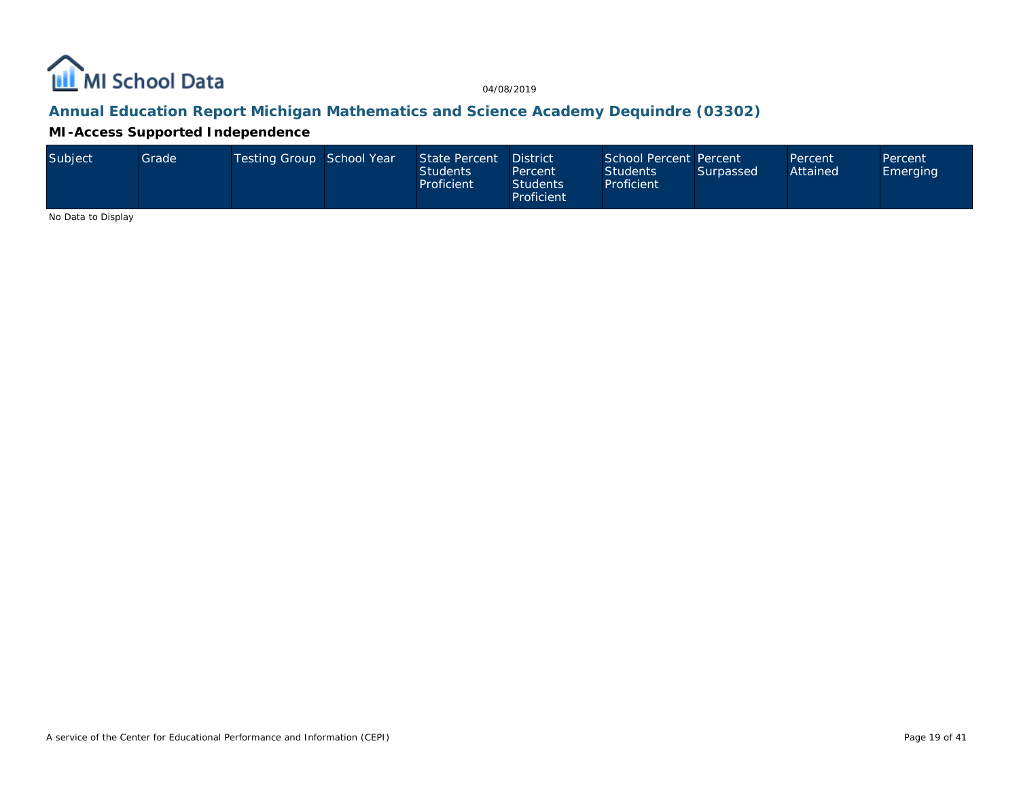

### **Annual Education Report Michigan Mathematics and Science Academy Dequindre (03302)**

**MI-Access Supported Independence**

| Subject | Grade | Testing Group School Year |  | State Percent District<br><b>Students</b><br>Proficient | Percent<br><b>Students</b><br>Proficient | School Percent Percent<br><b>Students</b><br>Proficient | Surpassed | Percent<br>Attained | Percent<br>Emerging |
|---------|-------|---------------------------|--|---------------------------------------------------------|------------------------------------------|---------------------------------------------------------|-----------|---------------------|---------------------|
|---------|-------|---------------------------|--|---------------------------------------------------------|------------------------------------------|---------------------------------------------------------|-----------|---------------------|---------------------|

No Data to Display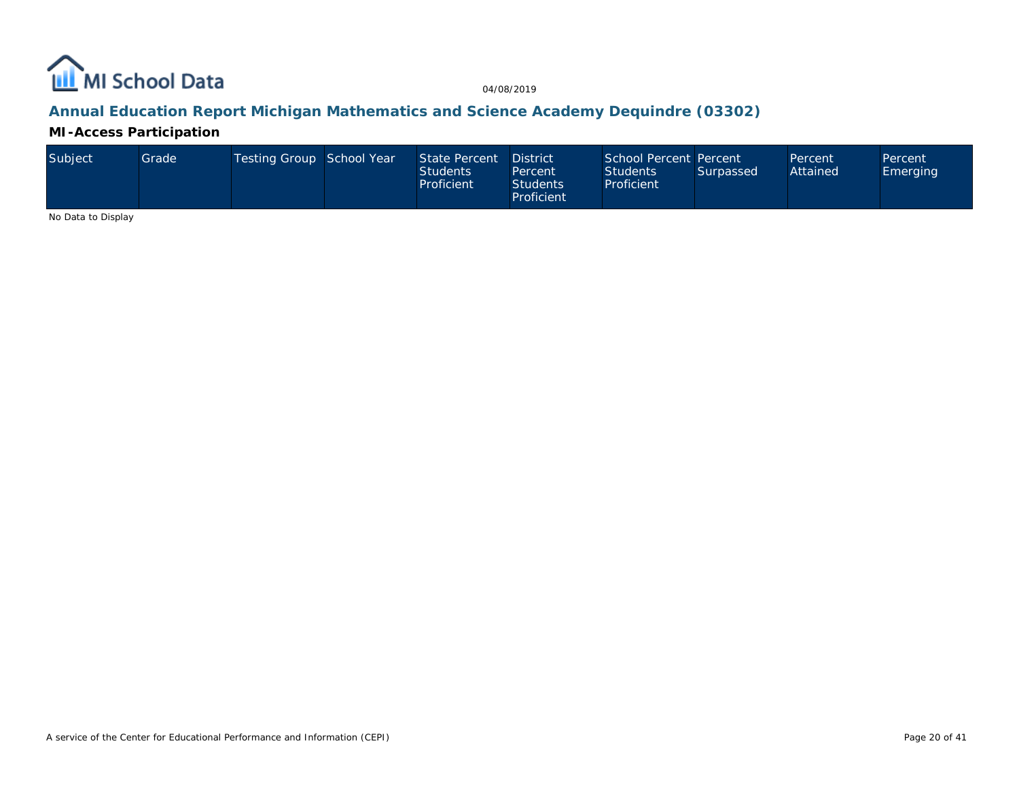

### **Annual Education Report Michigan Mathematics and Science Academy Dequindre (03302)**

**MI-Access Participation**

| Subiect | Grade l | Testing Group School Year |  | State Percent District<br><b>Students</b><br>Proficient | Percent<br><b>Students</b><br>Proficient | School Percent Percent<br><b>Students</b><br>Proficient | Surpassed | Percent<br>Attained | Percent<br><b>Emerging</b> |
|---------|---------|---------------------------|--|---------------------------------------------------------|------------------------------------------|---------------------------------------------------------|-----------|---------------------|----------------------------|
|---------|---------|---------------------------|--|---------------------------------------------------------|------------------------------------------|---------------------------------------------------------|-----------|---------------------|----------------------------|

No Data to Display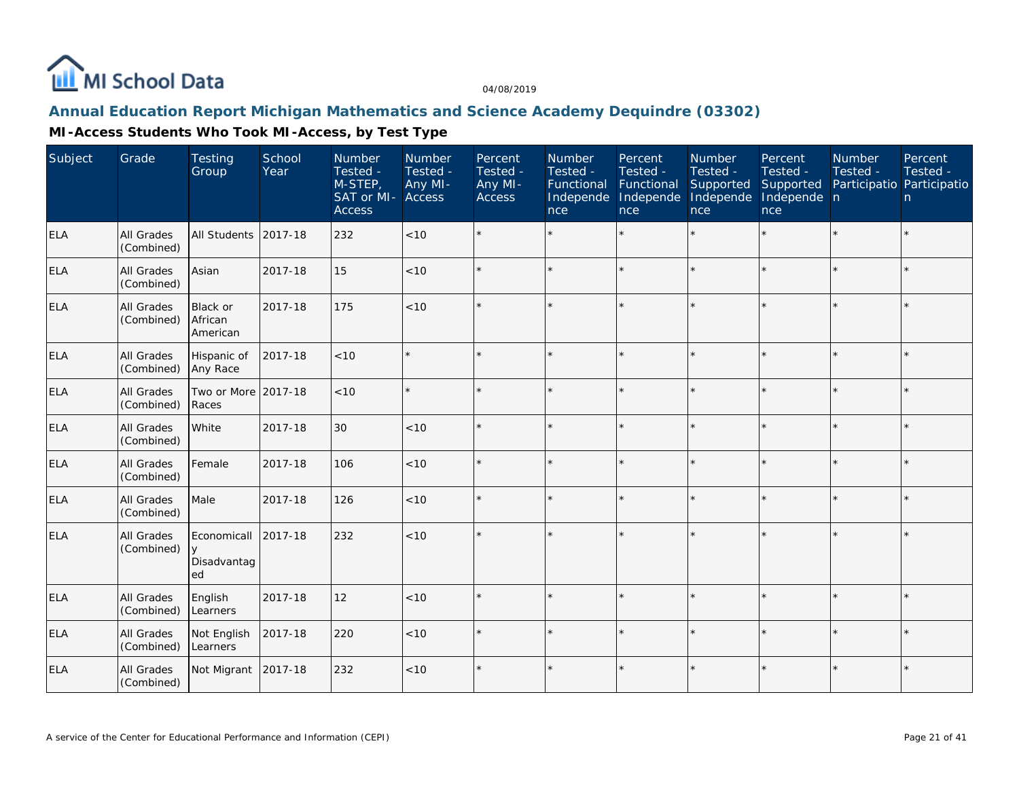

### **Annual Education Report Michigan Mathematics and Science Academy Dequindre (03302)**

| Subject    | Grade                           | <b>Testing</b><br>Group                    | School<br>Year | <b>Number</b><br>Tested -<br>M-STEP,<br>SAT or MI- Access<br><b>Access</b> | Number<br>Tested -<br>Any MI- | Percent<br>Tested -<br>Any MI-<br><b>Access</b> | <b>Number</b><br>Tested -<br>Functional<br>Independe Independe<br>nce | Percent<br>Tested -<br>Functional<br>nce | <b>Number</b><br>Tested -<br>Supported<br>Independe<br>nce | Percent<br>Tested -<br>Supported<br>Independe n<br>nce | <b>Number</b><br>Tested - | Percent<br>Tested -<br>Participatio Participatio<br>n |
|------------|---------------------------------|--------------------------------------------|----------------|----------------------------------------------------------------------------|-------------------------------|-------------------------------------------------|-----------------------------------------------------------------------|------------------------------------------|------------------------------------------------------------|--------------------------------------------------------|---------------------------|-------------------------------------------------------|
| <b>ELA</b> | All Grades<br>(Combined)        | All Students                               | 2017-18        | 232                                                                        | < 10                          | ÷.                                              |                                                                       |                                          | $\star$                                                    | $\star$                                                |                           | $\star$                                               |
| <b>ELA</b> | All Grades<br>(Combined)        | Asian                                      | 2017-18        | 15                                                                         | < 10                          |                                                 |                                                                       |                                          | $\star$                                                    | $\star$                                                | $\star$                   | $\star$                                               |
| <b>ELA</b> | All Grades<br>(Combined)        | Black or<br>African<br>American            | 2017-18        | 175                                                                        | < 10                          | $\star$                                         | ÷,                                                                    | $\star$                                  | $\star$                                                    | $\star$                                                | $\star$                   | $\star$                                               |
| ELA        | All Grades<br>(Combined)        | Hispanic of<br>Any Race                    | 2017-18        | $<10$                                                                      |                               |                                                 |                                                                       |                                          | ×                                                          | $\star$                                                |                           | $\star$                                               |
| <b>ELA</b> | All Grades<br>(Combined)        | Two or More 2017-18<br>Races               |                | $<10$                                                                      |                               |                                                 |                                                                       | $\star$                                  | $\star$                                                    | $\star$                                                |                           | $\star$                                               |
| ELA        | All Grades<br>(Combined)        | White                                      | 2017-18        | 30                                                                         | < 10                          | ÷.                                              |                                                                       |                                          | $\star$                                                    | $\star$                                                |                           | $\star$                                               |
| <b>ELA</b> | All Grades<br>(Combined)        | Female                                     | 2017-18        | 106                                                                        | <10                           | $\star$                                         |                                                                       | ÷                                        | ÷.                                                         | k.                                                     | ÷                         | $\star$                                               |
| <b>ELA</b> | All Grades<br>(Combined)        | Male                                       | 2017-18        | 126                                                                        | < 10                          | $\star$                                         |                                                                       | $\star$                                  | $\star$                                                    | $\star$                                                | $\star$                   | $\star$                                               |
| <b>ELA</b> | All Grades<br>(Combined)        | Economicall<br>$\vee$<br>Disadvantag<br>ed | 2017-18        | 232                                                                        | < 10                          | $\star$                                         |                                                                       |                                          | ÷,                                                         | k.                                                     |                           | $\star$                                               |
| <b>ELA</b> | All Grades<br>(Combined)        | English<br>Learners                        | 2017-18        | 12                                                                         | < 10                          | ÷.                                              |                                                                       |                                          | ×                                                          | k.                                                     |                           | ÷.                                                    |
| <b>ELA</b> | <b>All Grades</b><br>(Combined) | Not English<br>Learners                    | 2017-18        | 220                                                                        | < 10                          | $\star$                                         |                                                                       |                                          | $\star$                                                    | $\star$                                                | $\star$                   | $\star$                                               |
| <b>ELA</b> | All Grades<br>(Combined)        | Not Migrant                                | 2017-18        | 232                                                                        | < 10                          | ÷.                                              |                                                                       |                                          | $\star$                                                    | $\star$                                                | $\star$                   | $\star$                                               |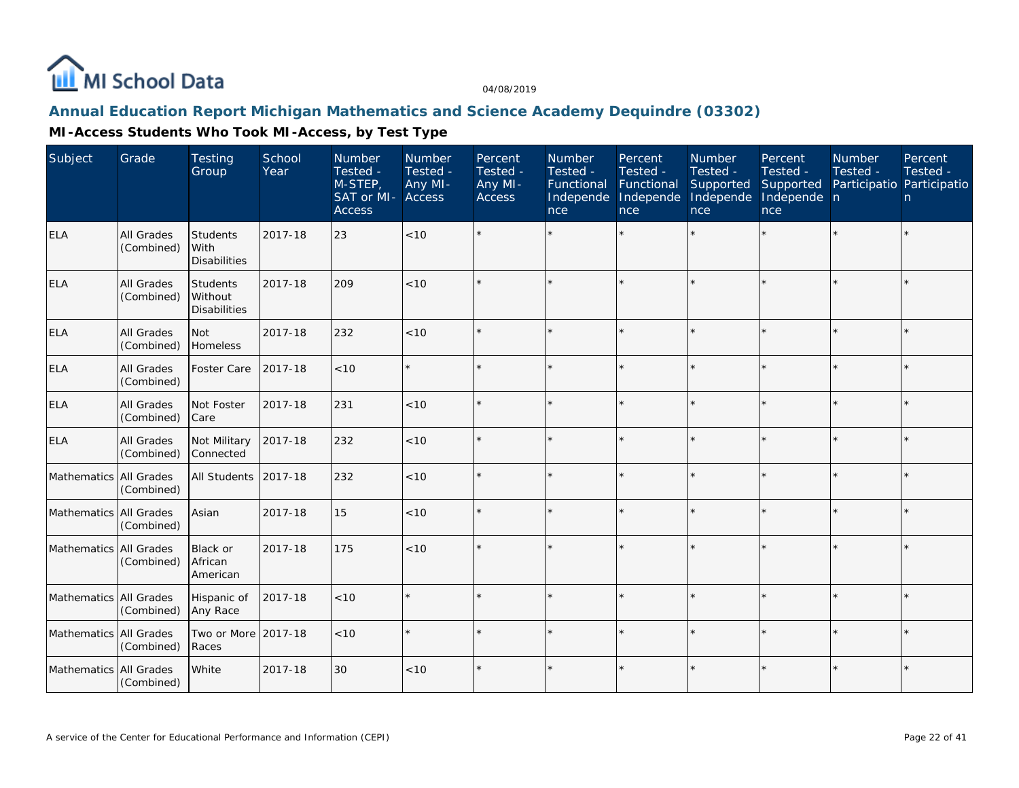

### **Annual Education Report Michigan Mathematics and Science Academy Dequindre (03302)**

| Subject                | Grade                           | <b>Testing</b><br>Group                        | School<br>Year | <b>Number</b><br>Tested -<br>M-STEP,<br>SAT or MI-<br><b>Access</b> | Number<br>Tested -<br>Any MI-<br><b>Access</b> | Percent<br>Tested -<br>Any MI-<br><b>Access</b> | <b>Number</b><br>Tested -<br>Functional<br>Independe<br>nce | Percent<br>Tested -<br>Functional<br>Independe<br>nce | Number<br>Tested -<br>Supported<br>Independe<br>nce | Percent<br>Tested -<br>Supported<br>Independe n<br>nce | <b>Number</b><br>Tested -<br>Participatio Participatio | Percent<br>Tested -<br>n. |
|------------------------|---------------------------------|------------------------------------------------|----------------|---------------------------------------------------------------------|------------------------------------------------|-------------------------------------------------|-------------------------------------------------------------|-------------------------------------------------------|-----------------------------------------------------|--------------------------------------------------------|--------------------------------------------------------|---------------------------|
| <b>ELA</b>             | All Grades<br>(Combined)        | <b>Students</b><br>With<br><b>Disabilities</b> | 2017-18        | 23                                                                  | < 10                                           |                                                 |                                                             |                                                       |                                                     |                                                        |                                                        | $\star$                   |
| <b>ELA</b>             | <b>All Grades</b><br>(Combined) | Students<br>Without<br><b>Disabilities</b>     | 2017-18        | 209                                                                 | < 10                                           | $\star$                                         |                                                             |                                                       |                                                     |                                                        |                                                        | $\star$                   |
| <b>ELA</b>             | <b>All Grades</b><br>(Combined) | <b>Not</b><br>Homeless                         | 2017-18        | 232                                                                 | < 10                                           |                                                 |                                                             | $\star$                                               | ý,                                                  |                                                        |                                                        | $\star$                   |
| <b>ELA</b>             | <b>All Grades</b><br>(Combined) | Foster Care                                    | 2017-18        | < 10                                                                |                                                | $\star$                                         |                                                             | $\star$                                               |                                                     | ×                                                      |                                                        | $\star$                   |
| <b>ELA</b>             | All Grades<br>(Combined)        | Not Foster<br>Care                             | 2017-18        | 231                                                                 | < 10                                           |                                                 |                                                             | $\star$                                               |                                                     |                                                        |                                                        | $\star$                   |
| <b>ELA</b>             | All Grades<br>(Combined)        | Not Military<br>Connected                      | 2017-18        | 232                                                                 | < 10                                           | $\star$                                         |                                                             | $\star$                                               |                                                     |                                                        |                                                        | $\star$                   |
| Mathematics All Grades | (Combined)                      | All Students                                   | 2017-18        | 232                                                                 | < 10                                           |                                                 |                                                             | $\star$                                               |                                                     |                                                        |                                                        | $\star$                   |
| Mathematics All Grades | (Combined)                      | Asian                                          | 2017-18        | 15                                                                  | < 10                                           |                                                 |                                                             | $\star$                                               |                                                     |                                                        |                                                        | $\star$                   |
| Mathematics All Grades | (Combined)                      | Black or<br>African<br>American                | 2017-18        | 175                                                                 | < 10                                           |                                                 |                                                             |                                                       |                                                     |                                                        |                                                        | ÷.                        |
| Mathematics All Grades | (Combined)                      | Hispanic of<br>Any Race                        | 2017-18        | < 10                                                                | $\star$                                        | $\star$                                         | $\star$                                                     | $\star$                                               | ÷                                                   |                                                        |                                                        | $\star$                   |
| Mathematics All Grades | (Combined)                      | Two or More 2017-18<br>Races                   |                | < 10                                                                |                                                |                                                 |                                                             |                                                       | ý,                                                  |                                                        |                                                        | $\star$                   |
| Mathematics All Grades | (Combined)                      | White                                          | 2017-18        | 30                                                                  | < 10                                           |                                                 |                                                             |                                                       |                                                     |                                                        |                                                        | $\star$                   |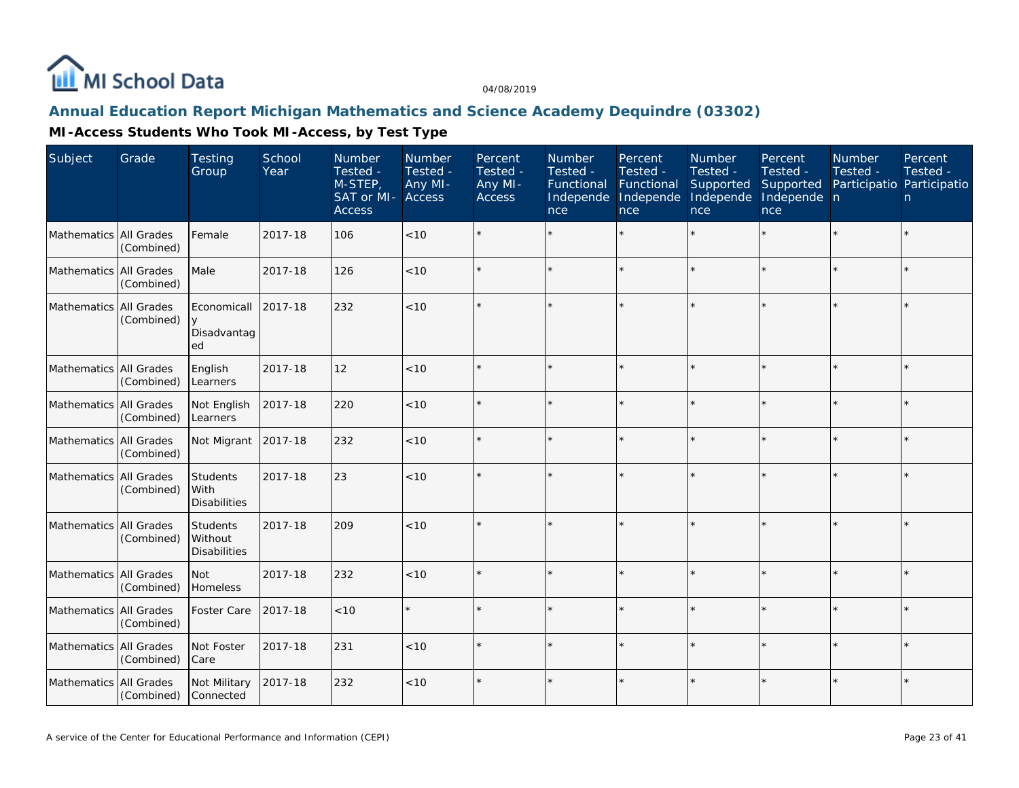

### **Annual Education Report Michigan Mathematics and Science Academy Dequindre (03302)**

| Subject                  | Grade      | <b>Testing</b><br>Group                    | School<br>Year | <b>Number</b><br>Tested -<br>M-STEP,<br>SAT or MI-<br><b>Access</b> | Number<br>Tested -<br>Any MI-<br>Access | Percent<br>Tested -<br>Any MI-<br>Access | Number<br>Tested -<br>Functional<br>Independe<br>nce | Percent<br>Tested -<br>Functional<br>Independe<br>nce | Number<br>Tested -<br>Supported<br>Independe<br>nce | Percent<br>Tested -<br>Supported<br>Independe n<br>nce | <b>Number</b><br>Tested -<br>Participatio Participatio | Percent<br>Tested -<br>n. |
|--------------------------|------------|--------------------------------------------|----------------|---------------------------------------------------------------------|-----------------------------------------|------------------------------------------|------------------------------------------------------|-------------------------------------------------------|-----------------------------------------------------|--------------------------------------------------------|--------------------------------------------------------|---------------------------|
| Mathematics All Grades   | (Combined) | Female                                     | 2017-18        | 106                                                                 | < 10                                    |                                          |                                                      |                                                       |                                                     |                                                        |                                                        | $\star$                   |
| Mathematics All Grades   | (Combined) | Male                                       | 2017-18        | 126                                                                 | < 10                                    |                                          |                                                      |                                                       |                                                     |                                                        |                                                        | $\star$                   |
| Mathematics All Grades   | (Combined) | Economicall<br>Disadvantag<br>ed           | 2017-18        | 232                                                                 | < 10                                    |                                          |                                                      |                                                       |                                                     |                                                        |                                                        | $\star$                   |
| Mathematics All Grades   | (Combined) | English<br>Learners                        | 2017-18        | 12                                                                  | < 10                                    |                                          |                                                      |                                                       |                                                     |                                                        |                                                        | $\star$                   |
| Mathematics All Grades   | (Combined) | Not English<br>Learners                    | 2017-18        | 220                                                                 | < 10                                    |                                          |                                                      |                                                       |                                                     |                                                        |                                                        | $\star$                   |
| Mathematics All Grades   | (Combined) | Not Migrant                                | 2017-18        | 232                                                                 | < 10                                    |                                          |                                                      |                                                       |                                                     |                                                        |                                                        | $\star$                   |
| Mathematics All Grades   | (Combined) | Students<br>With<br><b>Disabilities</b>    | 2017-18        | 23                                                                  | $<10$                                   |                                          |                                                      |                                                       |                                                     |                                                        |                                                        | $\star$                   |
| Mathematics All Grades   | (Combined) | Students<br>Without<br><b>Disabilities</b> | 2017-18        | 209                                                                 | < 10                                    |                                          |                                                      |                                                       |                                                     |                                                        |                                                        | $\star$                   |
| Mathematics All Grades   | (Combined) | Not<br>Homeless                            | 2017-18        | 232                                                                 | < 10                                    |                                          |                                                      |                                                       |                                                     |                                                        |                                                        | $\star$                   |
| Mathematics   All Grades | (Combined) | Foster Care                                | 2017-18        | < 10                                                                |                                         |                                          |                                                      |                                                       |                                                     |                                                        |                                                        | $\star$                   |
| Mathematics   All Grades | (Combined) | Not Foster<br>Care                         | 2017-18        | 231                                                                 | < 10                                    |                                          |                                                      |                                                       |                                                     |                                                        |                                                        | $\star$                   |
| Mathematics All Grades   | (Combined) | Not Military<br>Connected                  | 2017-18        | 232                                                                 | < 10                                    |                                          |                                                      |                                                       |                                                     |                                                        |                                                        | $\star$                   |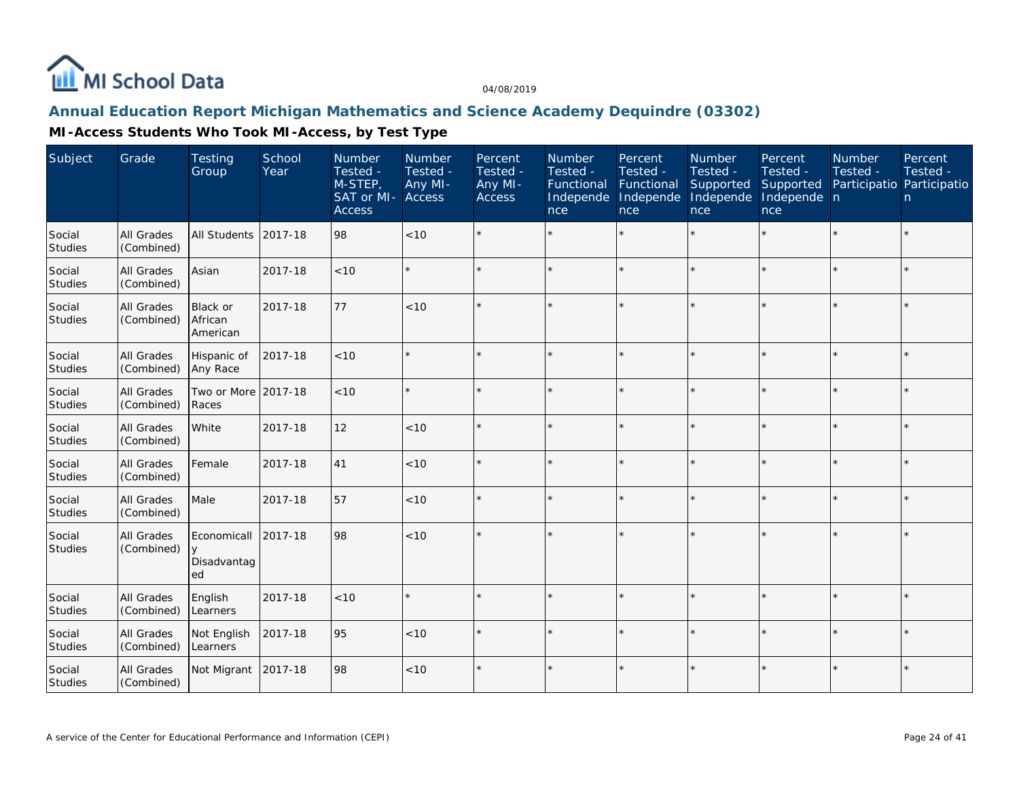

### **Annual Education Report Michigan Mathematics and Science Academy Dequindre (03302)**

| Subject                  | Grade                           | <b>Testing</b><br>Group          | School<br>Year | Number<br>Tested -<br>M-STEP,<br>SAT or MI-<br><b>Access</b> | <b>Number</b><br>Tested -<br>Any MI-<br>Access | Percent<br>Tested -<br>Any MI-<br>Access | <b>Number</b><br>Tested -<br>Functional<br>Independe<br>nce | Percent<br>Tested -<br>Functional<br>Independe<br>nce | <b>Number</b><br>Tested -<br>Supported<br>Independe<br>nce | Percent<br>Tested -<br>Supported<br>Independe n<br>nce | <b>Number</b><br>Tested -<br>Participatio Participatio | Percent<br>Tested -<br>n. |
|--------------------------|---------------------------------|----------------------------------|----------------|--------------------------------------------------------------|------------------------------------------------|------------------------------------------|-------------------------------------------------------------|-------------------------------------------------------|------------------------------------------------------------|--------------------------------------------------------|--------------------------------------------------------|---------------------------|
| Social<br><b>Studies</b> | <b>All Grades</b><br>(Combined) | <b>All Students</b>              | 2017-18        | 98                                                           | < 10                                           |                                          |                                                             |                                                       |                                                            |                                                        |                                                        | $\star$                   |
| Social<br><b>Studies</b> | <b>All Grades</b><br>(Combined) | Asian                            | 2017-18        | < 10                                                         |                                                |                                          |                                                             | ÷                                                     | ÷                                                          |                                                        | $\star$                                                | $\star$                   |
| Social<br>Studies        | All Grades<br>(Combined)        | Black or<br>African<br>American  | 2017-18        | 77                                                           | < 10                                           |                                          |                                                             |                                                       |                                                            |                                                        |                                                        | $\star$                   |
| Social<br><b>Studies</b> | All Grades<br>(Combined)        | Hispanic of<br>Any Race          | 2017-18        | < 10                                                         |                                                |                                          |                                                             |                                                       |                                                            |                                                        |                                                        | $\star$                   |
| Social<br>Studies        | All Grades<br>(Combined)        | Two or More 2017-18<br>Races     |                | < 10                                                         |                                                |                                          |                                                             |                                                       |                                                            |                                                        |                                                        | $\star$                   |
| Social<br>Studies        | All Grades<br>(Combined)        | White                            | 2017-18        | 12                                                           | < 10                                           | $\star$                                  |                                                             |                                                       |                                                            |                                                        | $\star$                                                | $\star$                   |
| Social<br><b>Studies</b> | All Grades<br>(Combined)        | Female                           | 2017-18        | 41                                                           | <10                                            | $\star$                                  |                                                             | $\star$                                               | ÷                                                          | $\star$                                                | $\star$                                                | $\star$                   |
| Social<br><b>Studies</b> | All Grades<br>(Combined)        | Male                             | 2017-18        | 57                                                           | $<10$                                          |                                          |                                                             |                                                       | $\star$                                                    |                                                        | $\star$                                                | $\star$                   |
| Social<br>Studies        | <b>All Grades</b><br>(Combined) | Economicall<br>Disadvantag<br>ed | 2017-18        | 98                                                           | < 10                                           |                                          |                                                             |                                                       |                                                            |                                                        |                                                        | $\star$                   |
| Social<br>Studies        | All Grades<br>(Combined)        | English<br>Learners              | 2017-18        | < 10                                                         |                                                |                                          |                                                             |                                                       |                                                            |                                                        |                                                        | $\star$                   |
| Social<br>Studies        | All Grades<br>(Combined)        | Not English<br>Learners          | 2017-18        | 95                                                           | < 10                                           |                                          |                                                             |                                                       |                                                            |                                                        |                                                        | $\star$                   |
| Social<br>Studies        | All Grades<br>(Combined)        | Not Migrant                      | 2017-18        | 98                                                           | $<10$                                          | $\star$                                  |                                                             |                                                       |                                                            |                                                        |                                                        | $\star$                   |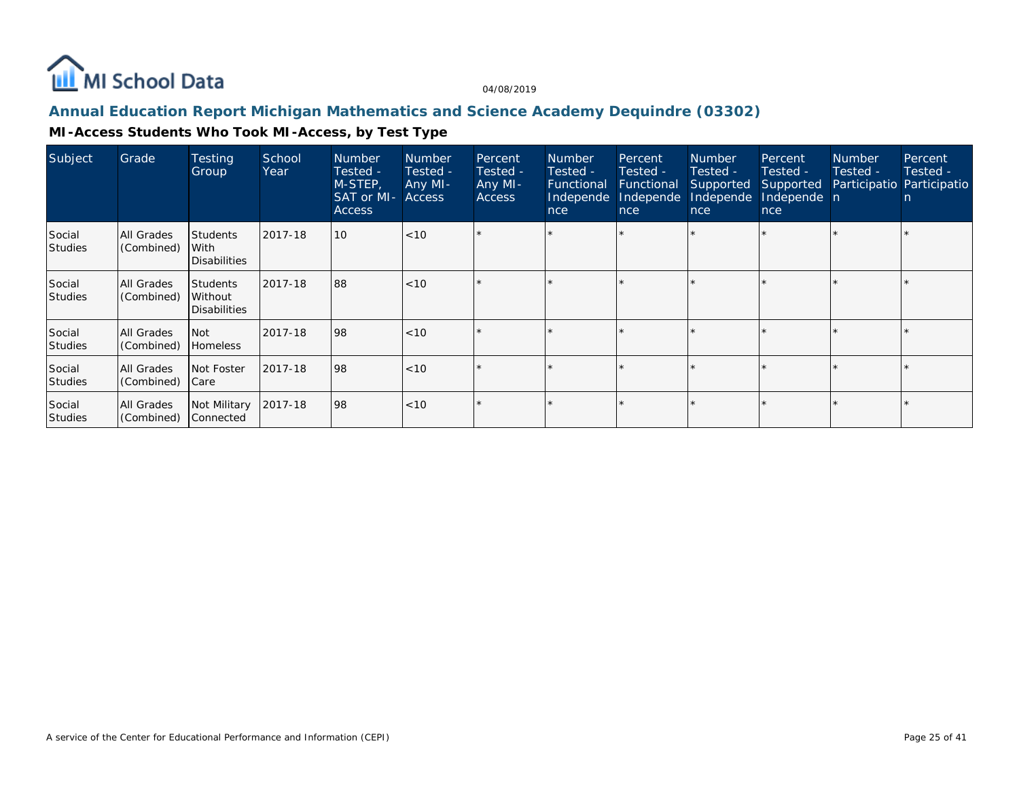

### **Annual Education Report Michigan Mathematics and Science Academy Dequindre (03302)**

| Subject                  | Grade                           | <b>Testing</b><br>Group                           | School<br>Year | <b>Number</b><br>Tested -<br>M-STEP,<br>SAT or MI-<br><b>Access</b> | <b>Number</b><br>Tested -<br>Any MI-<br>Access | Percent<br>Tested -<br>Any MI-<br><b>Access</b> | <b>Number</b><br>Tested -<br>Functional<br>Independe<br>nce | Percent<br>Tested -<br><b>Functional</b><br>Independe<br>nce | <b>Number</b><br>Tested -<br>Supported<br>Independe<br>nce | Percent<br>Tested -<br>Supported<br>Independe n<br>nce | <b>Number</b><br>Tested - | Percent<br>Tested -<br>Participatio Participatio<br>n |
|--------------------------|---------------------------------|---------------------------------------------------|----------------|---------------------------------------------------------------------|------------------------------------------------|-------------------------------------------------|-------------------------------------------------------------|--------------------------------------------------------------|------------------------------------------------------------|--------------------------------------------------------|---------------------------|-------------------------------------------------------|
| Social<br>Studies        | All Grades<br>(Combined)        | <b>Students</b><br>With<br><b>Disabilities</b>    | 2017-18        | 10                                                                  | $ $ < 10                                       |                                                 |                                                             |                                                              |                                                            |                                                        |                           |                                                       |
| Social<br><b>Studies</b> | All Grades<br>(Combined)        | <b>Students</b><br>Without<br><b>Disabilities</b> | 2017-18        | 88                                                                  | $ $ < 10                                       |                                                 |                                                             |                                                              |                                                            |                                                        |                           |                                                       |
| Social<br><b>Studies</b> | <b>All Grades</b><br>(Combined) | <b>Not</b><br><b>Homeless</b>                     | 2017-18        | 98                                                                  | $ $ < 10                                       |                                                 |                                                             | ÷                                                            |                                                            |                                                        |                           |                                                       |
| Social<br><b>Studies</b> | <b>All Grades</b><br>(Combined) | Not Foster<br>Care                                | 2017-18        | 98                                                                  | $ $ < 10                                       | $\star$                                         |                                                             | $\star$                                                      |                                                            |                                                        |                           |                                                       |
| Social<br><b>Studies</b> | All Grades<br>(Combined)        | Not Military<br>Connected                         | 2017-18        | 98                                                                  | $ $ < 10                                       |                                                 |                                                             |                                                              |                                                            |                                                        |                           |                                                       |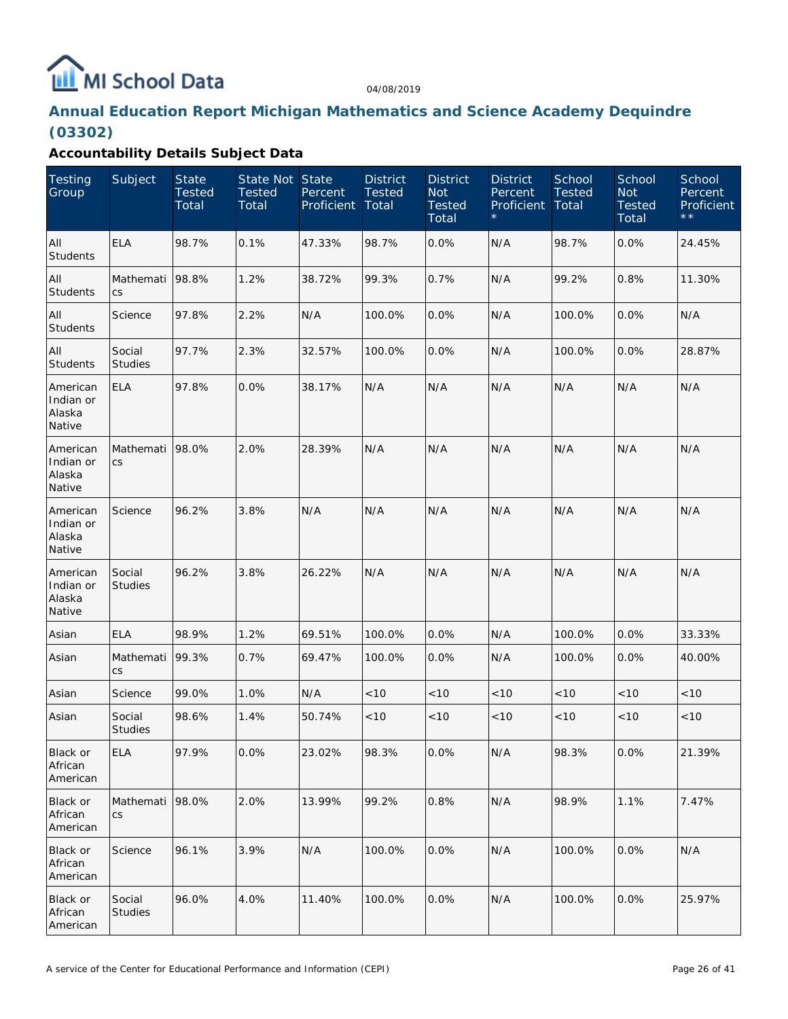# MI School Data

04/08/2019

# **Annual Education Report Michigan Mathematics and Science Academy Dequindre (03302)**

| <b>Testing</b><br>Group                   | Subject                  | <b>State</b><br><b>Tested</b><br>Total | State Not State<br><b>Tested</b><br>Total | Percent<br>Proficient | <b>District</b><br><b>Tested</b><br>Total | <b>District</b><br><b>Not</b><br><b>Tested</b><br>Total | <b>District</b><br>Percent<br>Proficient | School<br>Tested<br>Total | School<br><b>Not</b><br><b>Tested</b><br>Total | School<br>Percent<br>Proficient<br>$\star \star$ |
|-------------------------------------------|--------------------------|----------------------------------------|-------------------------------------------|-----------------------|-------------------------------------------|---------------------------------------------------------|------------------------------------------|---------------------------|------------------------------------------------|--------------------------------------------------|
| All<br>Students                           | <b>ELA</b>               | 98.7%                                  | 0.1%                                      | 47.33%                | 98.7%                                     | 0.0%                                                    | N/A                                      | 98.7%                     | 0.0%                                           | 24.45%                                           |
| All<br>Students                           | Mathemati<br>CS          | 98.8%                                  | 1.2%                                      | 38.72%                | 99.3%                                     | 0.7%                                                    | N/A                                      | 99.2%                     | 0.8%                                           | 11.30%                                           |
| All<br><b>Students</b>                    | Science                  | 97.8%                                  | 2.2%                                      | N/A                   | 100.0%                                    | 0.0%                                                    | N/A                                      | 100.0%                    | 0.0%                                           | N/A                                              |
| All<br>Students                           | Social<br><b>Studies</b> | 97.7%                                  | 2.3%                                      | 32.57%                | 100.0%                                    | 0.0%                                                    | N/A                                      | 100.0%                    | 0.0%                                           | 28.87%                                           |
| American<br>Indian or<br>Alaska<br>Native | <b>ELA</b>               | 97.8%                                  | 0.0%                                      | 38.17%                | N/A                                       | N/A                                                     | N/A                                      | N/A                       | N/A                                            | N/A                                              |
| American<br>Indian or<br>Alaska<br>Native | Mathemati<br>CS          | 98.0%                                  | 2.0%                                      | 28.39%                | N/A                                       | N/A                                                     | N/A                                      | N/A                       | N/A                                            | N/A                                              |
| American<br>Indian or<br>Alaska<br>Native | Science                  | 96.2%                                  | 3.8%                                      | N/A                   | N/A                                       | N/A                                                     | N/A                                      | N/A                       | N/A                                            | N/A                                              |
| American<br>Indian or<br>Alaska<br>Native | Social<br><b>Studies</b> | 96.2%                                  | 3.8%                                      | 26.22%                | N/A                                       | N/A                                                     | N/A                                      | N/A                       | N/A                                            | N/A                                              |
| Asian                                     | <b>ELA</b>               | 98.9%                                  | 1.2%                                      | 69.51%                | 100.0%                                    | $0.0\%$                                                 | N/A                                      | 100.0%                    | $0.0\%$                                        | 33.33%                                           |
| Asian                                     | Mathemati<br>CS          | 99.3%                                  | 0.7%                                      | 69.47%                | 100.0%                                    | $0.0\%$                                                 | N/A                                      | 100.0%                    | $0.0\%$                                        | 40.00%                                           |
| Asian                                     | Science                  | 99.0%                                  | 1.0%                                      | N/A                   | < 10                                      | $<10$                                                   | < 10                                     | < 10                      | < 10                                           | $<10$                                            |
| Asian                                     | Social<br><b>Studies</b> | 98.6%                                  | 1.4%                                      | 50.74%                | < 10                                      | $<10$                                                   | $<10$                                    | $<10$                     | < 10                                           | $<10$                                            |
| Black or<br>African<br>American           | <b>ELA</b>               | 97.9%                                  | 0.0%                                      | 23.02%                | 98.3%                                     | $0.0\%$                                                 | N/A                                      | 98.3%                     | 0.0%                                           | 21.39%                                           |
| Black or<br>African<br>American           | Mathemati<br>CS          | 98.0%                                  | 2.0%                                      | 13.99%                | 99.2%                                     | 0.8%                                                    | N/A                                      | 98.9%                     | 1.1%                                           | 7.47%                                            |
| Black or<br>African<br>American           | Science                  | 96.1%                                  | 3.9%                                      | N/A                   | 100.0%                                    | 0.0%                                                    | N/A                                      | 100.0%                    | 0.0%                                           | N/A                                              |
| Black or<br>African<br>American           | Social<br>Studies        | 96.0%                                  | 4.0%                                      | 11.40%                | 100.0%                                    | 0.0%                                                    | N/A                                      | 100.0%                    | 0.0%                                           | 25.97%                                           |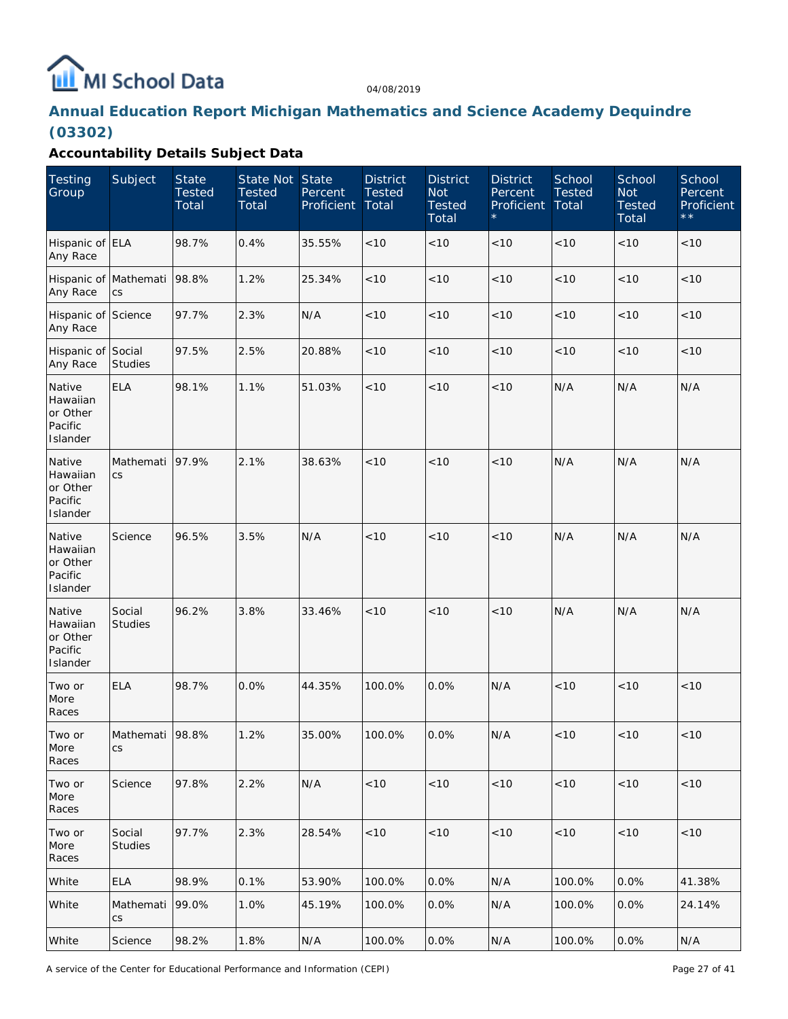

# **Annual Education Report Michigan Mathematics and Science Academy Dequindre (03302)**

| <b>Testing</b><br>Group                               | Subject                  | <b>State</b><br><b>Tested</b><br>Total | State Not State<br><b>Tested</b><br>Total | Percent<br>Proficient | <b>District</b><br><b>Tested</b><br>Total | <b>District</b><br><b>Not</b><br><b>Tested</b><br>Total | <b>District</b><br>Percent<br>Proficient | School<br><b>Tested</b><br>Total | School<br><b>Not</b><br><b>Tested</b><br>Total | School<br>Percent<br>Proficient<br>$\star$ $\star$ |
|-------------------------------------------------------|--------------------------|----------------------------------------|-------------------------------------------|-----------------------|-------------------------------------------|---------------------------------------------------------|------------------------------------------|----------------------------------|------------------------------------------------|----------------------------------------------------|
| Hispanic of ELA<br>Any Race                           |                          | 98.7%                                  | 0.4%                                      | 35.55%                | < 10                                      | < 10                                                    | < 10                                     | < 10                             | < 10                                           | < 10                                               |
| Hispanic of Mathemati<br>Any Race                     | CS                       | 98.8%                                  | 1.2%                                      | 25.34%                | < 10                                      | < 10                                                    | < 10                                     | < 10                             | < 10                                           | < 10                                               |
| Hispanic of Science<br>Any Race                       |                          | 97.7%                                  | 2.3%                                      | N/A                   | < 10                                      | < 10                                                    | < 10                                     | < 10                             | < 10                                           | < 10                                               |
| Hispanic of Social<br>Any Race                        | <b>Studies</b>           | 97.5%                                  | 2.5%                                      | 20.88%                | < 10                                      | < 10                                                    | < 10                                     | < 10                             | < 10                                           | < 10                                               |
| Native<br>Hawaiian<br>or Other<br>Pacific<br>Islander | <b>ELA</b>               | 98.1%                                  | 1.1%                                      | 51.03%                | < 10                                      | < 10                                                    | < 10                                     | N/A                              | N/A                                            | N/A                                                |
| Native<br>Hawaiian<br>or Other<br>Pacific<br>Islander | Mathemati<br>CS          | 97.9%                                  | 2.1%                                      | 38.63%                | < 10                                      | < 10                                                    | < 10                                     | N/A                              | N/A                                            | N/A                                                |
| Native<br>Hawaiian<br>or Other<br>Pacific<br>Islander | Science                  | 96.5%                                  | 3.5%                                      | N/A                   | < 10                                      | < 10                                                    | < 10                                     | N/A                              | N/A                                            | N/A                                                |
| Native<br>Hawaiian<br>or Other<br>Pacific<br>Islander | Social<br><b>Studies</b> | 96.2%                                  | 3.8%                                      | 33.46%                | < 10                                      | < 10                                                    | < 10                                     | N/A                              | N/A                                            | N/A                                                |
| Two or<br>More<br>Races                               | <b>ELA</b>               | 98.7%                                  | 0.0%                                      | 44.35%                | 100.0%                                    | 0.0%                                                    | N/A                                      | < 10                             | < 10                                           | < 10                                               |
| Two or<br>More<br>Races                               | Mathemati<br>CS          | 98.8%                                  | 1.2%                                      | 35.00%                | 100.0%                                    | 0.0%                                                    | N/A                                      | < 10                             | < 10                                           | < 10                                               |
| Two or<br>More<br>Races                               | Science                  | 97.8%                                  | 2.2%                                      | N/A                   | $<10$                                     | < 10                                                    | $<10$                                    | $<10$                            | < 10                                           | < 10                                               |
| Two or<br>More<br>Races                               | Social<br><b>Studies</b> | 97.7%                                  | 2.3%                                      | 28.54%                | $<10$                                     | $<10$                                                   | $<10$                                    | $<10$                            | $<10$                                          | < 10                                               |
| White                                                 | ELA                      | 98.9%                                  | 0.1%                                      | 53.90%                | 100.0%                                    | 0.0%                                                    | N/A                                      | 100.0%                           | 0.0%                                           | 41.38%                                             |
| White                                                 | Mathemati<br>CS          | 99.0%                                  | 1.0%                                      | 45.19%                | 100.0%                                    | 0.0%                                                    | N/A                                      | 100.0%                           | 0.0%                                           | 24.14%                                             |
| White                                                 | Science                  | 98.2%                                  | 1.8%                                      | N/A                   | 100.0%                                    | 0.0%                                                    | N/A                                      | 100.0%                           | 0.0%                                           | N/A                                                |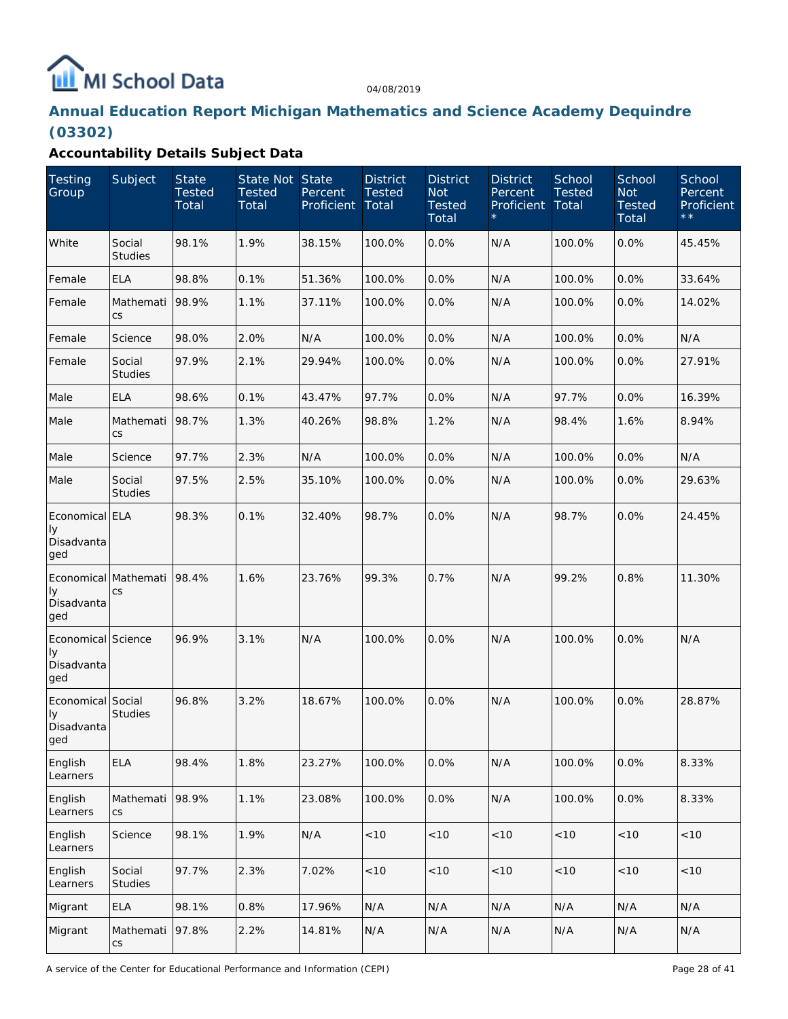# MI School Data

04/08/2019

# **Annual Education Report Michigan Mathematics and Science Academy Dequindre (03302)**

| Testing<br>Group                              | Subject                           | <b>State</b><br><b>Tested</b><br>Total | State Not State<br><b>Tested</b><br>Total | Percent<br>Proficient | <b>District</b><br><b>Tested</b><br>Total | <b>District</b><br><b>Not</b><br><b>Tested</b><br>Total | <b>District</b><br>Percent<br>Proficient | School<br><b>Tested</b><br>Total | School<br><b>Not</b><br><b>Tested</b><br>Total | School<br>Percent<br>Proficient<br>$\star \star$ |
|-----------------------------------------------|-----------------------------------|----------------------------------------|-------------------------------------------|-----------------------|-------------------------------------------|---------------------------------------------------------|------------------------------------------|----------------------------------|------------------------------------------------|--------------------------------------------------|
| White                                         | Social<br><b>Studies</b>          | 98.1%                                  | 1.9%                                      | 38.15%                | 100.0%                                    | 0.0%                                                    | N/A                                      | 100.0%                           | 0.0%                                           | 45.45%                                           |
| Female                                        | <b>ELA</b>                        | 98.8%                                  | 0.1%                                      | 51.36%                | 100.0%                                    | 0.0%                                                    | N/A                                      | 100.0%                           | 0.0%                                           | 33.64%                                           |
| Female                                        | Mathemati<br>CS                   | 98.9%                                  | 1.1%                                      | 37.11%                | 100.0%                                    | 0.0%                                                    | N/A                                      | 100.0%                           | 0.0%                                           | 14.02%                                           |
| Female                                        | Science                           | 98.0%                                  | 2.0%                                      | N/A                   | 100.0%                                    | 0.0%                                                    | N/A                                      | 100.0%                           | 0.0%                                           | N/A                                              |
| Female                                        | Social<br><b>Studies</b>          | 97.9%                                  | 2.1%                                      | 29.94%                | 100.0%                                    | 0.0%                                                    | N/A                                      | 100.0%                           | 0.0%                                           | 27.91%                                           |
| Male                                          | <b>ELA</b>                        | 98.6%                                  | 0.1%                                      | 43.47%                | 97.7%                                     | 0.0%                                                    | N/A                                      | 97.7%                            | 0.0%                                           | 16.39%                                           |
| Male                                          | Mathemati<br>CS                   | 98.7%                                  | 1.3%                                      | 40.26%                | 98.8%                                     | 1.2%                                                    | N/A                                      | 98.4%                            | 1.6%                                           | 8.94%                                            |
| Male                                          | Science                           | 97.7%                                  | 2.3%                                      | N/A                   | 100.0%                                    | 0.0%                                                    | N/A                                      | 100.0%                           | 0.0%                                           | N/A                                              |
| Male                                          | Social<br><b>Studies</b>          | 97.5%                                  | 2.5%                                      | 35.10%                | 100.0%                                    | 0.0%                                                    | N/A                                      | 100.0%                           | 0.0%                                           | 29.63%                                           |
| Economical ELA<br>Iу<br>Disadvanta<br>ged     |                                   | 98.3%                                  | 0.1%                                      | 32.40%                | 98.7%                                     | 0.0%                                                    | N/A                                      | 98.7%                            | 0.0%                                           | 24.45%                                           |
| Iу<br>Disadvanta<br>ged                       | Economical Mathemati<br>CS        | 98.4%                                  | 1.6%                                      | 23.76%                | 99.3%                                     | 0.7%                                                    | N/A                                      | 99.2%                            | 0.8%                                           | 11.30%                                           |
| Economical Science<br>Iу<br>Disadvanta<br>ged |                                   | 96.9%                                  | 3.1%                                      | N/A                   | 100.0%                                    | 0.0%                                                    | N/A                                      | 100.0%                           | 0.0%                                           | N/A                                              |
| Economical Social<br>Iу<br>Disadvanta<br>ged  | <b>Studies</b>                    | 96.8%                                  | 3.2%                                      | 18.67%                | 100.0%                                    | 0.0%                                                    | N/A                                      | 100.0%                           | 0.0%                                           | 28.87%                                           |
| English<br>Learners                           | <b>ELA</b>                        | 98.4%                                  | 1.8%                                      | 23.27%                | 100.0%                                    | 0.0%                                                    | N/A                                      | 100.0%                           | 0.0%                                           | 8.33%                                            |
| English<br>Learners                           | Mathemati<br>CS                   | 98.9%                                  | 1.1%                                      | 23.08%                | 100.0%                                    | 0.0%                                                    | N/A                                      | 100.0%                           | 0.0%                                           | 8.33%                                            |
| English<br>Learners                           | Science                           | 98.1%                                  | 1.9%                                      | N/A                   | < 10                                      | < 10                                                    | $<10$                                    | < 10                             | < 10                                           | < 10                                             |
| English<br>Learners                           | Social<br>Studies                 | 97.7%                                  | 2.3%                                      | 7.02%                 | $<10$                                     | < 10                                                    | $<10$                                    | < 10                             | $<10$                                          | < 10                                             |
| Migrant                                       | <b>ELA</b>                        | 98.1%                                  | 0.8%                                      | 17.96%                | N/A                                       | N/A                                                     | N/A                                      | N/A                              | N/A                                            | N/A                                              |
| Migrant                                       | Mathemati<br>$\mathsf{CS}\xspace$ | 97.8%                                  | 2.2%                                      | 14.81%                | N/A                                       | N/A                                                     | N/A                                      | N/A                              | N/A                                            | N/A                                              |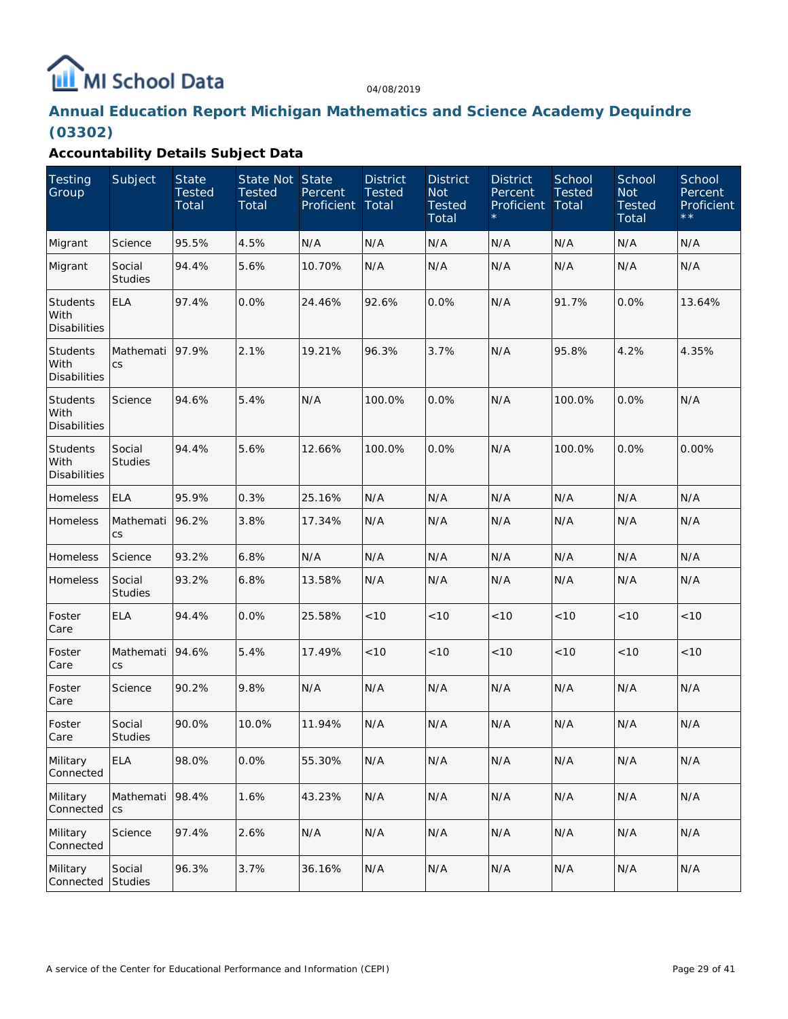# MI School Data

04/08/2019

# **Annual Education Report Michigan Mathematics and Science Academy Dequindre (03302)**

| <b>Testing</b><br>Group                        | Subject                  | <b>State</b><br><b>Tested</b><br>Total | State Not State<br><b>Tested</b><br>Total | Percent<br>Proficient | <b>District</b><br><b>Tested</b><br>Total | <b>District</b><br><b>Not</b><br><b>Tested</b><br>Total | <b>District</b><br>Percent<br>Proficient | School<br>Tested<br>Total | School<br><b>Not</b><br><b>Tested</b><br>Total | School<br>Percent<br>Proficient<br>$\star \star$ |
|------------------------------------------------|--------------------------|----------------------------------------|-------------------------------------------|-----------------------|-------------------------------------------|---------------------------------------------------------|------------------------------------------|---------------------------|------------------------------------------------|--------------------------------------------------|
| Migrant                                        | Science                  | 95.5%                                  | 4.5%                                      | N/A                   | N/A                                       | N/A                                                     | N/A                                      | N/A                       | N/A                                            | N/A                                              |
| Migrant                                        | Social<br><b>Studies</b> | 94.4%                                  | 5.6%                                      | 10.70%                | N/A                                       | N/A                                                     | N/A                                      | N/A                       | N/A                                            | N/A                                              |
| <b>Students</b><br>With<br><b>Disabilities</b> | <b>ELA</b>               | 97.4%                                  | 0.0%                                      | 24.46%                | 92.6%                                     | 0.0%                                                    | N/A                                      | 91.7%                     | 0.0%                                           | 13.64%                                           |
| Students<br>With<br><b>Disabilities</b>        | Mathemati<br>CS          | 97.9%                                  | 2.1%                                      | 19.21%                | 96.3%                                     | 3.7%                                                    | N/A                                      | 95.8%                     | 4.2%                                           | 4.35%                                            |
| Students<br>With<br><b>Disabilities</b>        | Science                  | 94.6%                                  | 5.4%                                      | N/A                   | 100.0%                                    | 0.0%                                                    | N/A                                      | 100.0%                    | 0.0%                                           | N/A                                              |
| <b>Students</b><br>With<br><b>Disabilities</b> | Social<br><b>Studies</b> | 94.4%                                  | 5.6%                                      | 12.66%                | 100.0%                                    | 0.0%                                                    | N/A                                      | 100.0%                    | 0.0%                                           | 0.00%                                            |
| Homeless                                       | <b>ELA</b>               | 95.9%                                  | 0.3%                                      | 25.16%                | N/A                                       | N/A                                                     | N/A                                      | N/A                       | N/A                                            | N/A                                              |
| Homeless                                       | Mathemati<br>CS          | 96.2%                                  | 3.8%                                      | 17.34%                | N/A                                       | N/A                                                     | N/A                                      | N/A                       | N/A                                            | N/A                                              |
| Homeless                                       | Science                  | 93.2%                                  | 6.8%                                      | N/A                   | N/A                                       | N/A                                                     | N/A                                      | N/A                       | N/A                                            | N/A                                              |
| Homeless                                       | Social<br><b>Studies</b> | 93.2%                                  | 6.8%                                      | 13.58%                | N/A                                       | N/A                                                     | N/A                                      | N/A                       | N/A                                            | N/A                                              |
| Foster<br>Care                                 | <b>ELA</b>               | 94.4%                                  | 0.0%                                      | 25.58%                | < 10                                      | < 10                                                    | < 10                                     | < 10                      | < 10                                           | < 10                                             |
| Foster<br>Care                                 | Mathemati<br>CS          | 94.6%                                  | 5.4%                                      | 17.49%                | < 10                                      | < 10                                                    | < 10                                     | < 10                      | < 10                                           | < 10                                             |
| Foster<br>Care                                 | Science                  | 90.2%                                  | 9.8%                                      | N/A                   | N/A                                       | N/A                                                     | N/A                                      | N/A                       | N/A                                            | N/A                                              |
| Foster<br>Care                                 | Social<br><b>Studies</b> | 90.0%                                  | 10.0%                                     | 11.94%                | N/A                                       | N/A                                                     | N/A                                      | N/A                       | N/A                                            | N/A                                              |
| Military<br>Connected                          | <b>ELA</b>               | 98.0%                                  | 0.0%                                      | 55.30%                | N/A                                       | N/A                                                     | N/A                                      | N/A                       | N/A                                            | N/A                                              |
| Military<br>Connected                          | Mathemati<br><b>CS</b>   | 98.4%                                  | 1.6%                                      | 43.23%                | N/A                                       | N/A                                                     | N/A                                      | N/A                       | N/A                                            | N/A                                              |
| Military<br>Connected                          | Science                  | 97.4%                                  | 2.6%                                      | N/A                   | N/A                                       | N/A                                                     | N/A                                      | N/A                       | N/A                                            | N/A                                              |
| Military<br>Connected                          | Social<br><b>Studies</b> | 96.3%                                  | 3.7%                                      | 36.16%                | N/A                                       | N/A                                                     | N/A                                      | N/A                       | N/A                                            | N/A                                              |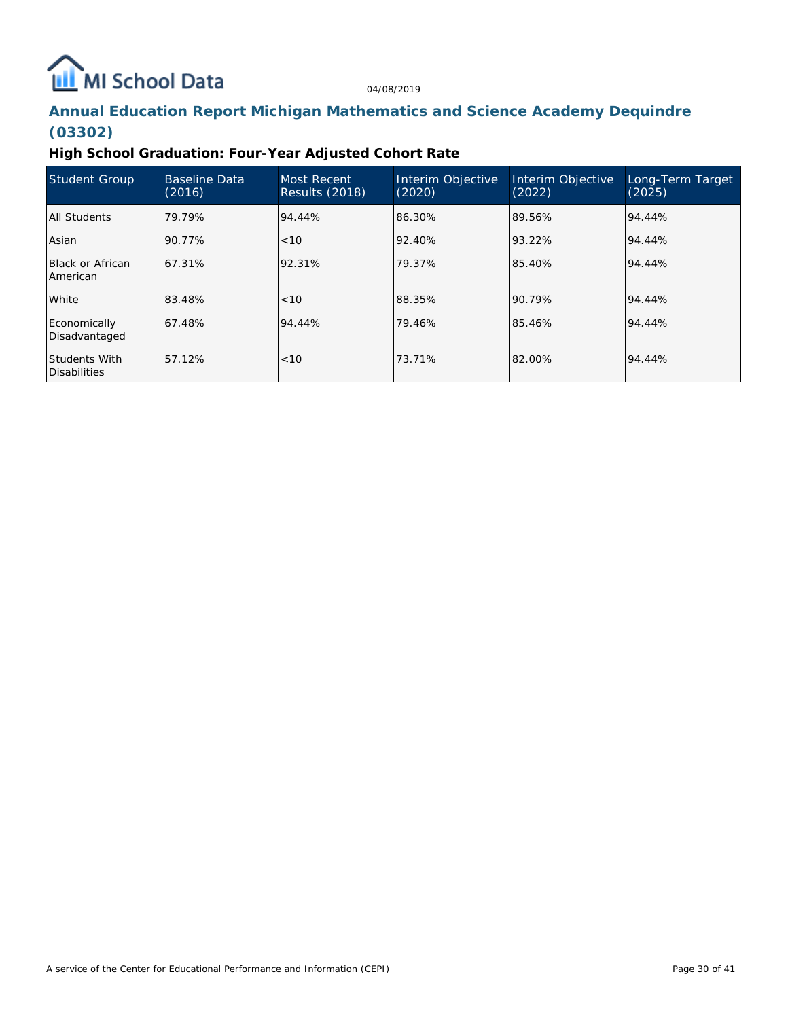# **ILL** MI School Data

04/08/2019

# **Annual Education Report Michigan Mathematics and Science Academy Dequindre (03302)**

### **High School Graduation: Four-Year Adjusted Cohort Rate**

| <b>Student Group</b>                 | <b>Baseline Data</b><br>(2016) | <b>Most Recent</b><br>Results (2018) | Interim Objective<br>(2020) | Interim Objective<br>(2022) | Long-Term Target<br>(2025) |
|--------------------------------------|--------------------------------|--------------------------------------|-----------------------------|-----------------------------|----------------------------|
| All Students                         | 79.79%                         | 94.44%                               | 86.30%                      | 89.56%                      | 94.44%                     |
| Asian                                | 90.77%                         | < 10                                 | 92.40%                      | 93.22%                      | 94.44%                     |
| Black or African<br>American         | 67.31%                         | 92.31%                               | 79.37%                      | 85.40%                      | 94.44%                     |
| l White                              | 83.48%                         | < 10                                 | 88.35%                      | 90.79%                      | 94.44%                     |
| Economically<br>Disadvantaged        | 67.48%                         | 94.44%                               | 79.46%                      | 85.46%                      | 94.44%                     |
| <b>Students With</b><br>Disabilities | 57.12%                         | <10                                  | 73.71%                      | 82.00%                      | 94.44%                     |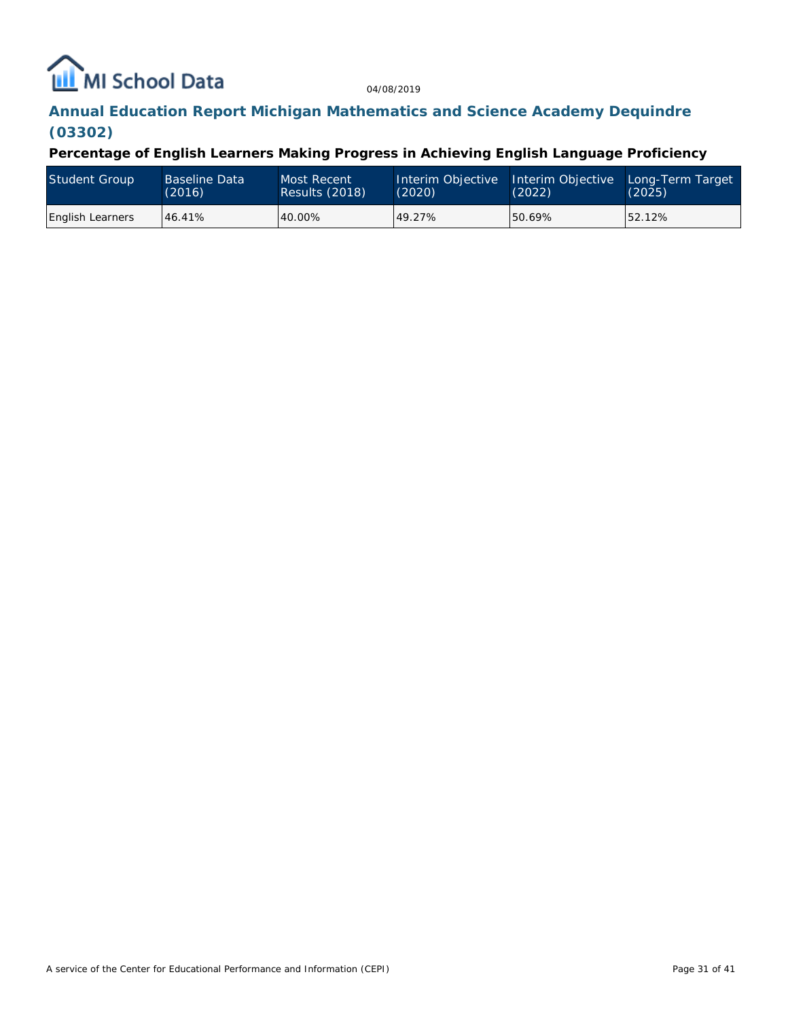# MI School Data

04/08/2019

# **Annual Education Report Michigan Mathematics and Science Academy Dequindre (03302)**

**Percentage of English Learners Making Progress in Achieving English Language Proficiency**

| Student Group           | <b>Baseline Data</b><br>(2016) | Most Recent<br>Results (2018) | Interim Objective Interim Objective<br>(2020) | (2022) | Long-Term Target<br>(2025) |
|-------------------------|--------------------------------|-------------------------------|-----------------------------------------------|--------|----------------------------|
| <b>English Learners</b> | 46.41%                         | 40.00%                        | 49.27%                                        | 50.69% | 52.12%                     |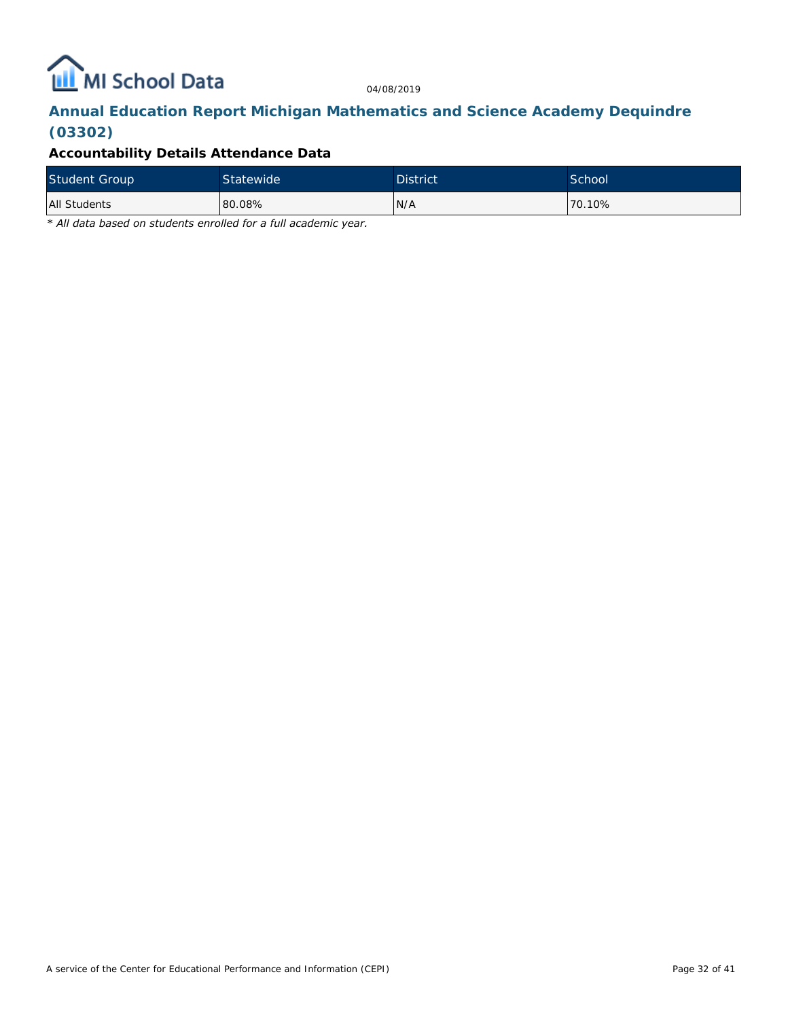

# **Annual Education Report Michigan Mathematics and Science Academy Dequindre (03302)**

### **Accountability Details Attendance Data**

| <b>Student Group</b> | Statewide | <b>District</b> | School  |
|----------------------|-----------|-----------------|---------|
| All Students         | 80.08%    | N/A             | 170.10% |

*\* All data based on students enrolled for a full academic year.*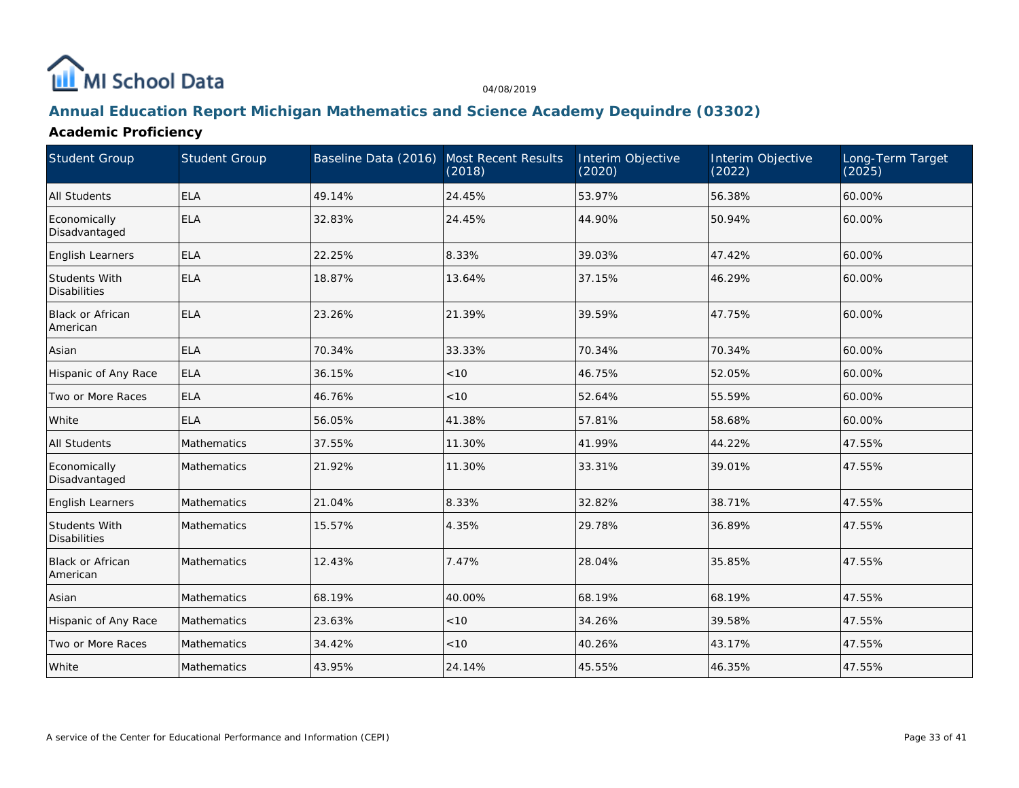

### **Annual Education Report Michigan Mathematics and Science Academy Dequindre (03302)**

### **Academic Proficiency**

| <b>Student Group</b>                        | <b>Student Group</b> | Baseline Data (2016) Most Recent Results | (2018) | Interim Objective<br>(2020) | Interim Objective<br>(2022) | Long-Term Target<br>(2025) |
|---------------------------------------------|----------------------|------------------------------------------|--------|-----------------------------|-----------------------------|----------------------------|
| All Students                                | ELA                  | 49.14%                                   | 24.45% | 53.97%                      | 56.38%                      | 60.00%                     |
| Economically<br>Disadvantaged               | <b>ELA</b>           | 32.83%                                   | 24.45% | 44.90%                      | 50.94%                      | 60.00%                     |
| English Learners                            | <b>ELA</b>           | 22.25%                                   | 8.33%  | 39.03%                      | 47.42%                      | 60.00%                     |
| <b>Students With</b><br><b>Disabilities</b> | <b>ELA</b>           | 18.87%                                   | 13.64% | 37.15%                      | 46.29%                      | 60.00%                     |
| <b>Black or African</b><br>American         | ELA                  | 23.26%                                   | 21.39% | 39.59%                      | 47.75%                      | 60.00%                     |
| Asian                                       | <b>ELA</b>           | 70.34%                                   | 33.33% | 70.34%                      | 70.34%                      | 60.00%                     |
| Hispanic of Any Race                        | <b>ELA</b>           | 36.15%                                   | < 10   | 46.75%                      | 52.05%                      | 60.00%                     |
| Two or More Races                           | <b>ELA</b>           | 46.76%                                   | < 10   | 52.64%                      | 55.59%                      | 60.00%                     |
| White                                       | <b>ELA</b>           | 56.05%                                   | 41.38% | 57.81%                      | 58.68%                      | 60.00%                     |
| All Students                                | Mathematics          | 37.55%                                   | 11.30% | 41.99%                      | 44.22%                      | 47.55%                     |
| Economically<br>Disadvantaged               | Mathematics          | 21.92%                                   | 11.30% | 33.31%                      | 39.01%                      | 47.55%                     |
| English Learners                            | Mathematics          | 21.04%                                   | 8.33%  | 32.82%                      | 38.71%                      | 47.55%                     |
| Students With<br><b>Disabilities</b>        | Mathematics          | 15.57%                                   | 4.35%  | 29.78%                      | 36.89%                      | 47.55%                     |
| <b>Black or African</b><br>American         | Mathematics          | 12.43%                                   | 7.47%  | 28.04%                      | 35.85%                      | 47.55%                     |
| Asian                                       | Mathematics          | 68.19%                                   | 40.00% | 68.19%                      | 68.19%                      | 47.55%                     |
| Hispanic of Any Race                        | Mathematics          | 23.63%                                   | <10    | 34.26%                      | 39.58%                      | 47.55%                     |
| Two or More Races                           | Mathematics          | 34.42%                                   | <10    | 40.26%                      | 43.17%                      | 47.55%                     |
| White                                       | Mathematics          | 43.95%                                   | 24.14% | 45.55%                      | 46.35%                      | 47.55%                     |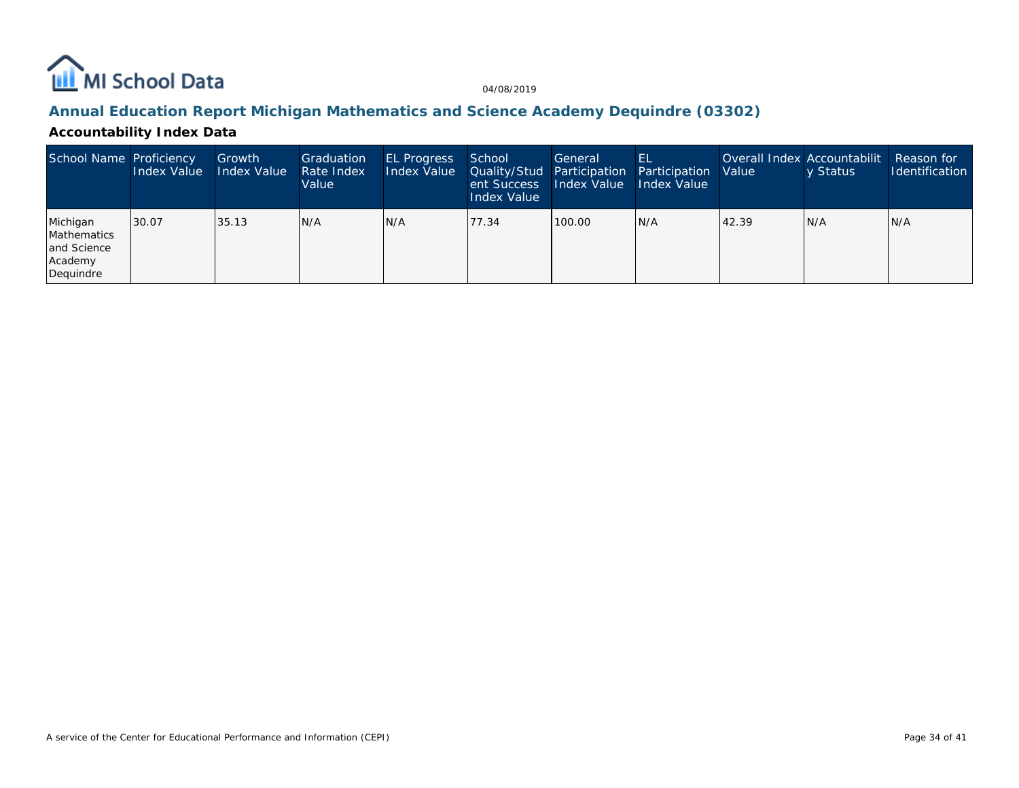

### **Annual Education Report Michigan Mathematics and Science Academy Dequindre (03302)**

### **Accountability Index Data**

| School Name Proficiency                                        | Index Value | Growth<br>Index Value | Graduation<br>Rate Index<br>Value | <b>EL Progress</b><br>Index Value | School<br><b>Quality/Stud Participation</b><br>ent Success<br>Index Value | General<br>Index Value | -EL<br>Participation<br><b>Index Value</b> | Value | Overall Index Accountabilit<br>y Status | Reason for<br><b>Identification</b> |
|----------------------------------------------------------------|-------------|-----------------------|-----------------------------------|-----------------------------------|---------------------------------------------------------------------------|------------------------|--------------------------------------------|-------|-----------------------------------------|-------------------------------------|
| Michigan<br>Mathematics<br>and Science<br>Academy<br>Dequindre | 130.07      | 35.13                 | IN/A                              | N/A                               | 77.34                                                                     | 100.00                 | N/A                                        | 42.39 | N/A                                     | IN/A                                |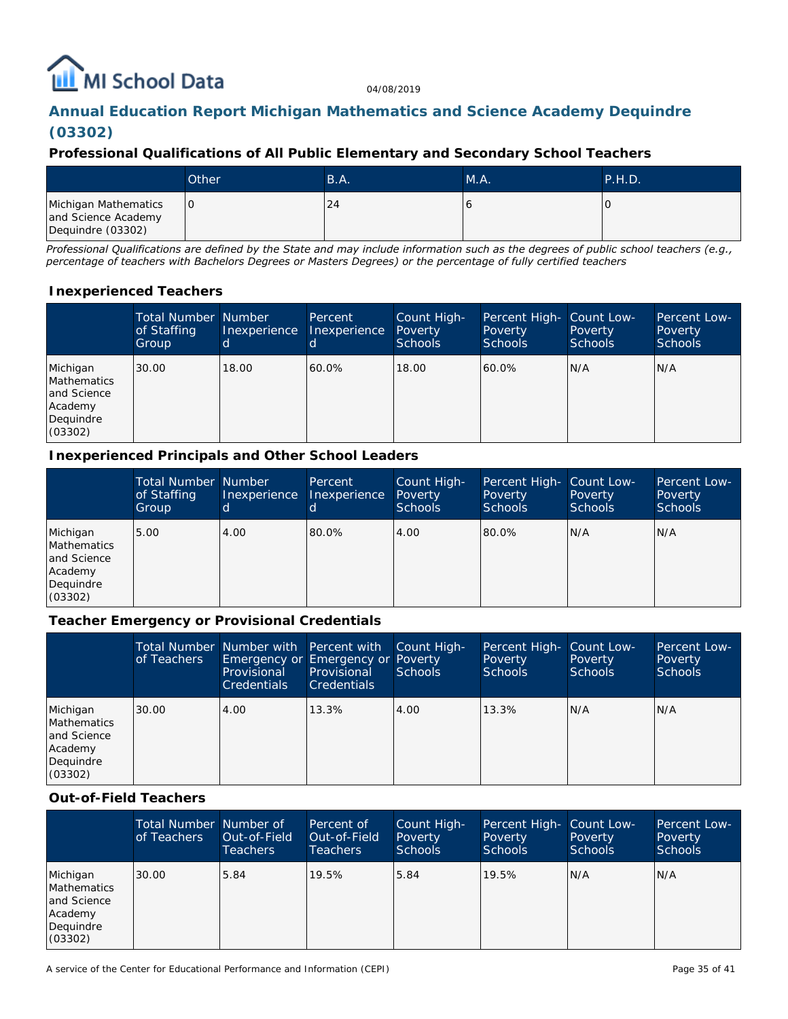# **ILL** MI School Data

04/08/2019

# **Annual Education Report Michigan Mathematics and Science Academy Dequindre (03302)**

### **Professional Qualifications of All Public Elementary and Secondary School Teachers**

|                                                                  | Other | B.A. | MA. | P.H.D. |
|------------------------------------------------------------------|-------|------|-----|--------|
| Michigan Mathematics<br>and Science Academy<br>Dequindre (03302) | IО    | 24   |     |        |

*Professional Qualifications are defined by the State and may include information such as the degrees of public school teachers (e.g., percentage of teachers with Bachelors Degrees or Masters Degrees) or the percentage of fully certified teachers*

### **Inexperienced Teachers**

|                                                                           | <b>Total Number Number</b><br>of Staffing<br>Group | Inexperience | Percent<br>Inexperience | Count High-<br>Poverty<br><b>Schools</b> | Percent High- Count Low-<br>Poverty<br>Schools | Poverty<br><b>Schools</b> | Percent Low-<br>Poverty<br><b>Schools</b> |
|---------------------------------------------------------------------------|----------------------------------------------------|--------------|-------------------------|------------------------------------------|------------------------------------------------|---------------------------|-------------------------------------------|
| Michigan<br>Mathematics<br>and Science<br>Academy<br>Dequindre<br>(03302) | 30.00                                              | 18.00        | 60.0%                   | 18.00                                    | 60.0%                                          | N/A                       | N/A                                       |

### **Inexperienced Principals and Other School Leaders**

|                                                                                  | <b>Total Number Number</b><br>of Staffing<br>Group | Inexperience<br>ld. | Percent<br><b>Inexperience</b> | Count High-<br>Poverty<br><b>Schools</b> | Percent High- Count Low-<br>Poverty<br><b>Schools</b> | Poverty<br>Schools | Percent Low-<br>Poverty<br><b>Schools</b> |
|----------------------------------------------------------------------------------|----------------------------------------------------|---------------------|--------------------------------|------------------------------------------|-------------------------------------------------------|--------------------|-------------------------------------------|
| Michigan<br><b>Mathematics</b><br>and Science<br>Academy<br>Dequindre<br>(03302) | 5.00                                               | 4.00                | 80.0%                          | 4.00                                     | 80.0%                                                 | N/A                | N/A                                       |

### **Teacher Emergency or Provisional Credentials**

|                                                                           | of Teachers | Total Number Number with Percent with Count High-<br>Emergency or Emergency or Poverty<br>Provisional<br><b>Credentials</b> | Provisional<br><b>Credentials</b> | <b>Schools</b> | Percent High-<br>Poverty<br>Schools | Count Low-<br>Poverty<br><b>Schools</b> | Percent Low-<br>Poverty<br><b>Schools</b> |
|---------------------------------------------------------------------------|-------------|-----------------------------------------------------------------------------------------------------------------------------|-----------------------------------|----------------|-------------------------------------|-----------------------------------------|-------------------------------------------|
| Michigan<br>Mathematics<br>and Science<br>Academy<br>Dequindre<br>(03302) | 30.00       | 4.00                                                                                                                        | 13.3%                             | 4.00           | 13.3%                               | N/A                                     | N/A                                       |

#### **Out-of-Field Teachers**

|                                                                           | Total Number Number of<br>of Teachers | Out-of-Field<br><b>Teachers</b> | Percent of<br>Out-of-Field<br>Teachers. | Count High-<br>Poverty<br><b>Schools</b> | Percent High- Count Low-<br>Poverty<br><b>Schools</b> | Poverty<br><b>Schools</b> | Percent Low-<br>Poverty<br><b>Schools</b> |
|---------------------------------------------------------------------------|---------------------------------------|---------------------------------|-----------------------------------------|------------------------------------------|-------------------------------------------------------|---------------------------|-------------------------------------------|
| Michigan<br>Mathematics<br>and Science<br>Academy<br>Dequindre<br>(03302) | 30.00                                 | 5.84                            | 19.5%                                   | 5.84                                     | 19.5%                                                 | N/A                       | N/A                                       |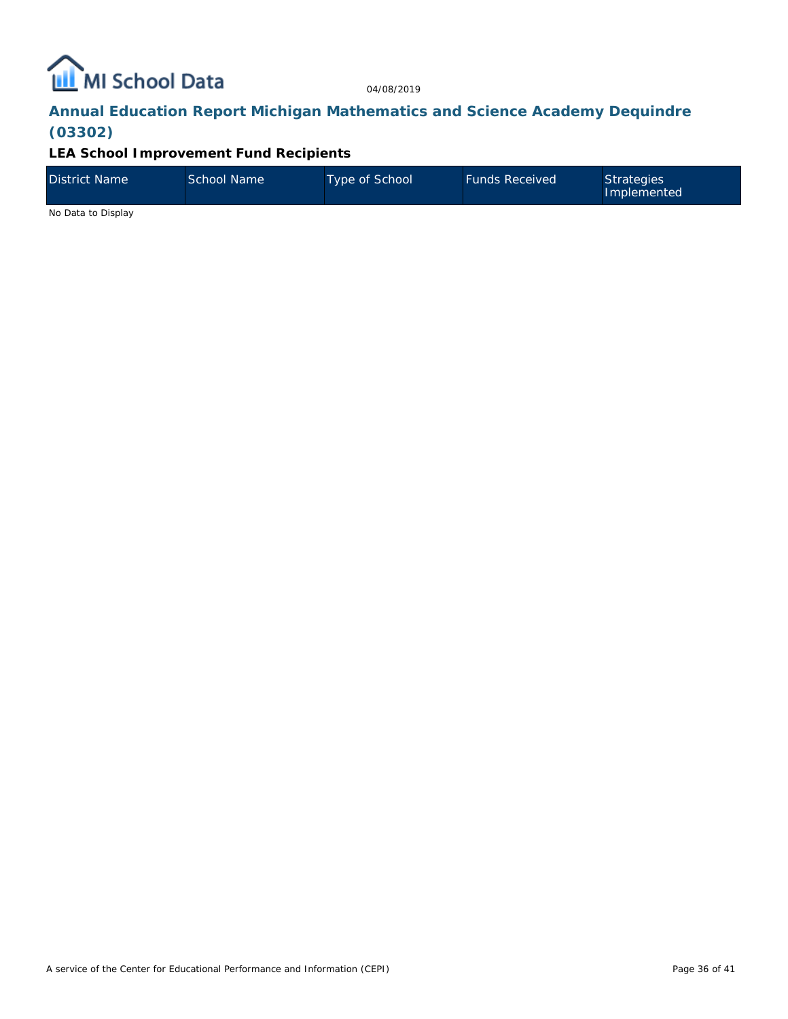

# **Annual Education Report Michigan Mathematics and Science Academy Dequindre (03302)**

### **LEA School Improvement Fund Recipients**

| District Name | School Name | Type of School | <b>Funds Received</b> | Strategies<br>Implemented |
|---------------|-------------|----------------|-----------------------|---------------------------|
| .             |             |                |                       |                           |

No Data to Display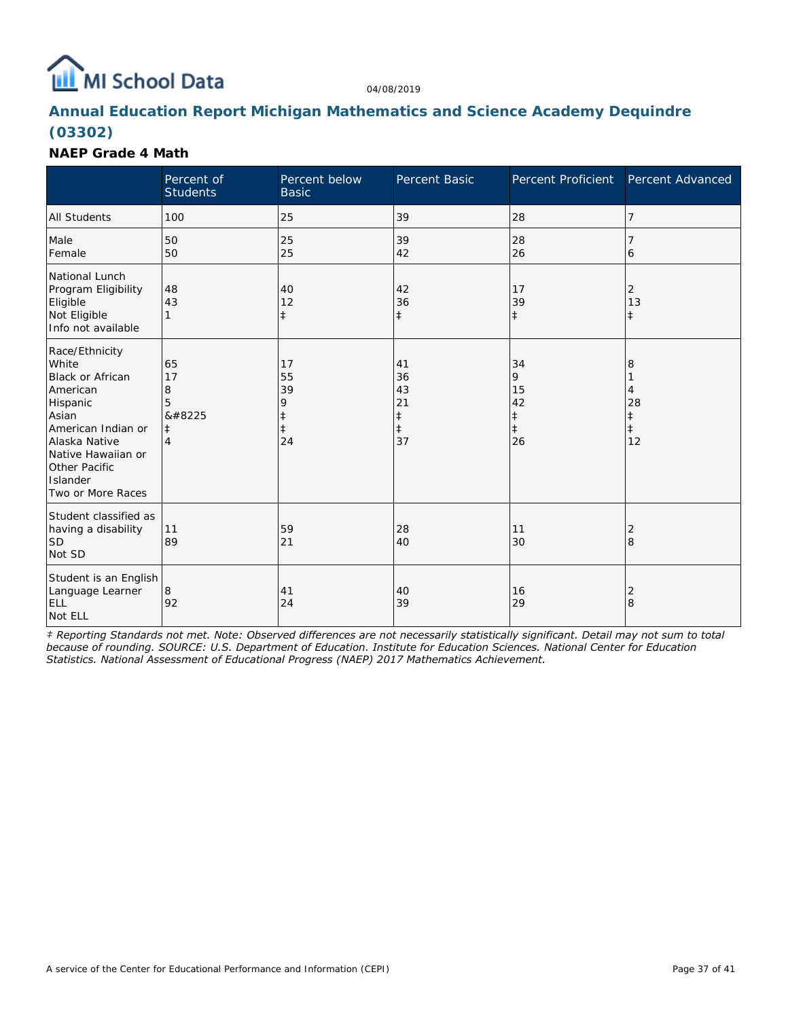# **ILL** MI School Data

04/08/2019

## **Annual Education Report Michigan Mathematics and Science Academy Dequindre (03302)**

### **NAEP Grade 4 Math**

|                                                                                                                                                                                                           | Percent of<br><b>Students</b>              | Percent below<br><b>Basic</b>                         | Percent Basic                                          | Percent Proficient                                    | Percent Advanced                               |
|-----------------------------------------------------------------------------------------------------------------------------------------------------------------------------------------------------------|--------------------------------------------|-------------------------------------------------------|--------------------------------------------------------|-------------------------------------------------------|------------------------------------------------|
| <b>All Students</b>                                                                                                                                                                                       | 100                                        | 25                                                    | 39                                                     | 28                                                    | $\overline{7}$                                 |
| Male<br>Female                                                                                                                                                                                            | 50<br>50                                   | 25<br>25                                              | 39<br>42                                               | 28<br>26                                              | 7<br>6                                         |
| National Lunch<br>Program Eligibility<br>Eligible<br>Not Eligible<br>Info not available                                                                                                                   | 48<br>43<br>1                              | 40<br>12<br>$\ddagger$                                | 42<br>36<br>$\ddagger$                                 | 17<br>39<br>$\ddagger$                                | 2<br>13<br>$\ddagger$                          |
| Race/Ethnicity<br>White<br><b>Black or African</b><br>American<br>Hispanic<br>Asian<br>American Indian or<br>Alaska Native<br>Native Hawaiian or<br><b>Other Pacific</b><br>Islander<br>Two or More Races | 65<br>17<br>8<br>5<br>‡<br>$\ddagger$<br>4 | 17<br>55<br>39<br>9<br>$\ddagger$<br>$\ddagger$<br>24 | 41<br>36<br>43<br>21<br>$\ddagger$<br>$\ddagger$<br>37 | 34<br>9<br>15<br>42<br>$\ddagger$<br>$\ddagger$<br>26 | 8<br>4<br>28<br>$\ddagger$<br>$\ddagger$<br>12 |
| Student classified as<br>having a disability<br><b>SD</b><br>Not SD                                                                                                                                       | 11<br>89                                   | 59<br>21                                              | 28<br>40                                               | 11<br>30                                              | 2<br>8                                         |
| Student is an English<br>Language Learner<br><b>ELL</b><br>Not ELL                                                                                                                                        | 8<br>92                                    | 41<br>24                                              | 40<br>39                                               | 16<br>29                                              | 2<br>8                                         |

*‡ Reporting Standards not met. Note: Observed differences are not necessarily statistically significant. Detail may not sum to total because of rounding. SOURCE: U.S. Department of Education. Institute for Education Sciences. National Center for Education Statistics. National Assessment of Educational Progress (NAEP) 2017 Mathematics Achievement.*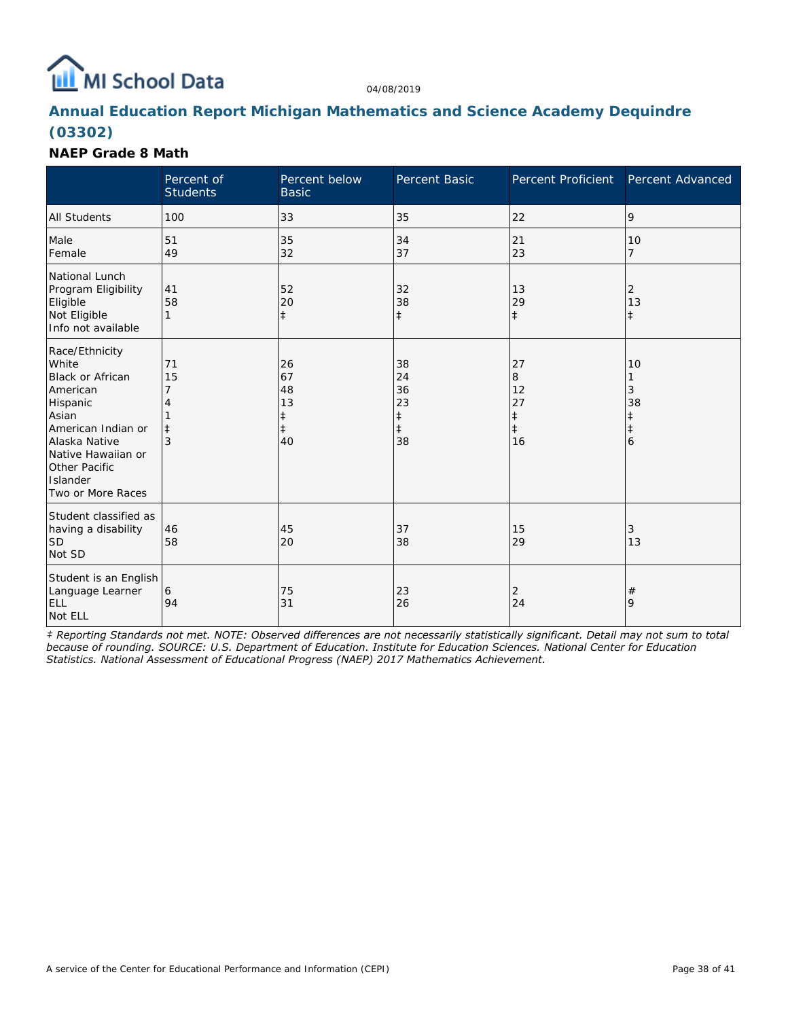# **ILL** MI School Data

04/08/2019

## **Annual Education Report Michigan Mathematics and Science Academy Dequindre (03302)**

### **NAEP Grade 8 Math**

|                                                                                                                                                                                                           | Percent of<br><b>Students</b> | Percent below<br><b>Basic</b>                          | Percent Basic                                          | Percent Proficient                                    | Percent Advanced                                  |
|-----------------------------------------------------------------------------------------------------------------------------------------------------------------------------------------------------------|-------------------------------|--------------------------------------------------------|--------------------------------------------------------|-------------------------------------------------------|---------------------------------------------------|
| <b>All Students</b>                                                                                                                                                                                       | 100                           | 33                                                     | 35                                                     | 22                                                    | 9                                                 |
| Male<br>Female                                                                                                                                                                                            | 51<br>49                      | 35<br>32                                               | 34<br>37                                               | 21<br>23                                              | 10<br>$\overline{7}$                              |
| National Lunch<br>Program Eligibility<br>Eligible<br>Not Eligible<br>Info not available                                                                                                                   | 41<br>58<br>1                 | 52<br>20<br>$\ddagger$                                 | 32<br>38<br>$\ddagger$                                 | 13<br>29<br>$\ddagger$                                | 2<br>13<br>$\ddagger$                             |
| Race/Ethnicity<br>White<br><b>Black or African</b><br>American<br>Hispanic<br>Asian<br>American Indian or<br>Alaska Native<br>Native Hawaiian or<br><b>Other Pacific</b><br>Islander<br>Two or More Races | 71<br>15<br>$\pm$<br>3        | 26<br>67<br>48<br>13<br>$\ddagger$<br>$\ddagger$<br>40 | 38<br>24<br>36<br>23<br>$\ddagger$<br>$\ddagger$<br>38 | 27<br>8<br>12<br>27<br>$\ddagger$<br>$\ddagger$<br>16 | 10<br>1<br>3<br>38<br>$^\ddag$<br>$\ddagger$<br>6 |
| Student classified as<br>having a disability<br><b>SD</b><br>Not SD                                                                                                                                       | 46<br>58                      | 45<br>20                                               | 37<br>38                                               | 15<br>29                                              | 3<br>13                                           |
| Student is an English<br>Language Learner<br><b>ELL</b><br>Not ELL                                                                                                                                        | 6<br>94                       | 75<br>31                                               | 23<br>26                                               | 2<br>24                                               | $\#$<br>9                                         |

*‡ Reporting Standards not met. NOTE: Observed differences are not necessarily statistically significant. Detail may not sum to total because of rounding. SOURCE: U.S. Department of Education. Institute for Education Sciences. National Center for Education Statistics. National Assessment of Educational Progress (NAEP) 2017 Mathematics Achievement.*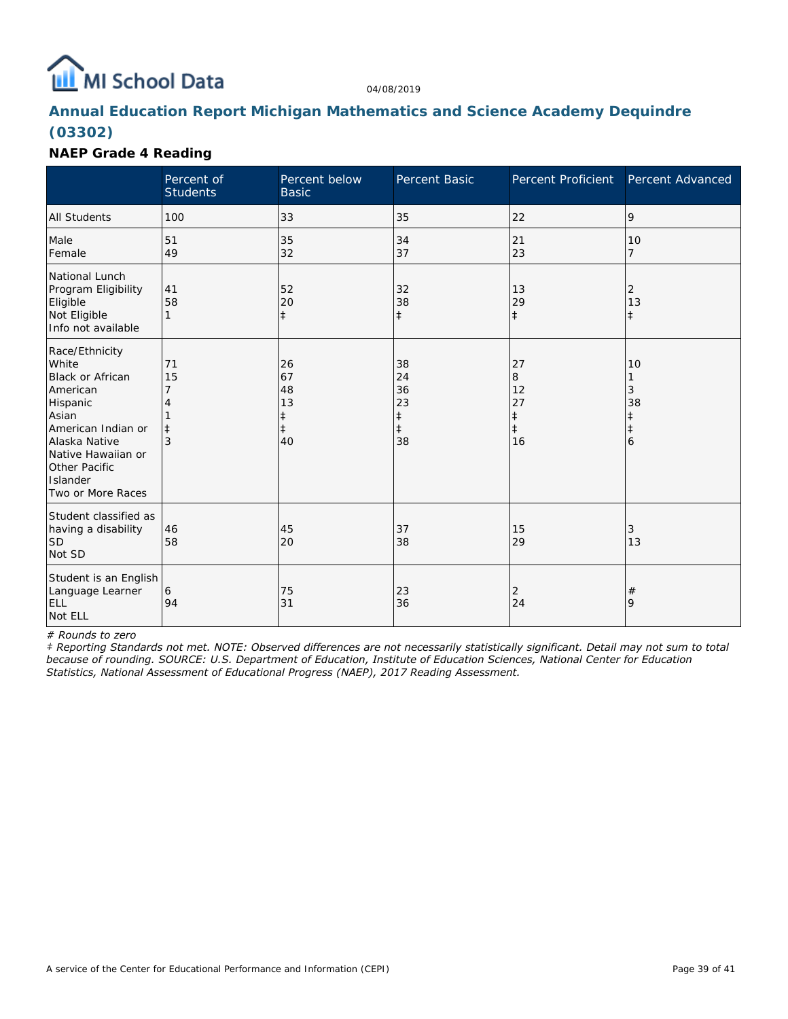

## **Annual Education Report Michigan Mathematics and Science Academy Dequindre (03302)**

### **NAEP Grade 4 Reading**

|                                                                                                                                                                                                    | Percent of<br><b>Students</b> | Percent below<br><b>Basic</b>                          | Percent Basic                                          | Percent Proficient                                    | Percent Advanced                               |
|----------------------------------------------------------------------------------------------------------------------------------------------------------------------------------------------------|-------------------------------|--------------------------------------------------------|--------------------------------------------------------|-------------------------------------------------------|------------------------------------------------|
| <b>All Students</b>                                                                                                                                                                                | 100                           | 33                                                     | 35                                                     | 22                                                    | 9                                              |
| Male<br>Female                                                                                                                                                                                     | 51<br>49                      | 35<br>32                                               | 34<br>37                                               | 21<br>23                                              | 10<br>$\overline{7}$                           |
| National Lunch<br>Program Eligibility<br>Eligible<br>Not Eligible<br>Info not available                                                                                                            | 41<br>58<br>$\mathbf{1}$      | 52<br>20<br>$\ddagger$                                 | 32<br>38<br>$\ddagger$                                 | 13<br>29<br>$\ddagger$                                | 2<br>13<br>$\ddagger$                          |
| Race/Ethnicity<br>White<br><b>Black or African</b><br>American<br>Hispanic<br>Asian<br>American Indian or<br>Alaska Native<br>Native Hawaiian or<br>Other Pacific<br>Islander<br>Two or More Races | 71<br>15<br>$\pm$<br>3        | 26<br>67<br>48<br>13<br>$\ddagger$<br>$\ddagger$<br>40 | 38<br>24<br>36<br>23<br>$\ddagger$<br>$\ddagger$<br>38 | 27<br>8<br>12<br>27<br>$\ddagger$<br>$\ddagger$<br>16 | 10<br>3<br>38<br>$\ddagger$<br>$\ddagger$<br>6 |
| Student classified as<br>having a disability<br><b>SD</b><br>Not SD                                                                                                                                | 46<br>58                      | 45<br>20                                               | 37<br>38                                               | 15<br>29                                              | 3<br>13                                        |
| Student is an English<br>Language Learner<br><b>ELL</b><br>Not ELL                                                                                                                                 | 6<br>94                       | 75<br>31                                               | 23<br>36                                               | 2<br>24                                               | $\#$<br>9                                      |

*# Rounds to zero*

*‡ Reporting Standards not met. NOTE: Observed differences are not necessarily statistically significant. Detail may not sum to total because of rounding. SOURCE: U.S. Department of Education, Institute of Education Sciences, National Center for Education Statistics, National Assessment of Educational Progress (NAEP), 2017 Reading Assessment.*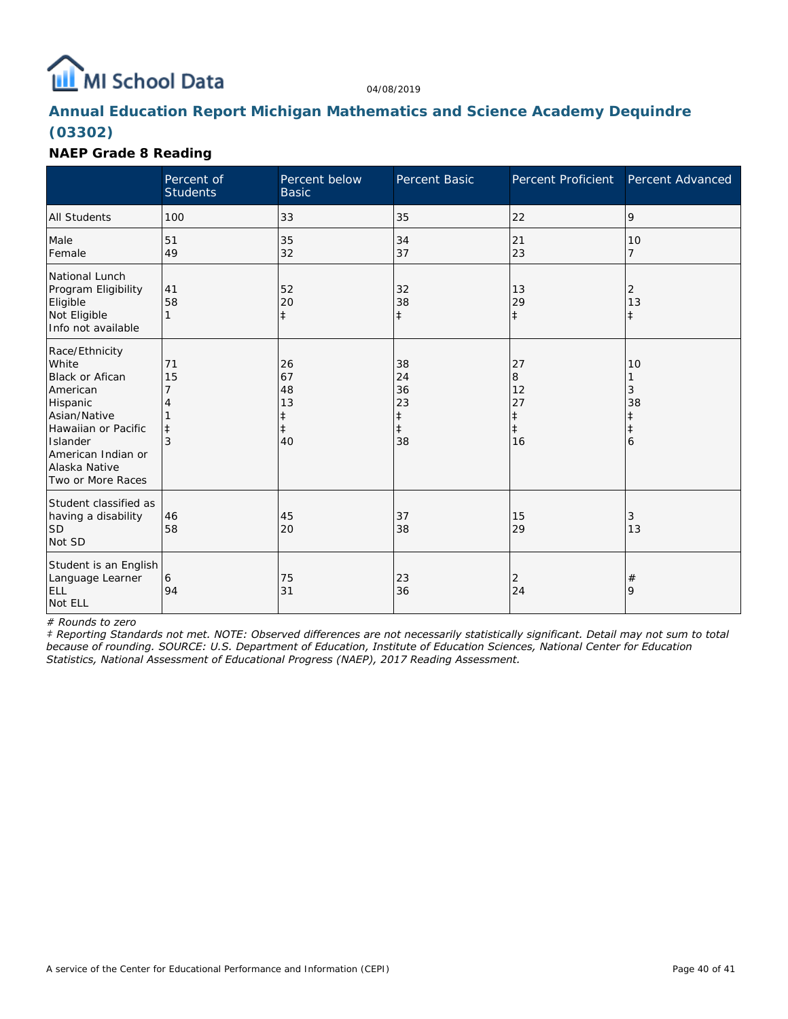

## **Annual Education Report Michigan Mathematics and Science Academy Dequindre (03302)**

### **NAEP Grade 8 Reading**

|                                                                                                                                                                                          | Percent of<br><b>Students</b> | Percent below<br><b>Basic</b>                          | <b>Percent Basic</b>                                   | Percent Proficient                                    | Percent Advanced                               |
|------------------------------------------------------------------------------------------------------------------------------------------------------------------------------------------|-------------------------------|--------------------------------------------------------|--------------------------------------------------------|-------------------------------------------------------|------------------------------------------------|
| <b>All Students</b>                                                                                                                                                                      | 100                           | 33                                                     | 35                                                     | 22                                                    | 9                                              |
| Male<br>Female                                                                                                                                                                           | 51<br>49                      | 35<br>32                                               | 34<br>37                                               | 21<br>23                                              | 10<br>$\overline{7}$                           |
| National Lunch<br>Program Eligibility<br>Eligible<br>Not Eligible<br>Info not available                                                                                                  | 41<br>58<br>$\mathbf{1}$      | 52<br>20<br>$\ddagger$                                 | 32<br>38<br>$\ddagger$                                 | 13<br>29<br>$\ddagger$                                | 2<br>13<br>$\ddagger$                          |
| Race/Ethnicity<br>White<br><b>Black or Afican</b><br>American<br>Hispanic<br>Asian/Native<br>Hawaiian or Pacific<br>Islander<br>American Indian or<br>Alaska Native<br>Two or More Races | 71<br>15<br>$\ddagger$<br>3   | 26<br>67<br>48<br>13<br>$\ddagger$<br>$\ddagger$<br>40 | 38<br>24<br>36<br>23<br>$\ddagger$<br>$\ddagger$<br>38 | 27<br>8<br>12<br>27<br>$\ddagger$<br>$\ddagger$<br>16 | 10<br>3<br>38<br>$\ddagger$<br>$\ddagger$<br>6 |
| Student classified as<br>having a disability<br><b>SD</b><br>Not SD                                                                                                                      | 46<br>58                      | 45<br>20                                               | 37<br>38                                               | 15<br>29                                              | 3<br>13                                        |
| Student is an English<br>Language Learner<br><b>ELL</b><br>Not ELL                                                                                                                       | 6<br>94                       | 75<br>31                                               | 23<br>36                                               | 2<br>24                                               | $\#$<br>9                                      |

*# Rounds to zero*

*‡ Reporting Standards not met. NOTE: Observed differences are not necessarily statistically significant. Detail may not sum to total because of rounding. SOURCE: U.S. Department of Education, Institute of Education Sciences, National Center for Education Statistics, National Assessment of Educational Progress (NAEP), 2017 Reading Assessment.*